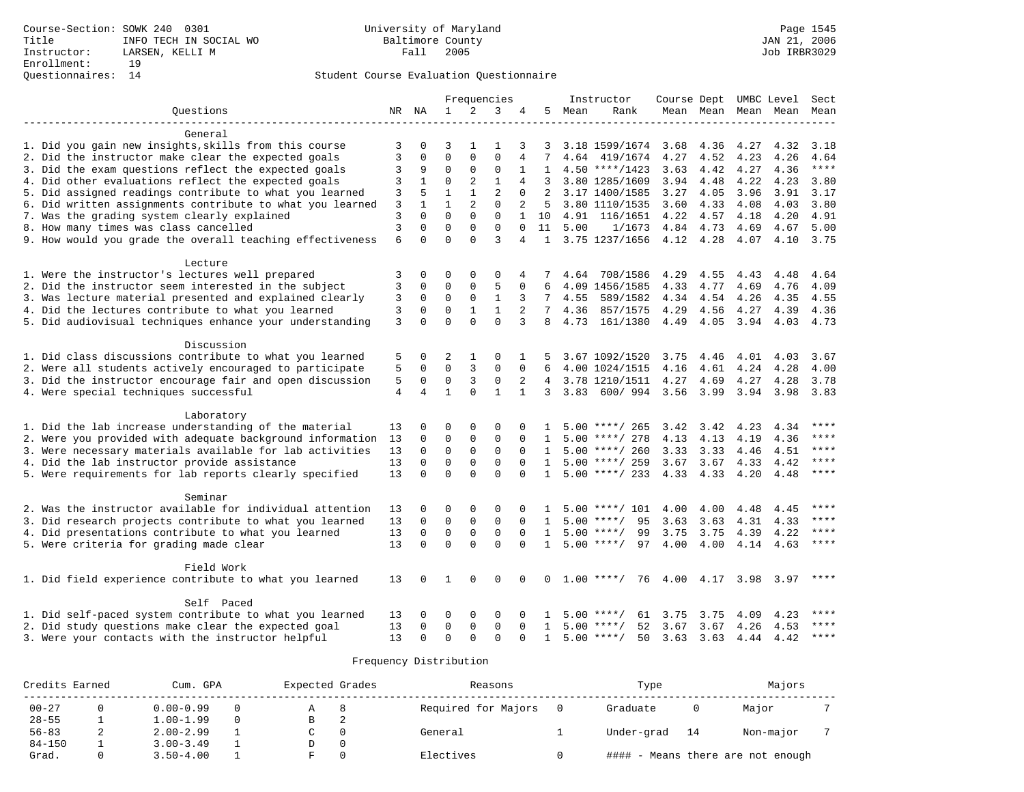|                                                           |                |                | Frequencies  |                |                |                |                 | Instructor |                          | Course Dept UMBC Level |                |      |                          | Sect  |
|-----------------------------------------------------------|----------------|----------------|--------------|----------------|----------------|----------------|-----------------|------------|--------------------------|------------------------|----------------|------|--------------------------|-------|
| Ouestions                                                 |                | NR NA          | 1            | 2              | 3              | 4              | 5               | Mean       | Rank                     |                        |                |      | Mean Mean Mean Mean Mean |       |
| General                                                   |                |                |              |                |                |                |                 |            |                          |                        |                |      |                          |       |
| 1. Did you gain new insights, skills from this course     | 3              | 0              | 3            | 1              | 1              | 3              | 3               |            | 3.18 1599/1674           | 3.68                   | 4.36           | 4.27 | 4.32                     | 3.18  |
| 2. Did the instructor make clear the expected goals       | 3              | 0              | $\Omega$     | 0              | $\Omega$       | 4              | 7               |            | 4.64 419/1674            | 4.27                   | 4.52           | 4.23 | 4.26                     | 4.64  |
| 3. Did the exam questions reflect the expected goals      | 3              | 9              | $\Omega$     | 0              | $\mathbf 0$    | 1              | $\mathbf{1}$    |            | $4.50$ ****/1423         | 3.63                   | 4.42           | 4.27 | 4.36                     | $***$ |
| 4. Did other evaluations reflect the expected goals       | 3              | $\mathbf{1}$   | $\Omega$     | $\overline{a}$ | $\mathbf{1}$   | 4              | 3               |            | 3.80 1285/1609           | 3.94                   | 4.48           | 4.22 | 4.23                     | 3.80  |
| 5. Did assigned readings contribute to what you learned   | 3              | 5              | $\mathbf{1}$ | $\mathbf{1}$   | $\overline{2}$ | $\mathbf 0$    | $\overline{2}$  |            | 3.17 1400/1585           | 3.27                   | 4.05           | 3.96 | 3.91                     | 3.17  |
| 6. Did written assignments contribute to what you learned | 3              | $\mathbf{1}$   | $\mathbf{1}$ | 2              | $\mathbf 0$    | $\overline{2}$ | .5              |            | 3.80 1110/1535           | 3.60                   | 4.33           | 4.08 | 4.03                     | 3.80  |
| 7. Was the grading system clearly explained               | 3              | $\Omega$       | $\Omega$     | $\Omega$       | $\Omega$       | $\mathbf{1}$   | 10              | 4.91       | 116/1651                 | 4.22                   | 4.57           | 4.18 | 4.20                     | 4.91  |
| 8. How many times was class cancelled                     | 3              | $\Omega$       | $\Omega$     | $\Omega$       | $\Omega$       | $\Omega$       |                 | 11 5.00    | 1/1673                   | 4.84                   | 4.73           | 4.69 | 4.67                     | 5.00  |
| 9. How would you grade the overall teaching effectiveness | 6              | $\Omega$       | $\Omega$     | $\Omega$       | $\mathbf{3}$   | 4              | $\mathbf{1}$    |            | 3.75 1237/1656           | 4.12 4.28              |                | 4.07 | 4.10                     | 3.75  |
| Lecture                                                   |                |                |              |                |                |                |                 |            |                          |                        |                |      |                          |       |
| 1. Were the instructor's lectures well prepared           | 3              | 0              | 0            | $\Omega$       | $\Omega$       | 4              |                 | 4.64       | 708/1586                 | 4.29                   | 4.55           | 4.43 | 4.48                     | 4.64  |
| 2. Did the instructor seem interested in the subject      | 3              | 0              | $\Omega$     | 0              | 5              | $\mathbf 0$    |                 |            | 4.09 1456/1585           | 4.33                   | 4.77           | 4.69 | 4.76                     | 4.09  |
| 3. Was lecture material presented and explained clearly   | 3              | 0              | $\mathbf 0$  | $\mathbf 0$    | $\mathbf{1}$   | 3              | 7               | 4.55       | 589/1582                 | 4.34                   | 4.54           | 4.26 | 4.35                     | 4.55  |
| 4. Did the lectures contribute to what you learned        | 3              | 0              | 0            | $\mathbf{1}$   | $\mathbf{1}$   | 2              | 7               | 4.36       | 857/1575                 | 4.29                   | 4.56           | 4.27 | 4.39                     | 4.36  |
| 5. Did audiovisual techniques enhance your understanding  | 3              | $\Omega$       | $\Omega$     | $\Omega$       | $\Omega$       | 3              | 8               |            | 4.73 161/1380            | 4.49 4.05              |                |      | $3.94$ 4.03              | 4.73  |
|                                                           |                |                |              |                |                |                |                 |            |                          |                        |                |      |                          |       |
| Discussion                                                |                |                |              |                |                |                |                 |            |                          |                        |                |      |                          |       |
| 1. Did class discussions contribute to what you learned   | 5              | 0              | 2            | 1              | $\Omega$       |                | 5               |            | 3.67 1092/1520           | 3.75                   | 4.46           | 4.01 | 4.03                     | 3.67  |
| 2. Were all students actively encouraged to participate   | 5              | $\Omega$       | $\Omega$     | 3              | $\mathbf 0$    | $\Omega$       | 6               |            | 4.00 1024/1515           | 4.16                   | 4.61           | 4.24 | 4.28                     | 4.00  |
| 3. Did the instructor encourage fair and open discussion  | 5              | 0              | $\mathbf 0$  | 3              | 0              | 2              | $4\overline{ }$ |            | 3.78 1210/1511           | 4.27                   | 4.69           | 4.27 | 4.28                     | 3.78  |
| 4. Were special techniques successful                     | $\overline{4}$ | $\overline{4}$ | $\mathbf{1}$ | $\Omega$       | $\mathbf{1}$   | $\mathbf{1}$   | 3               |            | 3.83 600/994             | 3.56                   | 3.99           | 3.94 | 3.98                     | 3.83  |
| Laboratory                                                |                |                |              |                |                |                |                 |            |                          |                        |                |      |                          |       |
| 1. Did the lab increase understanding of the material     | 13             | 0              | $\Omega$     | $\Omega$       | $\Omega$       | ∩              |                 |            | $5.00$ ****/ 265         | 3.42                   | 3.42           | 4.23 | 4.34                     | $***$ |
| 2. Were you provided with adequate background information | 13             | 0              | $\mathbf 0$  | 0              | $\mathbf 0$    | 0              | $\mathbf{1}$    |            | $5.00$ ****/ 278         | 4.13                   | 4.13           | 4.19 | 4.36                     | $***$ |
| 3. Were necessary materials available for lab activities  | 13             | $\mathbf 0$    | $\mathbf 0$  | $\mathbf 0$    | $\mathsf 0$    | $\Omega$       | $\mathbf{1}$    |            | $5.00$ ****/ 260         | 3.33                   | 3.33           | 4.46 | 4.51                     | ****  |
| 4. Did the lab instructor provide assistance              | 13             | $\Omega$       | $\mathbf 0$  | $\mathbf 0$    | $\mathbf 0$    | $\Omega$       | 1               |            | $5.00$ ****/ 259         |                        | $3.67$ $3.67$  | 4.33 | 4.42                     | $***$ |
| 5. Were requirements for lab reports clearly specified    | 13             | $\Omega$       | $\Omega$     | $\Omega$       | $\Omega$       | $\Omega$       | $\mathbf{1}$    |            | 5.00 ****/ 233 4.33 4.33 |                        |                | 4.20 | 4.48                     | ****  |
| Seminar                                                   |                |                |              |                |                |                |                 |            |                          |                        |                |      |                          |       |
| 2. Was the instructor available for individual attention  | 13             | 0              | 0            | 0              | 0              | 0              | 1               |            | $5.00$ ****/ 101         | 4.00                   | 4.00           | 4.48 | 4.45                     | ****  |
| 3. Did research projects contribute to what you learned   | 13             | $\Omega$       | $\mathbf 0$  | $\mathbf 0$    | $\mathbf 0$    | $\Omega$       | $\mathbf{1}$    |            | 95<br>$5.00$ ****/       | 3.63                   | 3.63           | 4.31 | 4.33                     | $***$ |
| 4. Did presentations contribute to what you learned       | 13             | $\mathbf 0$    | $\mathbf 0$  | $\mathbf 0$    | $\mathbf 0$    | $\Omega$       | $\mathbf{1}$    |            | $5.00$ ****/<br>99       | 3.75                   | 3.75           | 4.39 | 4.22                     | ****  |
| 5. Were criteria for grading made clear                   | 13             | $\Omega$       | $\Omega$     | $\Omega$       | $\Omega$       | $\Omega$       | $\mathbf{1}$    |            | $5.00$ ****/<br>97       | 4.00                   | 4.00 4.14 4.63 |      |                          | ****  |
| Field Work                                                |                |                |              |                |                |                |                 |            |                          |                        |                |      |                          |       |
| 1. Did field experience contribute to what you learned    |                | 0              | 1            | $\Omega$       | $\Omega$       | $\Omega$       | 0               | 1.00       | 76<br>****/              | 4.00                   | 4.17           | 3.98 | 3.97                     | $***$ |
| Self Paced                                                |                |                |              |                |                |                |                 |            |                          |                        |                |      |                          |       |
| 1. Did self-paced system contribute to what you learned   | 13             | 0              | 0            | $\Omega$       | $\Omega$       |                |                 | 5.00       | ****/<br>61              | 3.75                   | 3.75           | 4.09 | 4.23                     | $***$ |
| 2. Did study questions make clear the expected goal       | 13             | $\Omega$       | 0            | 0              | $\mathbf 0$    | $\Omega$       | $\mathbf{1}$    |            | $5.00$ ****/<br>52       | 3.67                   | 3.67           | 4.26 | 4.53                     | ****  |
| 3. Were your contacts with the instructor helpful         | 13             | $\Omega$       | $\Omega$     | $\Omega$       | $\Omega$       | $\Omega$       | 1               |            | $5.00$ ****/<br>50       | 3.63                   | 3.63           | 4.44 | 4.42                     | ****  |

| Credits Earned |  | Cum. GPA      |  |  | Expected Grades | Reasons             | Type       |    | Majors                            |  |  |
|----------------|--|---------------|--|--|-----------------|---------------------|------------|----|-----------------------------------|--|--|
| $00 - 27$      |  | $0.00 - 0.99$ |  |  |                 | Required for Majors | Graduate   |    | Major                             |  |  |
| $28 - 55$      |  | $1.00 - 1.99$ |  |  |                 |                     |            |    |                                   |  |  |
| $56 - 83$      |  | $2.00 - 2.99$ |  |  |                 | General             | Under-grad | 14 | Non-major                         |  |  |
| $84 - 150$     |  | $3.00 - 3.49$ |  |  |                 |                     |            |    |                                   |  |  |
| Grad.          |  | $3.50 - 4.00$ |  |  |                 | Electives           |            |    | #### - Means there are not enough |  |  |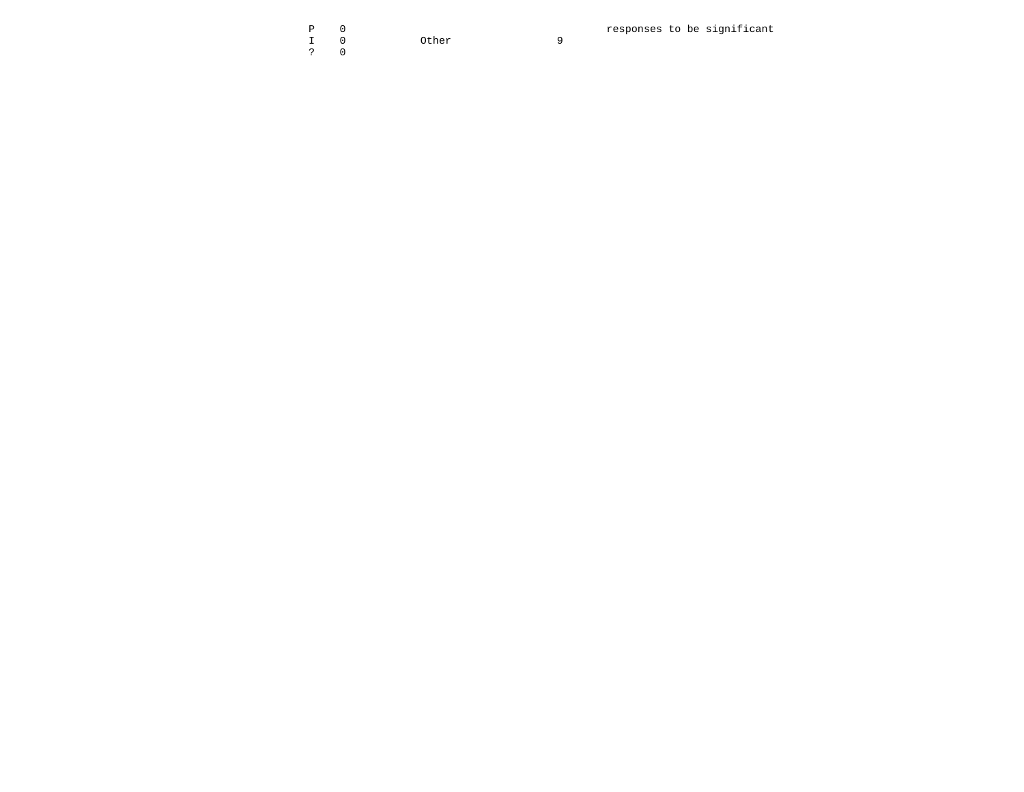| $P \t 0$         |           |  |
|------------------|-----------|--|
|                  | I 0 Other |  |
| $\overline{?}$ 0 |           |  |

responses to be significant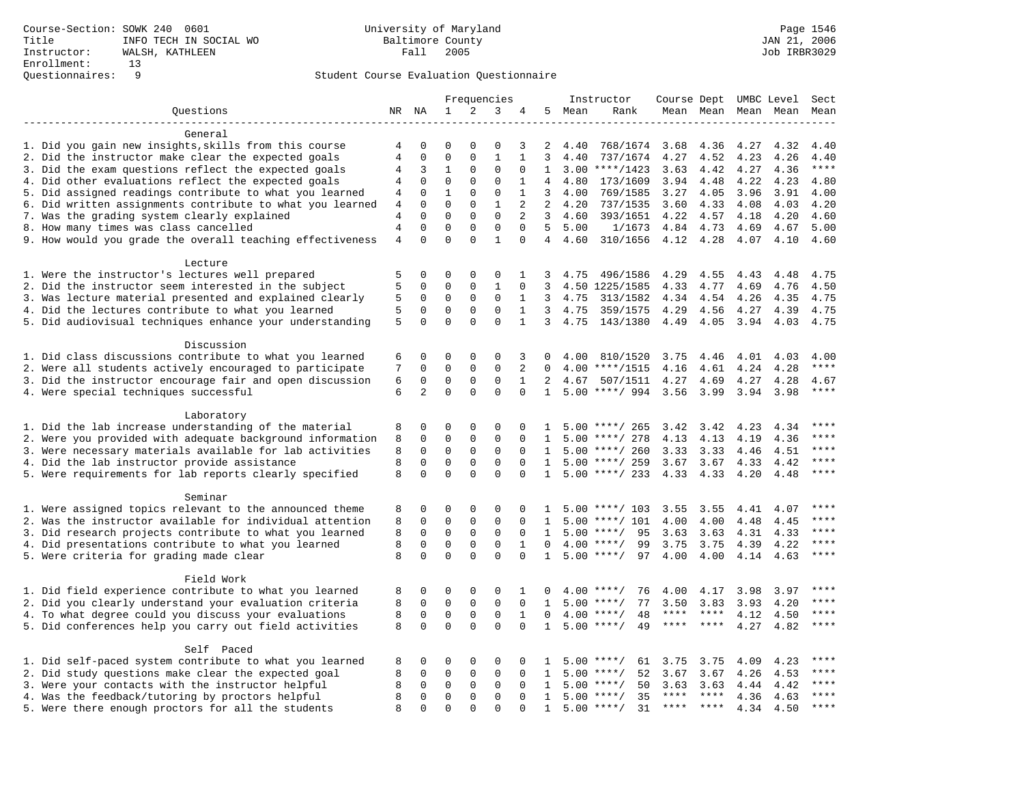|                                                           | Frequencies    |                |              |              | Instructor   | Course Dept UMBC Level |                |      |                    | Sect      |           |      |           |             |
|-----------------------------------------------------------|----------------|----------------|--------------|--------------|--------------|------------------------|----------------|------|--------------------|-----------|-----------|------|-----------|-------------|
| Ouestions                                                 |                | NR NA          | $\mathbf{1}$ | 2            | 3            | 4                      | 5              | Mean | Rank               |           | Mean Mean |      | Mean Mean | Mean        |
| ------------------                                        |                |                |              |              |              |                        |                |      |                    |           |           |      |           |             |
| General                                                   |                |                |              |              |              |                        |                |      |                    |           |           |      |           |             |
| 1. Did you gain new insights, skills from this course     | 4              | 0              | 0            | 0            | $\Omega$     | 3                      | 2              | 4.40 | 768/1674           | 3.68      | 4.36      | 4.27 | 4.32      | 4.40        |
| 2. Did the instructor make clear the expected goals       | $\overline{4}$ | $\mathbf 0$    | $\mathbf 0$  | $\Omega$     | $\mathbf{1}$ | $\mathbf{1}$           | 3              | 4.40 | 737/1674           | 4.27      | 4.52      | 4.23 | 4.26      | 4.40        |
| 3. Did the exam questions reflect the expected goals      | 4              | 3              | 1            | $\mathbf 0$  | $\mathbf 0$  | $\Omega$               | $\mathbf{1}$   |      | $3.00$ ****/1423   | 3.63      | 4.42      | 4.27 | 4.36      | $***$       |
| 4. Did other evaluations reflect the expected goals       | 4              | $\mathbf 0$    | $\mathbf 0$  | $\mathbf 0$  | 0            | 1                      | 4              | 4.80 | 173/1609           | 3.94      | 4.48      | 4.22 | 4.23      | 4.80        |
| 5. Did assigned readings contribute to what you learned   | 4              | $\mathbf 0$    | $\mathbf{1}$ | $\mathbf 0$  | $\mathbf 0$  | 1                      | 3              | 4.00 | 769/1585           | 3.27      | 4.05      | 3.96 | 3.91      | 4.00        |
| 6. Did written assignments contribute to what you learned | 4              | $\mathbf{0}$   | $\mathbf 0$  | $\mathbf 0$  | $\mathbf{1}$ | 2                      | 2              | 4.20 | 737/1535           | 3.60      | 4.33      | 4.08 | 4.03      | 4.20        |
| 7. Was the grading system clearly explained               | 4              | $\mathbf 0$    | $\mathbf 0$  | $\mathbf{0}$ | $\mathbf 0$  | 2                      | $\mathbf{3}$   | 4.60 | 393/1651           | 4.22      | 4.57      | 4.18 | 4.20      | 4.60        |
| 8. How many times was class cancelled                     | $\overline{4}$ | $\mathbf 0$    | $\mathbf 0$  | $\mathbf{0}$ | $\mathbf 0$  | $\mathbf 0$            | 5              | 5.00 | 1/1673             | 4.84      | 4.73      | 4.69 | 4.67      | 5.00        |
| 9. How would you grade the overall teaching effectiveness | $\overline{4}$ | $\Omega$       | $\Omega$     | $\Omega$     | $\mathbf{1}$ | $\Omega$               | $\overline{4}$ | 4.60 | 310/1656           | 4.12 4.28 |           | 4.07 | 4.10      | 4.60        |
| Lecture                                                   |                |                |              |              |              |                        |                |      |                    |           |           |      |           |             |
| 1. Were the instructor's lectures well prepared           | 5              | 0              | 0            | $\Omega$     | 0            | 1                      | 3              | 4.75 | 496/1586           | 4.29      | 4.55      | 4.43 | 4.48      | 4.75        |
| 2. Did the instructor seem interested in the subject      | 5              | $\Omega$       | $\mathbf 0$  | $\mathbf 0$  | $\mathbf{1}$ | $\Omega$               | 3              |      | 4.50 1225/1585     | 4.33      | 4.77      | 4.69 | 4.76      | 4.50        |
| 3. Was lecture material presented and explained clearly   | 5              | 0              | 0            | $\mathbf 0$  | $\mathbf 0$  | $\mathbf{1}$           | $\overline{3}$ | 4.75 | 313/1582           | 4.34      | 4.54      | 4.26 | 4.35      | 4.75        |
| 4. Did the lectures contribute to what you learned        | 5              | $\mathbf 0$    | $\mathbf 0$  | $\mathbf 0$  | $\mathbf 0$  | 1                      | 3              | 4.75 | 359/1575           | 4.29      | 4.56      | 4.27 | 4.39      | 4.75        |
| 5. Did audiovisual techniques enhance your understanding  | 5              | $\Omega$       | $\Omega$     | $\Omega$     | $\Omega$     | $\mathbf{1}$           | $\overline{3}$ | 4.75 | 143/1380           | 4.49      | 4.05      | 3.94 | 4.03      | 4.75        |
|                                                           |                |                |              |              |              |                        |                |      |                    |           |           |      |           |             |
| Discussion                                                |                |                |              |              |              |                        |                |      |                    |           |           |      |           |             |
| 1. Did class discussions contribute to what you learned   | 6              | $\mathbf 0$    | 0            | $\Omega$     | $\Omega$     | 3                      | $\Omega$       | 4.00 | 810/1520           | 3.75      | 4.46      | 4.01 | 4.03      | 4.00        |
| 2. Were all students actively encouraged to participate   | 7              | $\Omega$       | $\Omega$     | $\Omega$     | $\Omega$     | 2                      | $\Omega$       |      | $4.00$ ****/1515   | 4.16      | 4.61      | 4.24 | 4.28      | $***$       |
| 3. Did the instructor encourage fair and open discussion  | 6              | $\mathbf 0$    | 0            | $\mathsf 0$  | $\mathbf 0$  | $\mathbf{1}$           | 2              | 4.67 | 507/1511           | 4.27      | 4.69      | 4.27 | 4.28      | 4.67        |
| 4. Were special techniques successful                     | 6              | $\overline{a}$ | $\Omega$     | $\Omega$     | $\Omega$     | $\Omega$               | $\mathbf{1}$   |      | $5.00$ ****/ 994   | 3.56      | 3.99      | 3.94 | 3.98      | $***$       |
|                                                           |                |                |              |              |              |                        |                |      |                    |           |           |      |           |             |
| Laboratory                                                |                |                |              |              |              |                        |                |      |                    |           |           |      |           |             |
| 1. Did the lab increase understanding of the material     | 8              | 0              | 0            | 0            | $\Omega$     | 0                      | 1              |      | $5.00$ ****/ 265   | 3.42      | 3.42      | 4.23 | 4.34      | ****        |
| 2. Were you provided with adequate background information | 8              | $\mathbf 0$    | $\mathbf 0$  | $\mathbf 0$  | $\Omega$     | $\Omega$               | $\mathbf{1}$   |      | $5.00$ ****/ 278   | 4.13      | 4.13      | 4.19 | 4.36      | ****        |
| 3. Were necessary materials available for lab activities  | 8              | 0              | 0            | 0            | 0            | $\mathbf 0$            | 1              |      | $5.00$ ****/ 260   | 3.33      | 3.33      | 4.46 | 4.51      | $***$       |
| 4. Did the lab instructor provide assistance              | 8              | $\mathbf 0$    | $\mathbf 0$  | 0            | $\mathbf 0$  | 0                      | $\mathbf{1}$   |      | $5.00$ ****/ 259   | 3.67      | 3.67      | 4.33 | 4.42      | $***$       |
| 5. Were requirements for lab reports clearly specified    | 8              | $\mathbf 0$    | $\Omega$     | $\Omega$     | $\Omega$     | $\Omega$               | $\mathbf{1}$   |      | $5.00$ ****/ 233   | 4.33 4.33 |           | 4.20 | 4.48      | $***$       |
| Seminar                                                   |                |                |              |              |              |                        |                |      |                    |           |           |      |           |             |
| 1. Were assigned topics relevant to the announced theme   | 8              | 0              | 0            | $\mathsf 0$  | $\Omega$     | $\Omega$               | 1              |      | $5.00$ ****/ 103   | 3.55      | 3.55      | 4.41 | 4.07      |             |
| 2. Was the instructor available for individual attention  | 8              | $\mathbf 0$    | $\mathbf 0$  | $\mathbf{0}$ | $\mathbf 0$  | $\Omega$               | $\mathbf{1}$   | 5.00 | ****/ 101          | 4.00      | 4.00      | 4.48 | 4.45      | ****        |
| 3. Did research projects contribute to what you learned   | 8              | $\mathbf 0$    | 0            | $\mathbf{0}$ | $\mathbf 0$  | $\Omega$               | $\mathbf{1}$   |      | $5.00$ ****/<br>95 | 3.63      | 3.63      | 4.31 | 4.33      | $***$       |
| 4. Did presentations contribute to what you learned       | 8              | $\mathbf 0$    | $\mathbf 0$  | $\mathbf 0$  | 0            | 1                      | $\Omega$       |      | $4.00$ ****/<br>99 | 3.75      | 3.75      | 4.39 | 4.22      | $***$       |
| 5. Were criteria for grading made clear                   | 8              | $\Omega$       | $\Omega$     | $\Omega$     | $\Omega$     | $\Omega$               | $\mathbf{1}$   |      | $5.00$ ****/<br>97 | 4.00      | 4.00      | 4.14 | 4.63      | ****        |
|                                                           |                |                |              |              |              |                        |                |      |                    |           |           |      |           |             |
| Field Work                                                |                |                |              |              |              |                        |                |      |                    |           |           |      |           |             |
| 1. Did field experience contribute to what you learned    | 8              | $\mathbf 0$    | 0            | $\mathbf 0$  | 0            | 1                      |                |      | 76<br>$4.00$ ****/ | 4.00      | 4.17      | 3.98 | 3.97      | $***$ * * * |
| 2. Did you clearly understand your evaluation criteria    | 8              | $\mathbf 0$    | $\mathbf 0$  | $\mathbf 0$  | $\mathbf 0$  | $\Omega$               | $\mathbf{1}$   |      | 77<br>$5.00$ ****/ | 3.50      | 3.83      | 3.93 | 4.20      |             |
| 4. To what degree could you discuss your evaluations      | 8              | $\mathbf 0$    | $\mathbf 0$  | $\mathbf 0$  | $\mathbf 0$  | $\mathbf{1}$           | $\Omega$       |      | $4.00$ ****/<br>48 | ****      | ****      | 4.12 | 4.50      | $***$       |
| 5. Did conferences help you carry out field activities    | 8              | $\mathbf 0$    | $\mathbf 0$  | $\mathbf 0$  | $\mathbf 0$  | $\Omega$               | 1              |      | $5.00$ ****/<br>49 | ****      | $***$ *   | 4.27 | 4.82      | $***$       |
|                                                           |                |                |              |              |              |                        |                |      |                    |           |           |      |           |             |
| Self Paced                                                |                |                |              |              |              |                        |                |      |                    |           |           |      |           |             |
| 1. Did self-paced system contribute to what you learned   | 8              | 0              | 0            | 0            | $\Omega$     | 0                      | -1             |      | $5.00$ ****/<br>61 | 3.75      | 3.75      | 4.09 | 4.23      | ****        |
| 2. Did study questions make clear the expected goal       | 8              | $\mathbf 0$    | $\mathbf 0$  | $\mathbf 0$  | $\mathbf 0$  | $\Omega$               | $\mathbf{1}$   |      | $5.00$ ****/<br>52 | 3.67      | 3.67      | 4.26 | 4.53      | ****        |
| 3. Were your contacts with the instructor helpful         | 8              | $\mathbf 0$    | $\mathbf 0$  | $\mathbf 0$  | $\mathbf 0$  | $\Omega$               | 1              | 5.00 | 50<br>$***/$       | 3.63      | 3.63      | 4.44 | 4.42      | ****        |
| 4. Was the feedback/tutoring by proctors helpful          | 8              | $\mathbf 0$    | 0            | $\mathbf 0$  | $\mathbf 0$  | 0                      | $\mathbf{1}$   |      | $5.00$ ****/<br>35 | ****      | ****      | 4.36 | 4.63      | ****        |
| 5. Were there enough proctors for all the students        | 8              | $\Omega$       | $\Omega$     | $\Omega$     | $\Omega$     |                        | 1              |      | $5.00$ ****/<br>31 | ****      | $****$    | 4.34 | 4.50      | $***$       |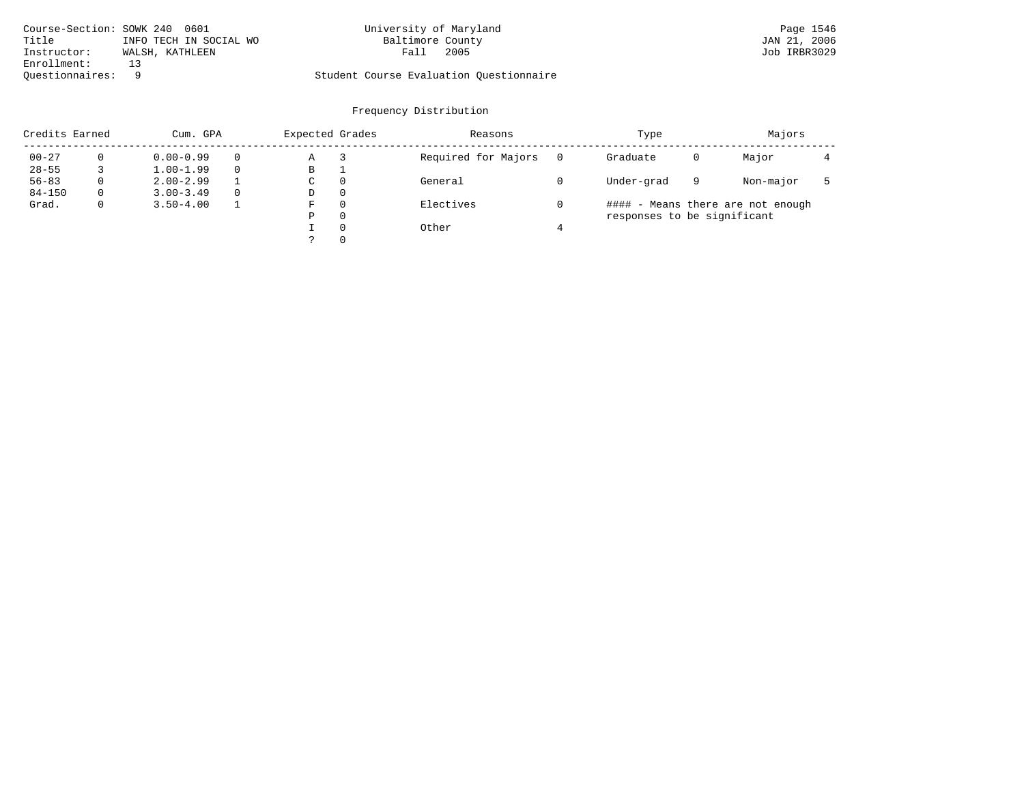| Course-Section: SOWK 240 0601 |                        | University of Maryland                  | Page 1546    |
|-------------------------------|------------------------|-----------------------------------------|--------------|
| Title                         | INFO TECH IN SOCIAL WO | Baltimore County                        | JAN 21, 2006 |
| Instructor:                   | WALSH, KATHLEEN        | 2005<br>Fall                            | Job IRBR3029 |
| Enrollment:                   | าว                     |                                         |              |
| Ouestionnaires:               |                        | Student Course Evaluation Questionnaire |              |

|            | Credits Earned<br>Cum. GPA |               |          | Expected Grades |          | Reasons             | Type                        | Majors |                                   |  |
|------------|----------------------------|---------------|----------|-----------------|----------|---------------------|-----------------------------|--------|-----------------------------------|--|
| $00 - 27$  |                            | $0.00 - 0.99$ |          | Α               |          | Required for Majors | Graduate                    | 0      | Major                             |  |
| $28 - 55$  |                            | $1.00 - 1.99$ |          | В               |          |                     |                             |        |                                   |  |
| $56 - 83$  | $\Omega$                   | $2.00 - 2.99$ |          | C               | $\Omega$ | General             | Under-grad                  | 9      | Non-major                         |  |
| $84 - 150$ | $\Omega$                   | $3.00 - 3.49$ | $\Omega$ | D               | $\Omega$ |                     |                             |        |                                   |  |
| Grad.      | 0                          | $3.50 - 4.00$ |          | F               | $\Omega$ | Electives           |                             |        | #### - Means there are not enough |  |
|            |                            |               |          | Ρ               | $\Omega$ |                     | responses to be significant |        |                                   |  |
|            |                            |               |          |                 | $\Omega$ | Other               |                             |        |                                   |  |
|            |                            |               |          |                 | $\Omega$ |                     |                             |        |                                   |  |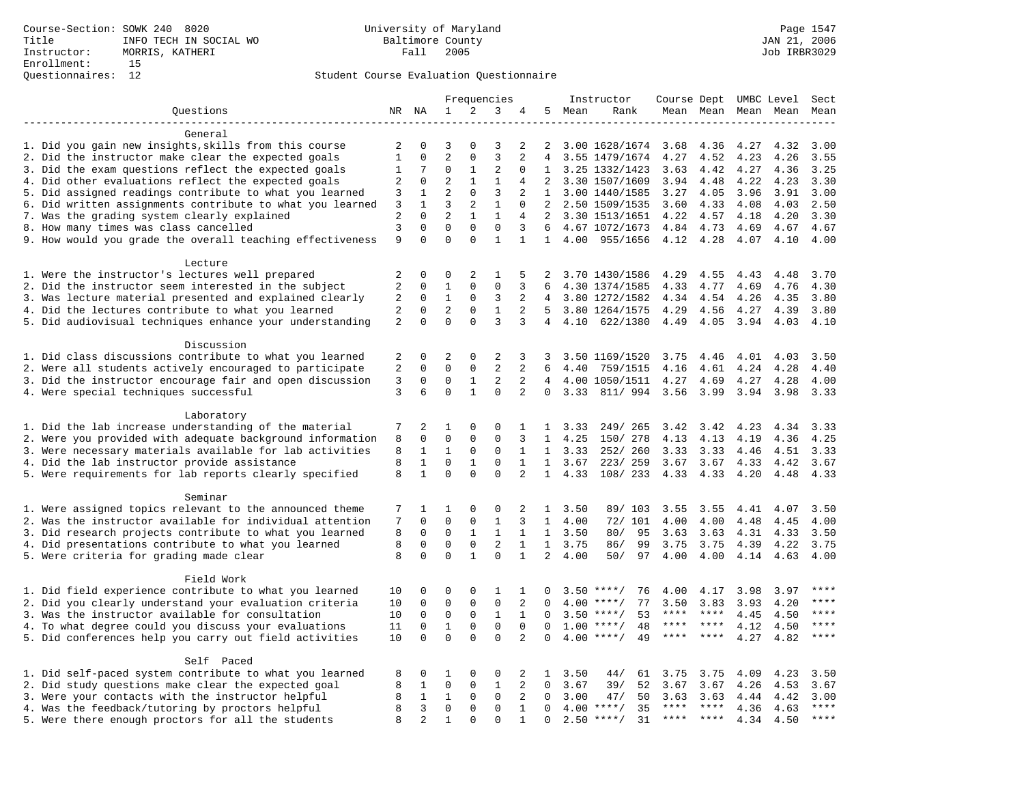|                                                                                                       | Frequencies         |                          |                     |                   | Instructor        | Course Dept UMBC Level |                |         |                                  | Sect         |              |                     |              |                 |
|-------------------------------------------------------------------------------------------------------|---------------------|--------------------------|---------------------|-------------------|-------------------|------------------------|----------------|---------|----------------------------------|--------------|--------------|---------------------|--------------|-----------------|
| Questions                                                                                             |                     | NR NA                    | $\mathbf{1}$        | 2                 | 3                 | 4                      |                | 5 Mean  | Rank                             |              |              | Mean Mean Mean Mean |              | Mean            |
|                                                                                                       |                     |                          |                     |                   |                   |                        |                |         |                                  |              |              |                     |              |                 |
| General                                                                                               |                     |                          |                     |                   |                   |                        |                |         |                                  |              |              |                     |              |                 |
| 1. Did you gain new insights, skills from this course                                                 | 2                   | 0                        | 3                   | $\Omega$          | 3                 | 2                      | 2              |         | 3.00 1628/1674                   | 3.68         | 4.36         | 4.27                | 4.32         | 3.00            |
| 2. Did the instructor make clear the expected goals                                                   | $\mathbf{1}$        | $\mathbf 0$              | $\overline{2}$      | $\mathbf 0$       | $\overline{3}$    | 2                      | $\overline{4}$ |         | 3.55 1479/1674                   | 4.27         | 4.52         | 4.23                | 4.26         | 3.55            |
| 3. Did the exam questions reflect the expected goals                                                  | 1                   | 7                        | 0                   | 1                 | 2                 | $\Omega$               | $\mathbf{1}$   |         | 3.25 1332/1423                   | 3.63         | 4.42         | 4.27                | 4.36         | 3.25            |
| 4. Did other evaluations reflect the expected goals                                                   | $\overline{2}$      | $\mathbf 0$              | $\overline{a}$      | $\mathbf{1}$      | $\mathbf{1}$      | 4                      | 2              |         | 3.30 1507/1609                   | 3.94         | 4.48         | 4.22                | 4.23         | 3.30            |
| 5. Did assigned readings contribute to what you learned                                               | 3                   | $\mathbf{1}$             | $\overline{2}$      | $\mathbf 0$       | 3                 | 2                      | $\mathbf{1}$   |         | 3.00 1440/1585                   | 3.27         | 4.05         | 3.96                | 3.91         | 3.00            |
| 6. Did written assignments contribute to what you learned                                             | 3                   | $\mathbf{1}$<br>$\Omega$ | 3<br>$\overline{2}$ | 2<br>$\mathbf{1}$ | $\mathbf{1}$      | $\mathbf 0$            | 2<br>2         |         | 2.50 1509/1535                   | 3.60         | 4.33         | 4.08                | 4.03         | 2.50            |
| 7. Was the grading system clearly explained<br>8. How many times was class cancelled                  | 2<br>$\overline{3}$ | $\mathbf 0$              | $\mathbf 0$         | $\mathbf 0$       | 1<br>$\mathbf{0}$ | $\overline{4}$<br>3    | 6              |         | 3.30 1513/1651<br>4.67 1072/1673 | 4.22<br>4.84 | 4.57<br>4.73 | 4.18<br>4.69        | 4.20<br>4.67 | 3.30<br>4.67    |
| 9. How would you grade the overall teaching effectiveness                                             | 9                   | $\Omega$                 | $\Omega$            | $\Omega$          | $\mathbf{1}$      | $\mathbf{1}$           | $\mathbf{1}$   |         | 4.00 955/1656                    | 4.12         | 4.28         | 4.07                | 4.10         | 4.00            |
|                                                                                                       |                     |                          |                     |                   |                   |                        |                |         |                                  |              |              |                     |              |                 |
| Lecture                                                                                               |                     |                          |                     |                   |                   |                        |                |         |                                  |              |              |                     |              |                 |
| 1. Were the instructor's lectures well prepared                                                       | $\overline{2}$      | $\mathbf 0$              | $\mathbf 0$         | 2                 | 1                 | 5                      | 2              |         | 3.70 1430/1586                   | 4.29         | 4.55         | 4.43                | 4.48         | 3.70            |
| 2. Did the instructor seem interested in the subject                                                  | $\overline{2}$      | $\mathbf 0$              | $\mathbf{1}$        | $\mathbf 0$       | $\mathsf 0$       | 3                      | 6              |         | 4.30 1374/1585                   | 4.33         | 4.77         | 4.69                | 4.76         | 4.30            |
| 3. Was lecture material presented and explained clearly                                               | 2                   | 0                        | 1                   | 0                 | 3                 | 2                      | 4              |         | 3.80 1272/1582                   | 4.34         | 4.54         | 4.26                | 4.35         | 3.80            |
| 4. Did the lectures contribute to what you learned                                                    | 2                   | 0                        | $\overline{c}$      | 0                 | 1                 | 2                      | .5             |         | 3.80 1264/1575                   | 4.29         | 4.56         | 4.27                | 4.39         | 3.80            |
| 5. Did audiovisual techniques enhance your understanding                                              | 2                   | $\Omega$                 | $\Omega$            | $\Omega$          | 3                 | 3                      | $\overline{4}$ | 4.10    | 622/1380                         | 4.49         | 4.05         | 3.94                | 4.03         | 4.10            |
|                                                                                                       |                     |                          |                     |                   |                   |                        |                |         |                                  |              |              |                     |              |                 |
| Discussion                                                                                            |                     |                          |                     |                   |                   |                        |                |         |                                  |              |              |                     |              |                 |
| 1. Did class discussions contribute to what you learned                                               | 2                   | $\mathbf 0$              | $\overline{c}$      | $\mathbf{0}$      | 2                 | 3                      | 3              |         | 3.50 1169/1520                   | 3.75         | 4.46         | 4.01                | 4.03         | 3.50            |
| 2. Were all students actively encouraged to participate                                               | $\overline{2}$      | $\mathbf 0$              | $\mathbf 0$         | $\mathbf 0$       | $\overline{2}$    | $\overline{2}$         | 6              | 4.40    | 759/1515                         | 4.16         | 4.61         | 4.24                | 4.28         | 4.40            |
| 3. Did the instructor encourage fair and open discussion                                              | 3                   | 0                        | $\mathbf 0$         | $\mathbf{1}$      | $\overline{2}$    | 2                      | 4              |         | 4.00 1050/1511                   | 4.27         | 4.69         | 4.27                | 4.28         | 4.00            |
| 4. Were special techniques successful                                                                 | 3                   | 6                        | $\Omega$            | $\mathbf{1}$      | $\Omega$          | $\overline{a}$         | $\Omega$       | 3.33    | 811/ 994                         | 3.56         | 3.99         | 3.94                | 3.98         | 3.33            |
|                                                                                                       |                     |                          |                     |                   |                   |                        |                |         |                                  |              |              |                     |              |                 |
| Laboratory                                                                                            |                     |                          |                     |                   |                   |                        |                |         |                                  |              |              |                     |              |                 |
| 1. Did the lab increase understanding of the material                                                 | 7                   | 2                        | 1                   | 0                 | 0                 | $\mathbf{1}$           | $\mathbf{1}$   | 3.33    | 249/265                          | 3.42         | 3.42         | 4.23                | 4.34         | 3.33            |
| 2. Were you provided with adequate background information                                             | 8                   | $\mathbf 0$              | $\mathbf 0$         | $\mathbf 0$       | $\mathbf 0$       | 3                      | $\mathbf{1}$   | 4.25    | 150/ 278                         | 4.13         | 4.13         | 4.19                | 4.36         | 4.25            |
| 3. Were necessary materials available for lab activities                                              | 8                   | $\mathbf{1}$             | $\mathbf{1}$        | $\mathbf 0$       | $\mathbf 0$       | $\mathbf{1}$           |                | 1, 3.33 | 252/ 260                         | 3.33         | 3.33         | 4.46                | 4.51         | 3.33            |
| 4. Did the lab instructor provide assistance                                                          | 8                   | $\mathbf{1}$             | $\mathbf 0$         | 1                 | $\mathbf 0$       | $\mathbf{1}$           |                | 1, 3.67 | 223/ 259                         | 3.67         | 3.67         | 4.33                | 4.42         | 3.67            |
| 5. Were requirements for lab reports clearly specified                                                | 8                   | $\mathbf{1}$             | $\Omega$            | $\Omega$          | $\Omega$          | 2                      | $\mathbf{1}$   | 4.33    | 108/ 233                         | 4.33         | 4.33         | 4.20                | 4.48         | 4.33            |
| Seminar                                                                                               |                     |                          |                     |                   |                   |                        |                |         |                                  |              |              |                     |              |                 |
| 1. Were assigned topics relevant to the announced theme                                               | 7                   | 1                        | 1                   | $\mathsf 0$       | 0                 | 2                      | $\mathbf{1}$   | 3.50    | 89/ 103                          | 3.55         | 3.55         | 4.41                | 4.07         | 3.50            |
| 2. Was the instructor available for individual attention                                              | 7                   | $\mathbf 0$              | 0                   | $\mathsf 0$       | $\mathbf{1}$      | 3                      | $\mathbf{1}$   | 4.00    | 72/ 101                          | 4.00         | 4.00         | 4.48                | 4.45         | 4.00            |
| 3. Did research projects contribute to what you learned                                               | 8                   | $\mathbf 0$              | $\mathbf 0$         | 1                 | 1                 | 1                      | $\mathbf{1}$   | 3.50    | 80/<br>95                        | 3.63         | 3.63         | 4.31                | 4.33         | 3.50            |
| 4. Did presentations contribute to what you learned                                                   | 8                   | $\mathbf 0$              | $\mathbf 0$         | $\mathbf 0$       | 2                 | $\mathbf{1}$           | $\mathbf{1}$   | 3.75    | 86/<br>99                        | 3.75         | 3.75         | 4.39                | 4.22         | 3.75            |
| 5. Were criteria for grading made clear                                                               | 8                   | $\mathbf 0$              | $\Omega$            | $\mathbf{1}$      | $\Omega$          | $\mathbf{1}$           | $\overline{2}$ | 4.00    | 50/<br>97                        | 4.00         | 4.00         | 4.14                | 4.63         | 4.00            |
|                                                                                                       |                     |                          |                     |                   |                   |                        |                |         |                                  |              |              |                     |              |                 |
| Field Work                                                                                            |                     |                          |                     |                   |                   |                        |                |         |                                  |              |              |                     |              |                 |
| 1. Did field experience contribute to what you learned                                                | 10                  | 0                        | $\Omega$            | $\Omega$          | 1                 | 1                      | $\Omega$       |         | $3.50$ ****/<br>76               | 4.00         | 4.17         | 3.98                | 3.97         | ****            |
| 2. Did you clearly understand your evaluation criteria                                                | 10                  | $\mathbf 0$              | $\mathbf 0$         | $\mathbf 0$       | $\mathbf 0$       | $\overline{c}$         | $\Omega$       | 4.00    | 77<br>$***$ /                    | 3.50         | 3.83         | 3.93                | 4.20         | ****            |
| 3. Was the instructor available for consultation                                                      | 10                  | $\mathbf 0$              | $\mathbf 0$         | 0                 | 1                 | $\mathbf{1}$           | $\mathbf 0$    | 3.50    | $***/$<br>53                     | ****         | ****         | 4.45                | 4.50         | ****            |
| 4. To what degree could you discuss your evaluations                                                  | 11                  | $\mathbf 0$              | $\mathbf{1}$        | $\mathbf{0}$      | $\mathbf 0$       | 0                      | $\Omega$       | 1.00    | $***/$<br>48                     | $***$ * *    | $***$ *      | 4.12                | 4.50         | $***$           |
| 5. Did conferences help you carry out field activities                                                |                     |                          | $\Omega$            | $\Omega$          | $\Omega$          | 2                      | $\Omega$       | 4.00    | 49<br>$***$ /                    | ****         | $***$        | 4.27                | 4.82         | $***$           |
|                                                                                                       |                     |                          |                     |                   |                   |                        |                |         |                                  |              |              |                     |              |                 |
| Self Paced                                                                                            |                     |                          |                     |                   |                   |                        |                |         |                                  |              |              |                     |              |                 |
| 1. Did self-paced system contribute to what you learned                                               | 8                   | 0                        | 1                   | 0                 | 0                 | 2                      | $\mathbf{1}$   | 3.50    | 44/<br>61                        | 3.75         | 3.75         | 4.09                | 4.23         | 3.50            |
| 2. Did study questions make clear the expected goal                                                   | 8<br>8              | $\mathbf{1}$<br>1        | $\mathbf 0$         | $\mathbf 0$       | $\mathbf{1}$      | 2                      | $\Omega$       | 3.67    | 39/<br>52                        | 3.67         | 3.67         | 4.26                | 4.53         | 3.67            |
| 3. Were your contacts with the instructor helpful<br>4. Was the feedback/tutoring by proctors helpful |                     |                          | 1                   | $\mathbf 0$       | $\mathbf 0$       | 2                      | $\Omega$       | 3.00    | 47/<br>50                        | 3.63<br>**** | 3.63         | 4.44                | 4.42         | 3.00<br>* * * * |
|                                                                                                       | 8                   | 3                        | 0                   | $\mathbf{0}$      | $\mathbf 0$       | $\mathbf{1}$           | $\Omega$       | 4.00    | $***/$<br>35                     | **** ****    | ****         | 4.36                | 4.63         | $***$           |
| 5. Were there enough proctors for all the students                                                    | 8                   | $\overline{2}$           | $\mathbf 1$         | $\Omega$          | $\Omega$          | $\mathbf{1}$           | 0              |         | 31<br>$2.50$ ****/               |              |              | 4.34                | 4.50         |                 |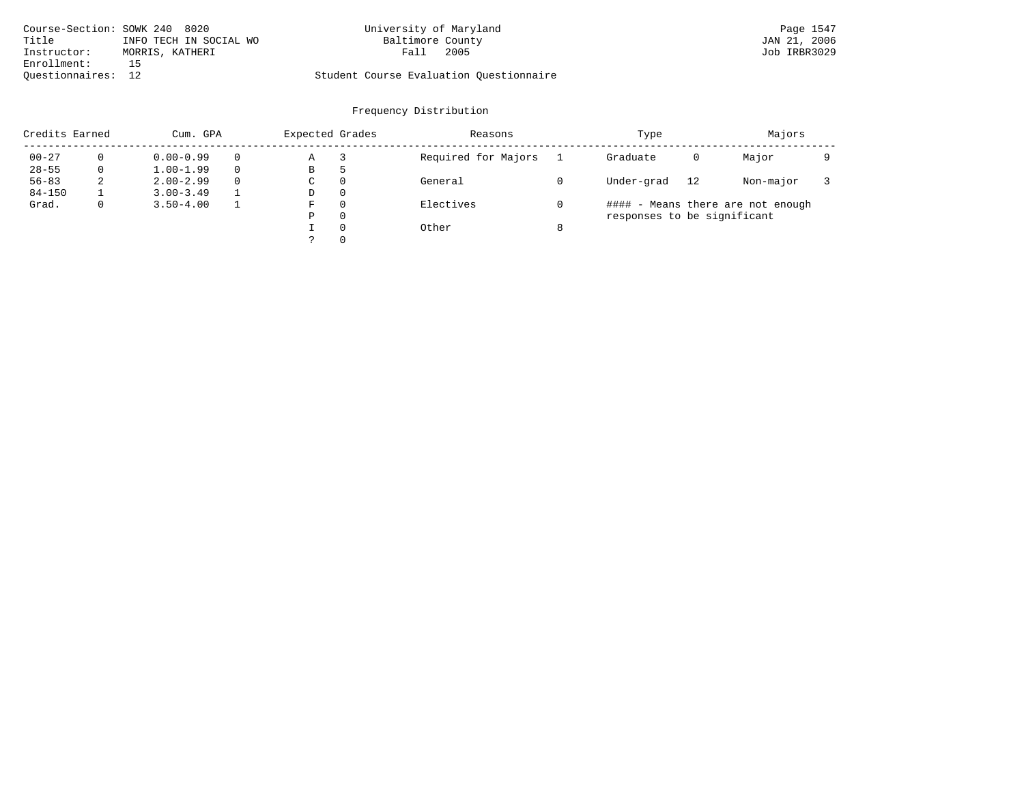| Course-Section: SOWK 240 8020 |                        | University of Maryland                  | Page 1547    |
|-------------------------------|------------------------|-----------------------------------------|--------------|
| Title                         | INFO TECH IN SOCIAL WO | Baltimore County                        | JAN 21, 2006 |
| Instructor:                   | MORRIS, KATHERI        | 2005<br>Fall                            | Job IRBR3029 |
| Enrollment:                   |                        |                                         |              |
| Ouestionnaires: 12            |                        | Student Course Evaluation Ouestionnaire |              |

|            | Credits Earned<br>Cum. GPA |               |   | Expected Grades |          | Reasons             |   | Type                              | Majors |           |  |
|------------|----------------------------|---------------|---|-----------------|----------|---------------------|---|-----------------------------------|--------|-----------|--|
| $00 - 27$  | 0                          | $0.00 - 0.99$ |   | Α               |          | Required for Majors |   | Graduate                          | 0      | Major     |  |
| $28 - 55$  | 0                          | $1.00 - 1.99$ |   | В               | ל        |                     |   |                                   |        |           |  |
| $56 - 83$  | 2                          | $2.00 - 2.99$ | 0 | $\sim$<br>◡     | $\Omega$ | General             |   | Under-grad                        | 12     | Non-major |  |
| $84 - 150$ |                            | $3.00 - 3.49$ |   | D               | 0        |                     |   |                                   |        |           |  |
| Grad.      | 0                          | $3.50 - 4.00$ |   | F               | 0        | Electives           |   | #### - Means there are not enough |        |           |  |
|            |                            |               |   | Ρ               | 0        |                     |   | responses to be significant       |        |           |  |
|            |                            |               |   |                 | $\Omega$ | Other               | 8 |                                   |        |           |  |
|            |                            |               |   | C               |          |                     |   |                                   |        |           |  |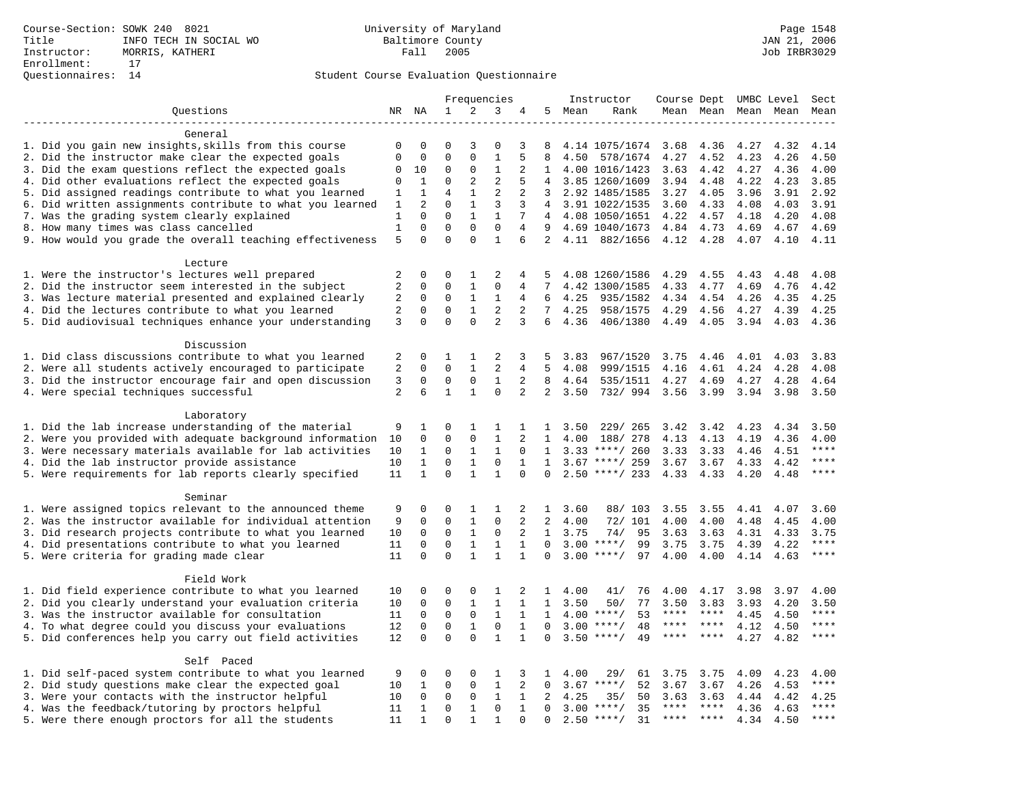|                                                           | Frequencies  |                         | Instructor              | Course Dept UMBC Level   |              |                   |                   | Sect   |                               |                     |              |                     |      |               |
|-----------------------------------------------------------|--------------|-------------------------|-------------------------|--------------------------|--------------|-------------------|-------------------|--------|-------------------------------|---------------------|--------------|---------------------|------|---------------|
| Questions                                                 | NR NA        |                         | $\mathbf{1}$            | 2                        | 3            | 4                 |                   | 5 Mean | Rank                          |                     |              | Mean Mean Mean Mean |      | Mean          |
| -------------------                                       |              |                         |                         |                          |              |                   |                   |        |                               |                     |              |                     |      |               |
| General                                                   |              |                         |                         |                          |              |                   |                   |        |                               |                     |              |                     |      |               |
| 1. Did you gain new insights, skills from this course     | 0            | 0                       | $\Omega$                | 3                        | $\Omega$     | 3                 | 8                 |        | 4.14 1075/1674                | 3.68                | 4.36         | 4.27                | 4.32 | 4.14          |
| 2. Did the instructor make clear the expected goals       | $\mathbf 0$  | $\mathbf 0$             | $\mathbf 0$             | $\mathbf{0}$             | $\mathbf{1}$ | 5                 | 8                 | 4.50   | 578/1674                      | 4.27                | 4.52         | 4.23                | 4.26 | 4.50          |
| 3. Did the exam questions reflect the expected goals      | 0            | 10                      | 0                       | 0                        | 1            | 2                 | 1                 |        | 4.00 1016/1423                | 3.63                | 4.42         | 4.27                | 4.36 | 4.00          |
| 4. Did other evaluations reflect the expected goals       | $\Omega$     | 1                       | $\Omega$                | 2                        | 2            | 5                 | $\overline{4}$    |        | 3.85 1260/1609                | 3.94                | 4.48         | 4.22                | 4.23 | 3.85          |
| 5. Did assigned readings contribute to what you learned   | 1            | $\mathbf{1}$            | $\overline{4}$          | $\mathbf{1}$             | 2            | 2                 | 3                 |        | 2.92 1485/1585                | 3.27                | 4.05         | 3.96                | 3.91 | 2.92          |
| 6. Did written assignments contribute to what you learned | 1            | $\overline{a}$          | $\mathbf 0$             | $\mathbf{1}$             | 3            | 3                 |                   |        | 4 3.91 1022/1535              | 3.60                | 4.33         | 4.08                | 4.03 | 3.91          |
| 7. Was the grading system clearly explained               | $\mathbf{1}$ | $\Omega$                | $\Omega$                | $\mathbf{1}$             | $\mathbf{1}$ | 7                 | $\overline{4}$    |        | 4.08 1050/1651                | 4.22                | 4.57         | 4.18                | 4.20 | 4.08          |
| 8. How many times was class cancelled                     | $\mathbf{1}$ | $\mathbf 0$             | $\mathbf 0$             | $\mathbf 0$              | $\mathbf 0$  | 4                 | 9                 |        | 4.69 1040/1673                | 4.84                | 4.73         | 4.69                | 4.67 | 4.69          |
| 9. How would you grade the overall teaching effectiveness | 5            | $\Omega$                | $\Omega$                | $\Omega$                 | $\mathbf{1}$ | 6                 |                   |        | 2 4.11 882/1656               | 4.12 4.28           |              | 4.07                | 4.10 | 4.11          |
| Lecture                                                   |              |                         |                         |                          |              |                   |                   |        |                               |                     |              |                     |      |               |
| 1. Were the instructor's lectures well prepared           | 2            | $\Omega$                | $\Omega$                | 1                        | 2            | 4                 | 5                 |        | 4.08 1260/1586                | 4.29                | 4.55         | 4.43                | 4.48 | 4.08          |
| 2. Did the instructor seem interested in the subject      | 2            | $\mathbf 0$             | $\mathbf 0$             | $\mathbf{1}$             | 0            | 4                 | 7                 |        | 4.42 1300/1585                | 4.33                | 4.77         | 4.69                | 4.76 | 4.42          |
| 3. Was lecture material presented and explained clearly   | 2            | $\mathbf 0$             | $\mathbf 0$             | $\mathbf{1}$             | $\mathbf{1}$ | 4                 | 6                 | 4.25   | 935/1582                      | 4.34                | 4.54         | 4.26                | 4.35 | 4.25          |
| 4. Did the lectures contribute to what you learned        | 2            | $\mathbf 0$             | $\mathbf 0$             | $\mathbf{1}$             | 2            | 2                 | $7\overline{ }$   | 4.25   | 958/1575                      | 4.29                | 4.56         | 4.27                | 4.39 | 4.25          |
| 5. Did audiovisual techniques enhance your understanding  | 3            | $\Omega$                | $\Omega$                | $\Omega$                 | 2            | 3                 | 6                 | 4.36   | 406/1380                      | 4.49                | 4.05         | 3.94                | 4.03 | 4.36          |
|                                                           |              |                         |                         |                          |              |                   |                   |        |                               |                     |              |                     |      |               |
| Discussion                                                |              |                         |                         |                          |              |                   |                   |        |                               |                     |              |                     |      |               |
| 1. Did class discussions contribute to what you learned   | 2            | $\mathbf 0$             | 1                       | 1                        | 2            | 3                 | 5                 | 3.83   | 967/1520                      | 3.75                | 4.46         | 4.01                | 4.03 | 3.83          |
| 2. Were all students actively encouraged to participate   | 2            | $\Omega$                | $\Omega$                | $\mathbf{1}$             | 2            | 4                 | 5                 | 4.08   | 999/1515                      | 4.16                | 4.61         | 4.24                | 4.28 | 4.08          |
| 3. Did the instructor encourage fair and open discussion  | 3            | $\mathsf 0$             | $\mathbf 0$             | $\mathbf 0$              | $\mathbf{1}$ | 2                 | 8                 | 4.64   | 535/1511                      | 4.27                | 4.69         | 4.27                | 4.28 | 4.64          |
| 4. Were special techniques successful                     | 2            | 6                       | $\mathbf{1}$            | $\mathbf{1}$             | $\mathbf 0$  | $\overline{a}$    | $\overline{2}$    | 3.50   | 732/994                       | 3.56                | 3.99         | 3.94                | 3.98 | 3.50          |
|                                                           |              |                         |                         |                          |              |                   |                   |        |                               |                     |              |                     |      |               |
| Laboratory                                                |              |                         |                         |                          |              |                   |                   |        |                               |                     |              |                     |      |               |
| 1. Did the lab increase understanding of the material     | 9            | 1                       | 0                       | 1                        | 1            | 1                 | $\mathbf{1}$      | 3.50   | 229/ 265                      | 3.42                | 3.42         | 4.23                | 4.34 | 3.50          |
| 2. Were you provided with adequate background information | 10           | 0                       | 0                       | 0                        | 1            | 2                 | $\mathbf{1}$      | 4.00   | 188/ 278                      | 4.13                | 4.13         | 4.19                | 4.36 | 4.00          |
| 3. Were necessary materials available for lab activities  | 10           | 1                       | 0                       | 1                        | $\mathbf{1}$ | $\mathbf 0$       | $\mathbf{1}$      |        | $3.33$ ****/ 260              | 3.33                | 3.33         | 4.46                | 4.51 | $***$         |
| 4. Did the lab instructor provide assistance              | 10           | $\mathbf{1}$            | $\Omega$                | $\mathbf{1}$             | $\Omega$     | $\mathbf{1}$      | $\mathbf{1}$      |        | $3.67$ ****/ 259              | 3.67                | 3.67         | 4.33                | 4.42 | ****          |
| 5. Were requirements for lab reports clearly specified    | 11           | $\mathbf{1}$            | $\mathbf 0$             | $\mathbf{1}$             | $\mathbf{1}$ | $\mathbf 0$       | $\mathbf 0$       |        | $2.50$ ****/ 233              | 4.33                | 4.33         | 4.20                | 4.48 | $***$         |
|                                                           |              |                         |                         |                          |              |                   |                   |        |                               |                     |              |                     |      |               |
| Seminar                                                   |              |                         |                         |                          |              |                   |                   |        |                               |                     |              |                     |      |               |
| 1. Were assigned topics relevant to the announced theme   | 9            | 0                       | 0                       | 1                        | 1            | 2                 | $\mathbf{1}$      | 3.60   | 88/ 103                       | 3.55                | 3.55         | 4.41                | 4.07 | 3.60          |
| 2. Was the instructor available for individual attention  | 9            | $\mathbf 0$             | $\mathbf 0$             | $\mathbf{1}$             | $\mathbf 0$  | 2                 | 2                 | 4.00   | 72/ 101                       | 4.00                | 4.00         | 4.48                | 4.45 | 4.00          |
| 3. Did research projects contribute to what you learned   | 10           | $\mathbf 0$             | $\mathbf 0$             | $\mathbf{1}$             | $\mathbf 0$  | 2                 | 1                 | 3.75   | 74/<br>95                     | 3.63                | 3.63         | 4.31                | 4.33 | 3.75          |
| 4. Did presentations contribute to what you learned       | 11           | $\mathbf 0$             | $\mathbf 0$             | $\mathbf{1}$             | $\mathbf{1}$ | $\mathbf{1}$      | $\Omega$          | 3.00   | $***/$<br>99                  | 3.75                | 3.75         | 4.39                | 4.22 | $***$         |
| 5. Were criteria for grading made clear                   | 11           | $\Omega$                | $\Omega$                | $\mathbf{1}$             | $\mathbf{1}$ | $\mathbf{1}$      | $\Omega$          |        | $3.00$ ****/<br>97            | 4.00                | 4.00         | 4.14                | 4.63 | $***$         |
| Field Work                                                |              |                         |                         |                          |              |                   |                   |        |                               |                     |              |                     |      |               |
|                                                           | 10           | 0                       | 0                       | 0                        |              |                   |                   | 4.00   | 41/<br>76                     | 4.00                |              |                     |      |               |
| 1. Did field experience contribute to what you learned    |              |                         |                         |                          | 1            | 2<br>$\mathbf{1}$ | $\mathbf{1}$<br>1 |        |                               |                     | 4.17         | 3.98                | 3.97 | 4.00          |
| 2. Did you clearly understand your evaluation criteria    | 10           | $\mathbf 0$             | 0                       | 1                        | 1            |                   |                   | 3.50   | 50/<br>77                     | 3.50<br>$***$ * * * | 3.83<br>**** | 3.93                | 4.20 | 3.50<br>$***$ |
| 3. Was the instructor available for consultation          | 11           | $\mathbf 0$             | $\mathbf 0$             | $\mathbf 0$              | $\mathbf{1}$ | $\mathbf{1}$      | $\mathbf{1}$      |        | $4.00$ ****/<br>53<br>$***$ / | $***$ * *           | $***$ *      | 4.45                | 4.50 | $***$         |
| 4. To what degree could you discuss your evaluations      | 12<br>12     | $\mathbf 0$<br>$\Omega$ | $\mathbf 0$<br>$\Omega$ | $\mathbf{1}$<br>$\Omega$ | $\mathbf 0$  | $\mathbf{1}$      | $\mathbf 0$       | 3.00   | 48<br>$***$ /                 | ****                | ****         | 4.12                | 4.50 | ****          |
| 5. Did conferences help you carry out field activities    |              |                         |                         |                          | $\mathbf{1}$ | $\mathbf{1}$      | $\Omega$          | 3.50   | 49                            |                     |              | 4.27                | 4.82 |               |
| Self Paced                                                |              |                         |                         |                          |              |                   |                   |        |                               |                     |              |                     |      |               |
| 1. Did self-paced system contribute to what you learned   | 9            | 0                       | 0                       | 0                        | 1            | 3                 | $\mathbf{1}$      | 4.00   | 29/<br>61                     | 3.75                | 3.75         | 4.09                | 4.23 | 4.00          |
| 2. Did study questions make clear the expected goal       | 10           | 1                       | $\mathbf 0$             | 0                        | $\mathbf{1}$ | 2                 | $\mathbf 0$       |        | $3.67$ ****/<br>52            | 3.67                | 3.67         | 4.26                | 4.53 | $***$ * * *   |
| 3. Were your contacts with the instructor helpful         | 10           | $\mathbf 0$             | 0                       | 0                        | 1            | $\mathbf 1$       | 2                 | 4.25   | 50<br>35/                     | 3.63                | 3.63         | 4.44                | 4.42 | 4.25          |
| 4. Was the feedback/tutoring by proctors helpful          | 11           | 1                       | $\mathbf 0$             | $\mathbf{1}$             | $\mathbf 0$  | $\mathbf{1}$      | $\Omega$          |        | $3.00$ ****/<br>35            | ****                | $***$ *      | 4.36                | 4.63 | $***$         |
| 5. Were there enough proctors for all the students        | 11           | $\mathbf{1}$            | $\Omega$                | $\mathbf{1}$             | $\mathbf{1}$ | $\Omega$          | $\Omega$          |        | $2.50$ ****/<br>31            | ****                | $***$ *      | 4.34                | 4.50 | $***$         |
|                                                           |              |                         |                         |                          |              |                   |                   |        |                               |                     |              |                     |      |               |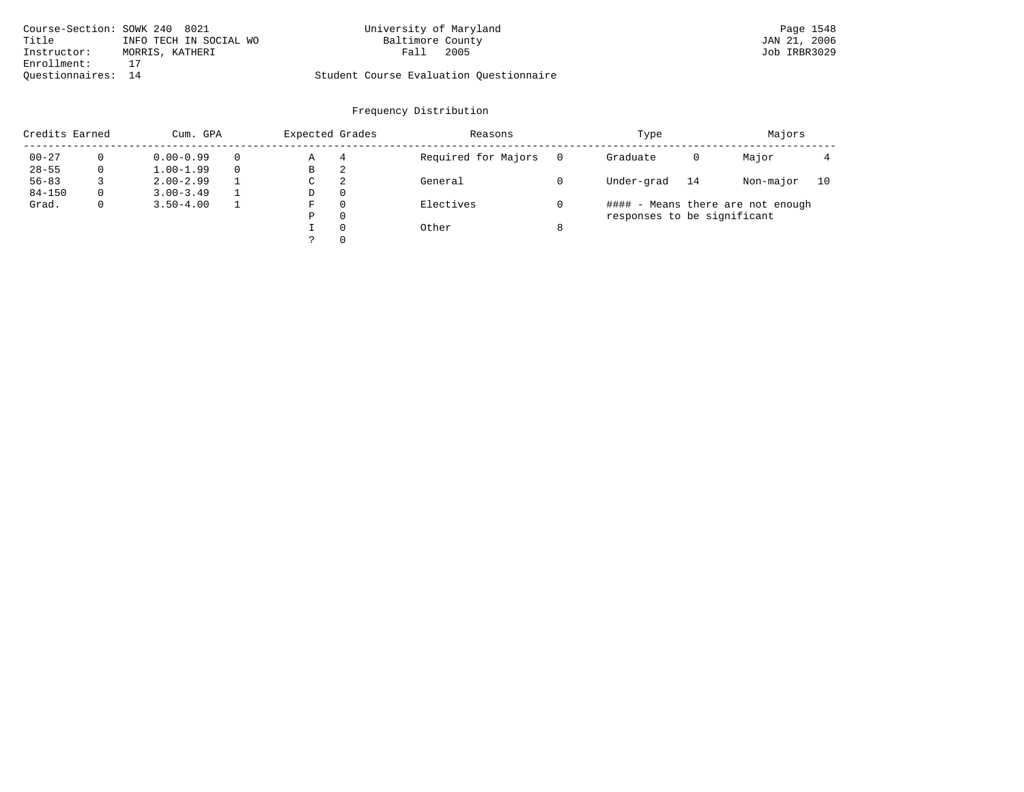| Course-Section: SOWK 240 8021 |                         | University of Maryland                  | Page 1548    |
|-------------------------------|-------------------------|-----------------------------------------|--------------|
| Title                         | INFO TECH IN SOCIAL WO  | Baltimore County                        | JAN 21, 2006 |
| Instructor:                   | Fall<br>MORRIS, KATHERI | 2005                                    | Job IRBR3029 |
| Enrollment:                   |                         |                                         |              |
| Ouestionnaires: 14            |                         | Student Course Evaluation Ouestionnaire |              |

|            | Credits Earned<br>Cum. GPA |               |          | Expected Grades |   | Reasons             |   | Type                        | Majors |                                   |    |
|------------|----------------------------|---------------|----------|-----------------|---|---------------------|---|-----------------------------|--------|-----------------------------------|----|
| $00 - 27$  |                            | $0.00 - 0.99$ | $\Omega$ | Α               | 4 | Required for Majors |   | Graduate                    | 0      | Major                             |    |
| $28 - 55$  | $\Omega$                   | $1.00 - 1.99$ | $\Omega$ | В               | 2 |                     |   |                             |        |                                   |    |
| $56 - 83$  |                            | $2.00 - 2.99$ |          | С               | 2 | General             |   | Under-grad                  | 14     | Non-major                         | 10 |
| $84 - 150$ | $\Omega$                   | $3.00 - 3.49$ |          | D               | 0 |                     |   |                             |        |                                   |    |
| Grad.      | 0                          | $3.50 - 4.00$ |          | F               | 0 | Electives           |   |                             |        | #### - Means there are not enough |    |
|            |                            |               |          | Ρ               | 0 |                     |   | responses to be significant |        |                                   |    |
|            |                            |               |          |                 | 0 | Other               | 8 |                             |        |                                   |    |
|            |                            |               |          |                 | 0 |                     |   |                             |        |                                   |    |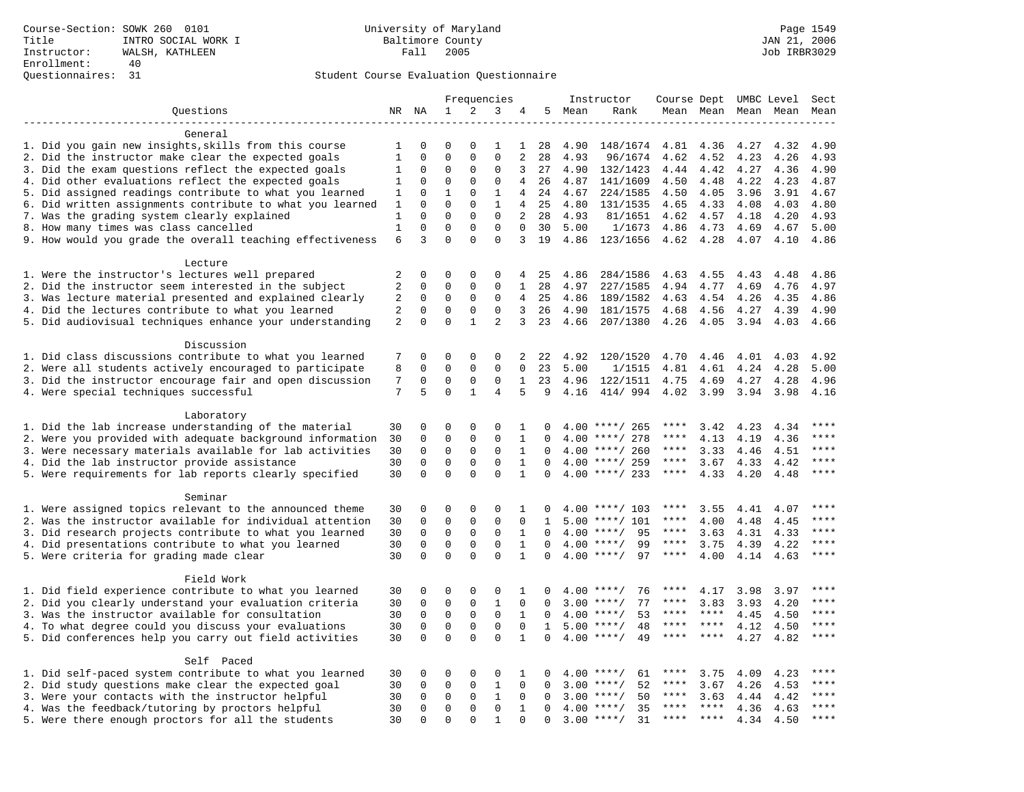|                                                           |                |                     |              |              | Frequencies    |                |              |      | Instructor         | Course Dept UMBC Level |                     |      |      | Sect                   |
|-----------------------------------------------------------|----------------|---------------------|--------------|--------------|----------------|----------------|--------------|------|--------------------|------------------------|---------------------|------|------|------------------------|
| Questions                                                 |                | NR NA               | $\mathbf 1$  | 2            | 3              | 4              | 5            | Mean | Rank               |                        | Mean Mean Mean Mean |      |      | Mean                   |
|                                                           |                |                     |              |              |                |                |              |      |                    |                        |                     |      |      |                        |
| General                                                   |                |                     |              |              |                |                |              |      |                    |                        |                     |      |      |                        |
| 1. Did you gain new insights, skills from this course     | 1              | $\mathbf 0$         | $\mathbf 0$  | $\Omega$     | 1              | 1              | 28           | 4.90 | 148/1674           | 4.81                   | 4.36                | 4.27 | 4.32 | 4.90                   |
| 2. Did the instructor make clear the expected goals       | $\mathbf{1}$   | $\mathbf 0$         | $\mathbf{0}$ | $\Omega$     | $\Omega$       | $\overline{a}$ | 28           | 4.93 | 96/1674            | 4.62                   | 4.52                | 4.23 | 4.26 | 4.93                   |
| 3. Did the exam questions reflect the expected goals      | 1              | $\mathbf 0$         | $\Omega$     | $\Omega$     | $\Omega$       | 3              | 27           | 4.90 | 132/1423           | 4.44                   | 4.42                | 4.27 | 4.36 | 4.90                   |
| 4. Did other evaluations reflect the expected goals       | 1              | $\mathbf 0$         | $\mathbf{0}$ | $\mathbf 0$  | $\mathbf{0}$   | 4              | 26           | 4.87 | 141/1609           | 4.50                   | 4.48                | 4.22 | 4.23 | 4.87                   |
| 5. Did assigned readings contribute to what you learned   | 1              | $\mathbf 0$         | $\mathbf{1}$ | $\mathbf 0$  | $\mathbf{1}$   | $\overline{4}$ | 24           | 4.67 | 224/1585           | 4.50                   | 4.05                | 3.96 | 3.91 | 4.67                   |
| 6. Did written assignments contribute to what you learned | 1              | $\mathbf 0$         | $\mathbf 0$  | 0            | $\mathbf{1}$   | 4              | 25           | 4.80 | 131/1535           | 4.65                   | 4.33                | 4.08 | 4.03 | 4.80                   |
| 7. Was the grading system clearly explained               | 1              | $\Omega$            | $\Omega$     | $\Omega$     | $\mathbf 0$    | 2              | 28           | 4.93 | 81/1651            | 4.62                   | 4.57                | 4.18 | 4.20 | 4.93                   |
| 8. How many times was class cancelled                     | $\mathbf{1}$   | $\mathbf 0$         | $\mathbf{0}$ | $\mathbf 0$  | $\mathbf{0}$   | $\Omega$       | 30           | 5.00 | 1/1673             | 4.86                   | 4.73                | 4.69 | 4.67 | 5.00                   |
| 9. How would you grade the overall teaching effectiveness | 6              | 3                   | $\Omega$     | $\Omega$     | $\Omega$       | 3              | 19           | 4.86 | 123/1656           | 4.62                   | 4.28                | 4.07 | 4.10 | 4.86                   |
|                                                           |                |                     |              |              |                |                |              |      |                    |                        |                     |      |      |                        |
| Lecture                                                   |                |                     |              |              |                |                |              |      |                    |                        |                     |      |      |                        |
| 1. Were the instructor's lectures well prepared           | 2              | 0                   | 0            | $\mathbf 0$  | $\mathbf 0$    | 4              | 25           | 4.86 | 284/1586           | 4.63                   | 4.55                | 4.43 | 4.48 | 4.86                   |
| 2. Did the instructor seem interested in the subject      | 2              | 0                   | $\mathbf{0}$ | $\mathbf 0$  | $\mathbf 0$    | $\mathbf{1}$   | 28           | 4.97 | 227/1585           | 4.94                   | 4.77                | 4.69 | 4.76 | 4.97                   |
| 3. Was lecture material presented and explained clearly   | 2              | 0                   | $\mathbf 0$  | 0            | $\mathbf 0$    | 4              | 25           | 4.86 | 189/1582           | 4.63                   | 4.54                | 4.26 | 4.35 | 4.86                   |
| 4. Did the lectures contribute to what you learned        | 2              | $\Omega$            | $\mathbf{0}$ | $\Omega$     | $\Omega$       | 3              | 26           | 4.90 | 181/1575           | 4.68                   | 4.56                | 4.27 | 4.39 | 4.90                   |
| 5. Did audiovisual techniques enhance your understanding  | $\overline{a}$ | $\mathbf 0$         | $\mathbf 0$  | $\mathbf{1}$ | $\overline{2}$ | 3              | 23           | 4.66 | 207/1380           | 4.26                   | 4.05                | 3.94 | 4.03 | 4.66                   |
| Discussion                                                |                |                     |              |              |                |                |              |      |                    |                        |                     |      |      |                        |
| 1. Did class discussions contribute to what you learned   | 7              | 0                   | $\mathbf 0$  | $\mathbf 0$  | 0              | 2              | 22           | 4.92 | 120/1520           | 4.70                   | 4.46                | 4.01 | 4.03 | 4.92                   |
| 2. Were all students actively encouraged to participate   | 8              | $\mathbf 0$         | $\mathbf 0$  | $\mathbf 0$  | $\mathbf 0$    | $\Omega$       | 23           | 5.00 | 1/1515             | 4.81                   | 4.61                | 4.24 | 4.28 | 5.00                   |
| 3. Did the instructor encourage fair and open discussion  | 7              | $\mathbf 0$         | $\mathbf{0}$ | $\mathbf 0$  | $\mathbf{0}$   | $\mathbf{1}$   | 23           | 4.96 | 122/1511           | 4.75                   | 4.69                | 4.27 | 4.28 | 4.96                   |
| 4. Were special techniques successful                     | 7              | 5                   | $\Omega$     | $\mathbf{1}$ | $\overline{4}$ | 5              | 9            | 4.16 | 414/ 994           | 4.02                   | 3.99                | 3.94 | 3.98 | 4.16                   |
|                                                           |                |                     |              |              |                |                |              |      |                    |                        |                     |      |      |                        |
| Laboratory                                                |                |                     |              |              |                |                |              |      |                    |                        |                     |      |      |                        |
| 1. Did the lab increase understanding of the material     | 30             | 0                   | $\mathbf 0$  | $\mathbf 0$  | 0              | 1              | $\Omega$     |      | $4.00$ ****/ 265   | ****                   | 3.42                | 4.23 | 4.34 |                        |
| 2. Were you provided with adequate background information | 30             | $\mathbf 0$         | $\mathbf{0}$ | $\mathbf 0$  | $\mathbf{0}$   | $\mathbf{1}$   | $\Omega$     | 4.00 | ****/ 278          | ****                   | 4.13                | 4.19 | 4.36 | ****                   |
| 3. Were necessary materials available for lab activities  | 30             | $\mathbf 0$         | $\mathbf{0}$ | $\mathbf 0$  | $\mathbf{0}$   | $\mathbf{1}$   | $\Omega$     |      | $4.00$ ****/ 260   | $***$ * *              | 3.33                | 4.46 | 4.51 | ****                   |
| 4. Did the lab instructor provide assistance              | 30             | $\mathbf 0$         | $\mathbf{0}$ | $\mathbf 0$  | $\mathbf 0$    | $\mathbf{1}$   | $\Omega$     |      | $4.00$ ****/ 259   | $***$ * * *            | 3.67                | 4.33 | 4.42 | $***$                  |
| 5. Were requirements for lab reports clearly specified    | 30             | $\mathbf 0$         | $\mathbf{0}$ | $\Omega$     | $\mathbf 0$    | $\mathbf{1}$   | $\Omega$     |      | $4.00$ ****/ 233   | $***$ * * *            | 4.33                | 4.20 | 4.48 | ****                   |
|                                                           |                |                     |              |              |                |                |              |      |                    |                        |                     |      |      |                        |
| Seminar                                                   |                |                     |              |              |                |                |              |      |                    |                        |                     |      |      |                        |
| 1. Were assigned topics relevant to the announced theme   | 30             | 0                   | $\mathbf{0}$ | $\mathbf 0$  | 0              | 1              |              |      | $4.00$ ****/ 103   | ****                   | 3.55                | 4.41 | 4.07 | ****                   |
| 2. Was the instructor available for individual attention  | 30             | 0                   | $\mathbf 0$  | $\mathbf 0$  | $\mathbf{0}$   | 0              | $\mathbf{1}$ | 5.00 | $***/101$          | ****                   | 4.00                | 4.48 | 4.45 | ****                   |
| 3. Did research projects contribute to what you learned   | 30             | $\mathbf 0$         | $\mathbf 0$  | $\mathsf 0$  | $\mathsf 0$    | $\mathbf{1}$   | $\mathbf 0$  |      | $4.00$ ****/<br>95 | $***$ * *              | 3.63                | 4.31 | 4.33 | ****                   |
| 4. Did presentations contribute to what you learned       | 30             | $\mathbf 0$         | $\mathbf 0$  | $\mathbf 0$  | $\mathbf 0$    | $\mathbf{1}$   | $\Omega$     | 4.00 | 99<br>$***/$       | $***$ * * *            | 3.75                | 4.39 | 4.22 | $***$                  |
| 5. Were criteria for grading made clear                   | 30             | $\mathbf 0$         | $\mathbf{0}$ | $\Omega$     | $\Omega$       | $\mathbf 1$    | $\Omega$     |      | $4.00$ ****/<br>97 | $***$ * * *            | 4.00                | 4.14 | 4.63 | ****                   |
|                                                           |                |                     |              |              |                |                |              |      |                    |                        |                     |      |      |                        |
| Field Work                                                |                |                     |              |              |                |                |              |      |                    |                        |                     |      |      |                        |
| 1. Did field experience contribute to what you learned    | 30             | 0                   | $\mathbf 0$  | $\mathbf 0$  | 0              | 1              | $\Omega$     |      | $4.00$ ****/<br>76 | ****                   | 4.17                | 3.98 | 3.97 | * * * *                |
| 2. Did you clearly understand your evaluation criteria    | 30             | $\mathsf{O}\xspace$ | $\mathsf 0$  | $\Omega$     | $\mathbf{1}$   | $\Omega$       | $\Omega$     | 3.00 | 77<br>$***$ /      | ****                   | 3.83                | 3.93 | 4.20 | ****                   |
| 3. Was the instructor available for consultation          | 30             | $\mathbf 0$         | $\mathsf 0$  | $\mathsf 0$  | $\mathsf 0$    | $\mathbf{1}$   | 0            | 4.00 | $***$ /<br>53      | ****                   | ****                | 4.45 | 4.50 | $***$                  |
| 4. To what degree could you discuss your evaluations      | 30             | $\mathbf 0$         | $\mathbf 0$  | $\mathbf 0$  | $\mathsf 0$    | $\mathbf 0$    | 1            |      | $5.00$ ****/<br>48 | $***$ * * *            | $***$               | 4.12 | 4.50 | $\star\star\star\star$ |
| 5. Did conferences help you carry out field activities    | 30             | $\Omega$            | $\Omega$     | $\Omega$     | $\Omega$       | $\mathbf{1}$   | $\Omega$     | 4.00 | $***$ /<br>49      | ****                   | $***$               | 4.27 | 4.82 | $***$                  |
|                                                           |                |                     |              |              |                |                |              |      |                    |                        |                     |      |      |                        |
| Self Paced                                                |                |                     |              |              |                |                |              |      |                    |                        |                     |      |      |                        |
| 1. Did self-paced system contribute to what you learned   | 30             | 0                   | $\mathbf{0}$ | $\mathbf 0$  | $\mathbf{0}$   | 1              | $\Omega$     |      | $4.00$ ****/<br>61 | ****                   | 3.75                | 4.09 | 4.23 | $* * * *$              |
| 2. Did study questions make clear the expected goal       | 30             | $\mathbf 0$         | $\mathbf 0$  | $\mathbf 0$  | $\mathbf{1}$   | $\mathbf 0$    | $\Omega$     | 3.00 | $***/$<br>52       | $***$ * * *            | 3.67                | 4.26 | 4.53 | $***$ * * *            |
| 3. Were your contacts with the instructor helpful         | 30             | 0                   | $\mathsf 0$  | 0            | 1              | $\mathbf 0$    | $\Omega$     | 3.00 | 50<br>$***/$       | ****                   | 3.63                | 4.44 | 4.42 | ****                   |
| 4. Was the feedback/tutoring by proctors helpful          | 30             | 0                   | $\mathbf 0$  | $\mathbf 0$  | $\mathbf{0}$   | $\mathbf{1}$   | $\Omega$     | 4.00 | $***/$<br>35       | ****                   | ****                | 4.36 | 4.63 | ****                   |
| 5. Were there enough proctors for all the students        | 30             | $\Omega$            | $\mathbf{0}$ | $\Omega$     | $\mathbf{1}$   | $\Omega$       | $\Omega$     |      | $3.00$ ****/<br>31 | ****                   | ****                | 4.34 | 4.50 | ****                   |
|                                                           |                |                     |              |              |                |                |              |      |                    |                        |                     |      |      |                        |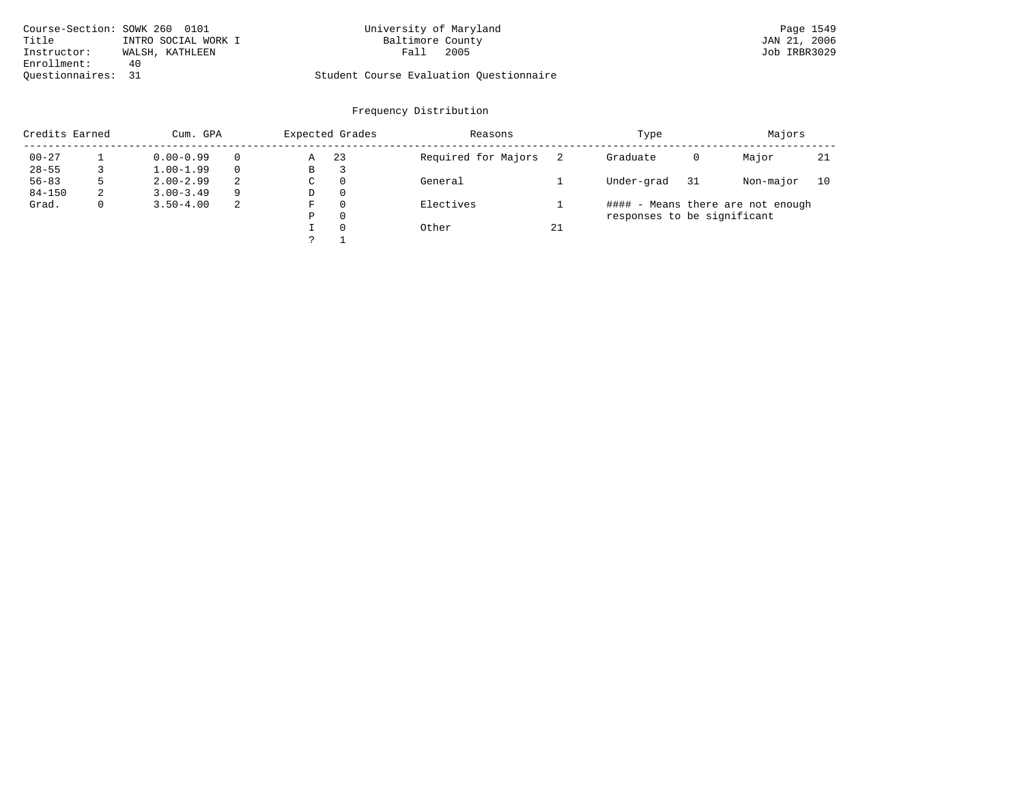| Course-Section: SOWK 260 0101 |                     | University of Maryland                  | Page 1549    |
|-------------------------------|---------------------|-----------------------------------------|--------------|
| Title                         | INTRO SOCIAL WORK I | Baltimore County                        | JAN 21, 2006 |
| Instructor:                   | WALSH, KATHLEEN     | 2005<br>Fall                            | Job IRBR3029 |
| Enrollment:                   | 40                  |                                         |              |
| Ouestionnaires: 31            |                     | Student Course Evaluation Questionnaire |              |

# University of Maryland Page 1549<br>Baltimore County Baltimore County (JAN 21, 2006

| Credits Earned |              | Cum. GPA      |    | Expected Grades |          | Reasons             |    | Type                        |    | Majors                            |     |
|----------------|--------------|---------------|----|-----------------|----------|---------------------|----|-----------------------------|----|-----------------------------------|-----|
| $00 - 27$      |              | $0.00 - 0.99$ |    | Α               | -23      | Required for Majors |    | Graduate                    | 0  | Major                             | -21 |
| $28 - 55$      |              | $1.00 - 1.99$ |    | В               | 3        |                     |    |                             |    |                                   |     |
| $56 - 83$      |              | $2.00 - 2.99$ | 2  | C               | $\Omega$ | General             |    | Under-grad                  | 31 | Non-major                         | 10  |
| $84 - 150$     | 2            | $3.00 - 3.49$ | 9  | D               | $\Omega$ |                     |    |                             |    |                                   |     |
| Grad.          | $\mathbf{0}$ | $3.50 - 4.00$ | -2 | F               | $\Omega$ | Electives           |    |                             |    | #### - Means there are not enough |     |
|                |              |               |    | Ρ               | $\Omega$ |                     |    | responses to be significant |    |                                   |     |
|                |              |               |    |                 | $\Omega$ | Other               | 21 |                             |    |                                   |     |
|                |              |               |    |                 |          |                     |    |                             |    |                                   |     |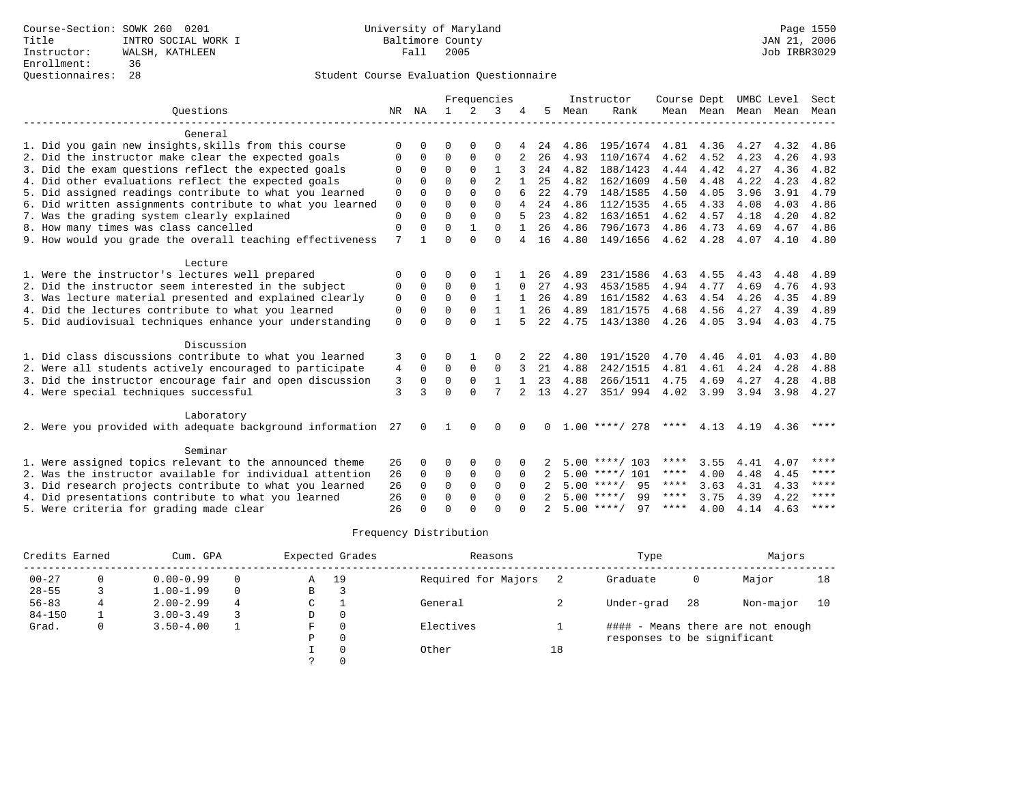|                                                           |                  |              |              |                | Frequencies    |          |                  |      | Instructor         | Course Dept |                |      | UMBC Level | Sect |
|-----------------------------------------------------------|------------------|--------------|--------------|----------------|----------------|----------|------------------|------|--------------------|-------------|----------------|------|------------|------|
| Ouestions                                                 | NR               | NA           | $\mathbf{1}$ | $\overline{2}$ | 3              |          | 5                | Mean | Rank               |             | Mean Mean Mean |      | Mean       | Mean |
|                                                           |                  |              |              |                |                |          |                  |      |                    |             |                |      |            |      |
| General                                                   |                  |              |              |                |                |          |                  |      |                    |             |                |      |            |      |
| 1. Did you gain new insights, skills from this course     | $\Omega$         |              | U            | ∩              | $\Omega$       |          | 24               | 4.86 | 195/1674           | 4.81        | 4.36           | 4.27 | 4.32       | 4.86 |
| 2. Did the instructor make clear the expected goals       | O                | 0            | $\Omega$     | $\Omega$       | $\Omega$       |          | 26               | 4.93 | 110/1674           | 4.62        | 4.52           | 4.23 | 4.26       | 4.93 |
| 3. Did the exam questions reflect the expected goals      | O                | $\Omega$     | $\Omega$     | $\Omega$       | 1              |          | 24               | 4.82 | 188/1423           | 4.44        | 4.42           | 4.27 | 4.36       | 4.82 |
| 4. Did other evaluations reflect the expected goals       | $\Omega$         | 0            | $\Omega$     | $\cap$         | $\overline{2}$ |          | 25               | 4.82 | 162/1609           | 4.50        | 4.48           | 4.22 | 4.23       | 4.82 |
| 5. Did assigned readings contribute to what you learned   | $\mathbf 0$      | $\Omega$     | $\Omega$     | $\Omega$       | $\Omega$       |          | 22               | 4.79 | 148/1585           | 4.50        | 4.05           | 3.96 | 3.91       | 4.79 |
| 6. Did written assignments contribute to what you learned | $\mathbf 0$      | $\Omega$     | $\Omega$     | $\Omega$       | $\Omega$       | 4        | 24               | 4.86 | 112/1535           | 4.65        | 4.33           | 4.08 | 4.03       | 4.86 |
| 7. Was the grading system clearly explained               | 0                | $\Omega$     | $\Omega$     | $\Omega$       | $\Omega$       | 5        | 23               | 4.82 | 163/1651           | 4.62        | 4.57           | 4.18 | 4.20       | 4.82 |
| 8. How many times was class cancelled                     | $\mathbf 0$      | O            | $\Omega$     | 1              | $\Omega$       |          | 26               | 4.86 | 796/1673           | 4.86        | 4.73           | 4.69 | 4.67       | 4.86 |
| 9. How would you grade the overall teaching effectiveness | 7                |              | $\Omega$     | $\Omega$       | $\Omega$       | 4        | 16               | 4.80 | 149/1656           | 4.62        | 4.28           | 4.07 | 4.10       | 4.80 |
| Lecture                                                   |                  |              |              |                |                |          |                  |      |                    |             |                |      |            |      |
|                                                           | $\Omega$         | 0            | U            | $\Omega$       |                |          | 26               | 4.89 | 231/1586           | 4.63        | 4.55           | 4.43 | 4.48       | 4.89 |
| 1. Were the instructor's lectures well prepared           |                  | $\Omega$     | $\Omega$     | $\Omega$       | 1              | $\Omega$ | 27               | 4.93 | 453/1585           | 4.94        | 4.77           | 4.69 | 4.76       | 4.93 |
| 2. Did the instructor seem interested in the subject      | 0<br>$\mathbf 0$ | $\Omega$     | $\Omega$     | $\Omega$       | $\mathbf{1}$   |          | 26               | 4.89 | 161/1582           | 4.63        | 4.54           | 4.26 | 4.35       | 4.89 |
| 3. Was lecture material presented and explained clearly   |                  | $\Omega$     | $\Omega$     | $\Omega$       | $\mathbf{1}$   |          | 26               |      |                    |             | 4.56           |      |            |      |
| 4. Did the lectures contribute to what you learned        | $\mathbf 0$      |              | $\Omega$     | $\Omega$       | $\mathbf{1}$   |          |                  | 4.89 | 181/1575           | 4.68        |                | 4.27 | 4.39       | 4.89 |
| 5. Did audiovisual techniques enhance your understanding  | $\mathbf 0$      | $\Omega$     |              |                |                | 5        | 2.2 <sub>1</sub> | 4.75 | 143/1380           | 4.26        | 4.05           | 3.94 | 4.03       | 4.75 |
| Discussion                                                |                  |              |              |                |                |          |                  |      |                    |             |                |      |            |      |
| 1. Did class discussions contribute to what you learned   | 3                | <sup>0</sup> | O            |                | $\Omega$       |          | 22               | 4.80 | 191/1520           | 4.70        | 4.46           | 4.01 | 4.03       | 4.80 |
| 2. Were all students actively encouraged to participate   | 4                | 0            | $\Omega$     | $\Omega$       | $\mathbf 0$    | 3        | 21               | 4.88 | 242/1515           | 4.81        | 4.61           | 4.24 | 4.28       | 4.88 |
| 3. Did the instructor encourage fair and open discussion  | 3                | 0            | $\Omega$     | $\Omega$       | $\mathbf{1}$   |          | 23               | 4.88 | 266/1511           | 4.75        | 4.69           | 4.27 | 4.28       | 4.88 |
| 4. Were special techniques successful                     | 3                | 3            | $\Omega$     | $\Omega$       | 7              |          | 13               | 4.27 | 351/994            | 4.02        | 3.99           | 3.94 | 3.98       | 4.27 |
|                                                           |                  |              |              |                |                |          |                  |      |                    |             |                |      |            |      |
| Laboratory                                                |                  |              |              |                |                |          |                  |      |                    |             |                |      |            |      |
| 2. Were you provided with adequate background information | -27              | <sup>0</sup> |              | $\Omega$       | $\Omega$       |          | <sup>0</sup>     |      | $1.00$ ****/ 278   | ****        | 4.13           | 4.19 | 4.36       | **** |
|                                                           |                  |              |              |                |                |          |                  |      |                    |             |                |      |            |      |
| Seminar                                                   |                  |              |              |                |                |          |                  |      |                    |             |                |      |            | **** |
| 1. Were assigned topics relevant to the announced theme   | 26               | 0            | O            | 0              | $\Omega$       |          |                  |      | $5.00$ ****/ 103   | ****        | 3.55           | 4.41 | 4.07       | **** |
| 2. Was the instructor available for individual attention  | 26               | $\Omega$     | $\Omega$     | $\Omega$       | $\Omega$       | $\Omega$ |                  |      | $5.00$ ****/ 101   | ****        | 4.00           | 4.48 | 4.45       | **** |
| 3. Did research projects contribute to what you learned   | 26               | $\Omega$     | $\Omega$     | $\Omega$       | $\Omega$       | $\Omega$ |                  |      | $5.00$ ****/<br>95 | ****        | 3.63           | 4.31 | 4.33       | **** |
| 4. Did presentations contribute to what you learned       | 26               | <sup>0</sup> | $\Omega$     | $\Omega$       | $\Omega$       | $\Omega$ |                  |      | $5.00$ ****/<br>99 | ****        | 3.75           | 4.39 | 4.22       |      |
| 5. Were criteria for grading made clear                   | 26               | U            | $\Omega$     | $\cap$         | $\cap$         |          |                  |      | $5.00$ ****/<br>97 | ****        | 4.00           | 4.14 | 4.63       | **** |

| Credits Earned |   | Cum. GPA      |          | Expected Grades |              | Reasons             |    | Type                        |     | Majors                            |    |
|----------------|---|---------------|----------|-----------------|--------------|---------------------|----|-----------------------------|-----|-----------------------------------|----|
| $00 - 27$      |   | $0.00 - 0.99$ | $\Omega$ | Α               | 19           | Required for Majors |    | Graduate                    | 0   | Major                             | 18 |
| $28 - 55$      |   | $1.00 - 1.99$ | $\Omega$ | В               | 3            |                     |    |                             |     |                                   |    |
| $56 - 83$      |   | $2.00 - 2.99$ | 4        | С               |              | General             |    | Under-grad                  | -28 | Non-major                         | 10 |
| $84 - 150$     |   | $3.00 - 3.49$ |          | D               | $\mathbf{0}$ |                     |    |                             |     |                                   |    |
| Grad.          | 0 | $3.50 - 4.00$ |          | F               | 0            | Electives           |    |                             |     | #### - Means there are not enough |    |
|                |   |               |          | Ρ               | 0            |                     |    | responses to be significant |     |                                   |    |
|                |   |               |          |                 | $\Omega$     | Other               | 18 |                             |     |                                   |    |
|                |   |               |          |                 | $\Omega$     |                     |    |                             |     |                                   |    |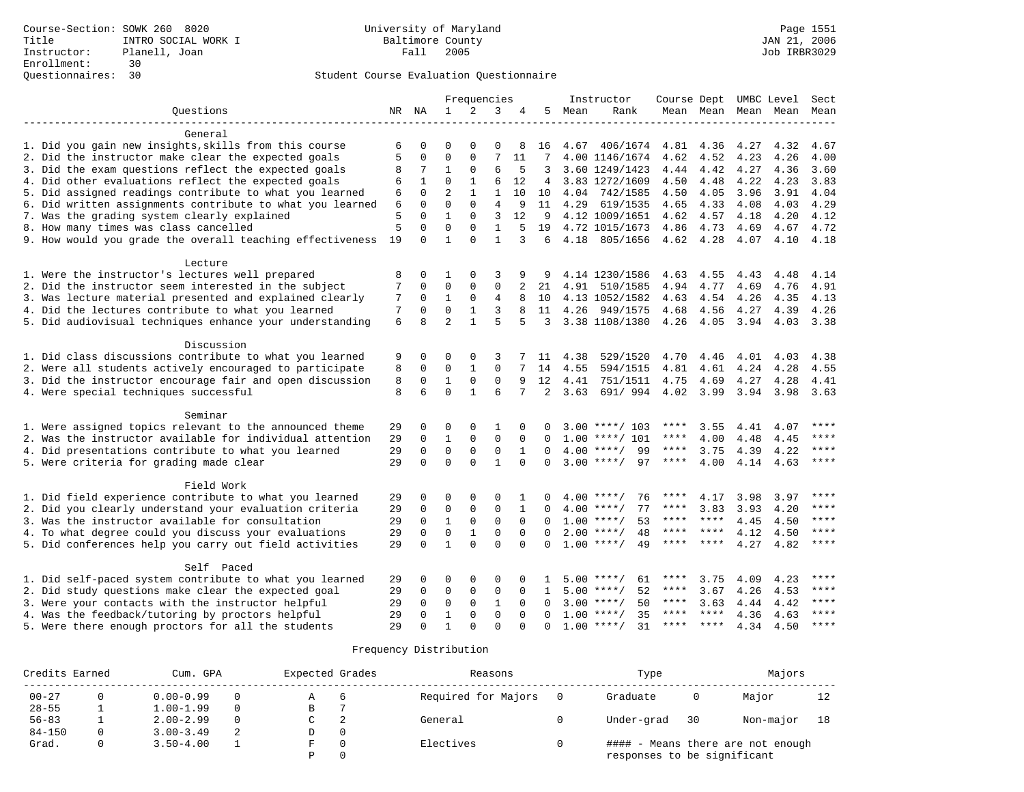|                                                           |    |              |                | Frequencies  |                |          |          |      | Instructor         | Course Dept UMBC Level Sect |                     |      |      |           |
|-----------------------------------------------------------|----|--------------|----------------|--------------|----------------|----------|----------|------|--------------------|-----------------------------|---------------------|------|------|-----------|
| Questions                                                 |    | NR NA        | $\mathbf{1}$   | 2            | 3              | 4        | 5        | Mean | Rank               |                             | Mean Mean Mean Mean |      |      | Mean      |
| General                                                   |    |              |                |              |                |          |          |      |                    |                             |                     |      |      |           |
| 1. Did you gain new insights, skills from this course     | 6  | 0            | $\Omega$       |              |                |          | 16       |      | 4.67 406/1674      |                             | 4.81 4.36           | 4.27 | 4.32 | 4.67      |
| 2. Did the instructor make clear the expected goals       | 5  | $\mathbf 0$  | $\mathbf 0$    | $\mathbf 0$  | 7              | 11       | 7        |      | 4.00 1146/1674     | 4.62                        | 4.52                | 4.23 | 4.26 | 4.00      |
| 3. Did the exam questions reflect the expected goals      | 8  | 7            | 1              | $\mathbf{0}$ | 6              | 5        | 3        |      | 3.60 1249/1423     | 4.44                        | 4.42                | 4.27 | 4.36 | 3.60      |
| 4. Did other evaluations reflect the expected goals       | 6  | $\mathbf{1}$ | $\Omega$       | 1            | 6              | 12       | 4        |      | 3.83 1272/1609     | 4.50                        | 4.48                | 4.22 | 4.23 | 3.83      |
| 5. Did assigned readings contribute to what you learned   | 6  | $\Omega$     | $\overline{2}$ | $\mathbf{1}$ | $\mathbf{1}$   | 10       | 10       | 4.04 | 742/1585           | 4.50                        | 4.05                | 3.96 | 3.91 | 4.04      |
| 6. Did written assignments contribute to what you learned | 6  | $\Omega$     | $\Omega$       | $\Omega$     | $\overline{4}$ | 9        | 11       | 4.29 | 619/1535           | 4.65                        | 4.33                | 4.08 | 4.03 | 4.29      |
| 7. Was the grading system clearly explained               | 5  | $\Omega$     | $\mathbf{1}$   | $\mathbf 0$  | 3              | 12       | 9        |      | 4.12 1009/1651     | 4.62                        | 4.57                | 4.18 | 4.20 | 4.12      |
| 8. How many times was class cancelled                     | 5  | $\Omega$     | $\Omega$       | $\Omega$     | $\mathbf{1}$   | 5        | 19       |      | 4.72 1015/1673     | 4.86                        | 4.73                | 4.69 | 4.67 | 4.72      |
| 9. How would you grade the overall teaching effectiveness | 19 | $\Omega$     | $\mathbf{1}$   | $\Omega$     | $\mathbf{1}$   | 3        | 6        | 4.18 | 805/1656           |                             | 4.62 4.28           | 4.07 | 4.10 | 4.18      |
| Lecture                                                   |    |              |                |              |                |          |          |      |                    |                             |                     |      |      |           |
| 1. Were the instructor's lectures well prepared           | 8  | 0            | 1              | 0            | 3              | 9        | 9        |      | 4.14 1230/1586     | 4.63                        | 4.55                | 4.43 | 4.48 | 4.14      |
| 2. Did the instructor seem interested in the subject      | 7  | $\mathbf{0}$ | $\mathbf 0$    | $\Omega$     | $\Omega$       | 2        | 21       | 4.91 | 510/1585           | 4.94                        | 4.77                | 4.69 | 4.76 | 4.91      |
| 3. Was lecture material presented and explained clearly   | 7  | $\mathbf 0$  | $\mathbf{1}$   | $\mathbf{0}$ | $\overline{4}$ | 8        | 10       |      | 4.13 1052/1582     | 4.63                        | 4.54                | 4.26 | 4.35 | 4.13      |
| 4. Did the lectures contribute to what you learned        | 7  | $\Omega$     | $\mathbf 0$    | $\mathbf{1}$ | 3              | 8        | 11       |      | 4.26 949/1575      | 4.68                        | 4.56                | 4.27 | 4.39 | 4.26      |
| 5. Did audiovisual techniques enhance your understanding  | 6  | 8            | $\overline{a}$ | $\mathbf{1}$ | 5              | 5        | 3        |      | 3.38 1108/1380     | 4.26                        | 4.05                | 3.94 | 4.03 | 3.38      |
| Discussion                                                |    |              |                |              |                |          |          |      |                    |                             |                     |      |      |           |
| 1. Did class discussions contribute to what you learned   | 9  | 0            | 0              | 0            | 3              |          | 11       | 4.38 | 529/1520           | 4.70                        | 4.46                | 4.01 | 4.03 | 4.38      |
| 2. Were all students actively encouraged to participate   | 8  | $\mathbf 0$  | $\mathbf 0$    | $\mathbf{1}$ | 0              |          | 14       | 4.55 | 594/1515           | 4.81                        | 4.61                | 4.24 | 4.28 | 4.55      |
| 3. Did the instructor encourage fair and open discussion  | 8  | $\mathbf 0$  | $\mathbf{1}$   | $\mathbf{0}$ | $\mathbf{0}$   | 9        | 12       | 4.41 | 751/1511           | 4.75                        | 4.69                | 4.27 | 4.28 | 4.41      |
| 4. Were special techniques successful                     | 8  | 6            | $\Omega$       | $\mathbf{1}$ | 6              | 7        | 2        | 3.63 | 691/994            | 4.02                        | 3.99                | 3.94 | 3.98 | 3.63      |
| Seminar                                                   |    |              |                |              |                |          |          |      |                    |                             |                     |      |      |           |
| 1. Were assigned topics relevant to the announced theme   | 29 | $\Omega$     | $\Omega$       | $\Omega$     | $\mathbf{1}$   | $\Omega$ |          |      | $3.00$ ****/ 103   | ****                        | 3.55                | 4.41 | 4.07 | $***$     |
| 2. Was the instructor available for individual attention  | 29 | $\mathbf 0$  | $\mathbf{1}$   | $\mathbf{0}$ | $\mathbf 0$    | 0        | $\Omega$ |      | $1.00$ ****/ 101   | ****                        | 4.00                | 4.48 | 4.45 | ****      |
| 4. Did presentations contribute to what you learned       | 29 | $\mathbf 0$  | $\mathbf 0$    | $\mathbf{0}$ | $\mathbf 0$    | 1        | $\Omega$ |      | $4.00$ ****/<br>99 | $***$ * * *                 | 3.75                | 4.39 | 4.22 | ****      |
| 5. Were criteria for grading made clear                   | 29 | $\Omega$     | $\Omega$       | $\Omega$     | $\mathbf{1}$   | $\Omega$ | $\Omega$ |      | $3.00$ ****/<br>97 | $***$ * *                   | 4.00                | 4.14 | 4.63 | ****      |
| Field Work                                                |    |              |                |              |                |          |          |      |                    |                             |                     |      |      |           |
| 1. Did field experience contribute to what you learned    | 29 | $\Omega$     | $\Omega$       | $\Omega$     | $\Omega$       | 1        | $\Omega$ |      | $4.00$ ****/<br>76 | ****                        | 4.17                | 3.98 | 3.97 | ****      |
| 2. Did you clearly understand your evaluation criteria    | 29 | 0            | 0              | $\mathsf 0$  | $\mathbf{0}$   | 1        | $\Omega$ |      | 77<br>$4.00$ ****/ | ****                        | 3.83                | 3.93 | 4.20 | ****      |
| 3. Was the instructor available for consultation          | 29 | $\Omega$     | $\mathbf{1}$   | $\mathbf{0}$ | $\mathbf 0$    | $\Omega$ | $\Omega$ |      | 53<br>$1.00$ ****/ | ****                        | ****                | 4.45 | 4.50 | $***$     |
| 4. To what degree could you discuss your evaluations      | 29 | $\mathbf 0$  | 0              | $\mathbf 1$  | $\mathbf 0$    | 0        | $\Omega$ |      | $2.00$ ****/<br>48 | ****                        | ****                | 4.12 | 4.50 | ****      |
| 5. Did conferences help you carry out field activities    | 29 | $\Omega$     | $\mathbf{1}$   | $\Omega$     | $\Omega$       | $\Omega$ | $\Omega$ |      | $1.00$ ****/<br>49 | $***$ * *                   | $***$ *             | 4.27 | 4.82 | ****      |
| Self Paced                                                |    |              |                |              |                |          |          |      |                    |                             |                     |      |      |           |
| 1. Did self-paced system contribute to what you learned   | 29 | 0            | 0              | $\mathbf 0$  | $\mathbf 0$    | $\Omega$ |          |      | $5.00$ ****/<br>61 | ****                        | 3.75                | 4.09 | 4.23 | $***$     |
| 2. Did study questions make clear the expected goal       | 29 | $\mathbf 0$  | 0              | $\mathbf 0$  | 0              | 0        | 1        | 5.00 | 52<br>$***$ /      | ****                        | 3.67                | 4.26 | 4.53 | ****      |
| 3. Were your contacts with the instructor helpful         | 29 | $\mathbf 0$  | $\mathbf 0$    | $\mathbf{0}$ | $\mathbf{1}$   | $\Omega$ | $\Omega$ |      | $3.00$ ****/<br>50 | ****                        | 3.63                | 4.44 | 4.42 | ****      |
| 4. Was the feedback/tutoring by proctors helpful          | 29 | $\Omega$     | $\mathbf{1}$   | $\Omega$     | $\Omega$       | $\Omega$ |          |      | $1.00$ ****/<br>35 | ****                        | $***$ * * *         | 4.36 | 4.63 | $***$     |
| 5. Were there enough proctors for all the students        | 29 | $\Omega$     | $\mathbf{1}$   | $\Omega$     | $\Omega$       | $\cap$   | $\Omega$ |      | 31<br>$1.00$ ****/ | ****                        | $***$ * * *         | 4.34 | 4.50 | $* * * *$ |

| Credits Earned | Cum. GPA      | Expected Grades  | Reasons             | Type                        |    | Majors                            |    |
|----------------|---------------|------------------|---------------------|-----------------------------|----|-----------------------------------|----|
| $00 - 27$      | $0.00 - 0.99$ |                  | Required for Majors | Graduate                    |    | Major                             | 12 |
| $28 - 55$      | $1.00 - 1.99$ | в                |                     |                             |    |                                   |    |
| $56 - 83$      | $2.00 - 2.99$ |                  | General             | Under-grad                  | 30 | Non-major                         | 18 |
| $84 - 150$     | $3.00 - 3.49$ | 0                |                     |                             |    |                                   |    |
| Grad.          | $3.50 - 4.00$ | $\left( \right)$ | Electives           |                             |    | #### - Means there are not enough |    |
|                |               |                  |                     | responses to be significant |    |                                   |    |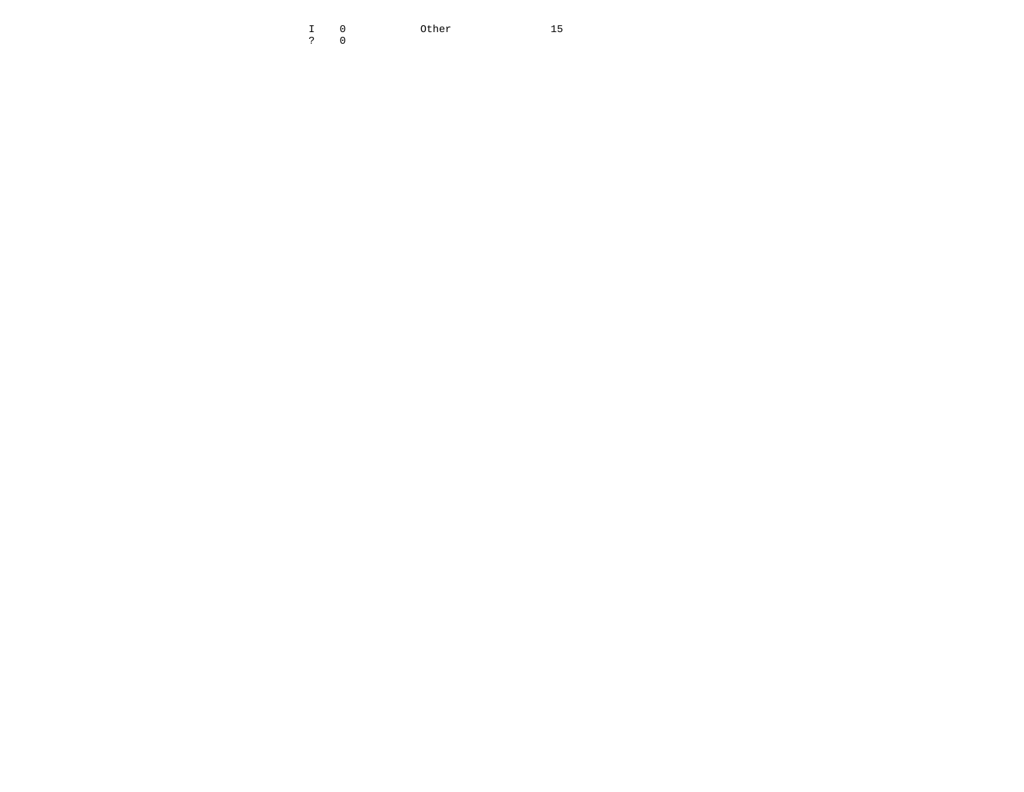Other 150 Other 150 Other 15 ? 0<br>1<br>0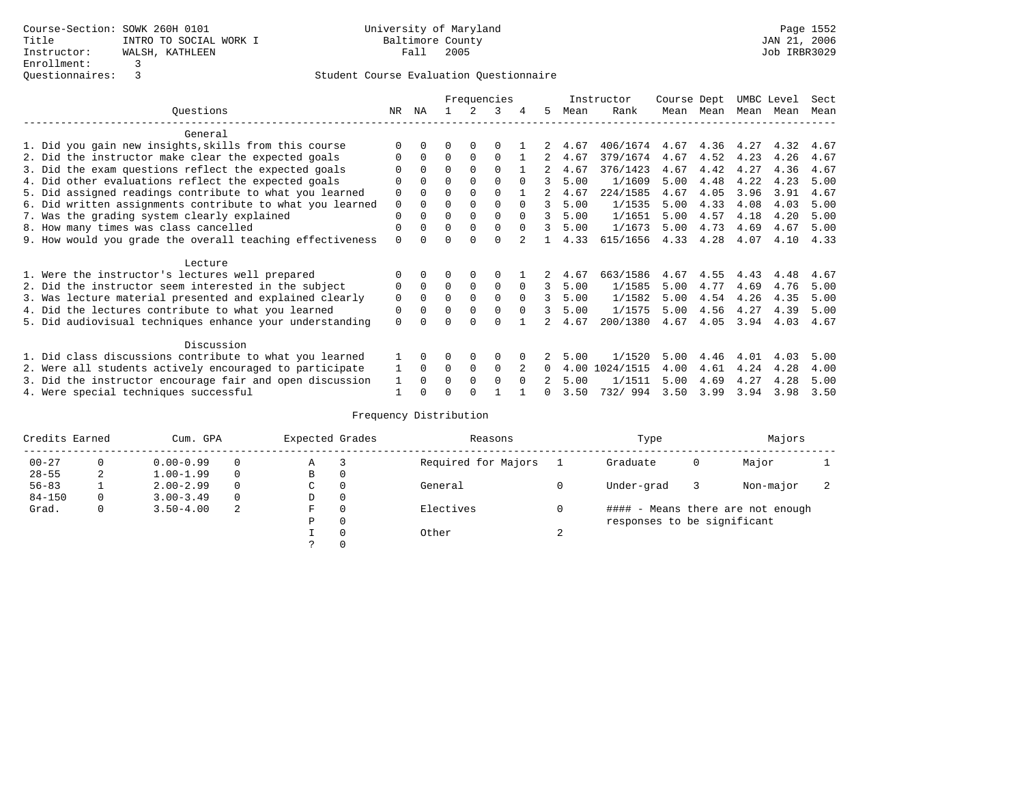|                                                           | Frequencies |          |          |             |          |          |              | Instructor | Course Dept |      |      | UMBC Level | Sect |      |
|-----------------------------------------------------------|-------------|----------|----------|-------------|----------|----------|--------------|------------|-------------|------|------|------------|------|------|
| Questions                                                 | NR          | ΝA       |          |             |          | 4        | 5            | Mean       | Rank        | Mean | Mean | Mean       | Mean | Mean |
| General                                                   |             |          |          |             |          |          |              |            |             |      |      |            |      |      |
| 1. Did you gain new insights, skills from this course     |             |          |          | $\Omega$    |          |          |              | 4.67       | 406/1674    | 4.67 | 4.36 | 4.27       | 4.32 | 4.67 |
| 2. Did the instructor make clear the expected goals       |             | $\Omega$ | $\Omega$ | $\Omega$    | $\Omega$ |          |              | 4.67       | 379/1674    | 4.67 | 4.52 | 4.23       | 4.26 | 4.67 |
| 3. Did the exam questions reflect the expected goals      |             | $\Omega$ | 0        | $\Omega$    | $\Omega$ |          |              | 4.67       | 376/1423    | 4.67 | 4.42 | 4.27       | 4.36 | 4.67 |
| 4. Did other evaluations reflect the expected goals       | 0           | $\Omega$ | 0        | $\Omega$    | $\Omega$ | $\Omega$ | २            | 5.00       | 1/1609      | 5.00 | 4.48 | 4.22       | 4.23 | 5.00 |
| 5. Did assigned readings contribute to what you learned   | $\mathbf 0$ |          |          |             | $\Omega$ |          |              | 4.67       | 224/1585    | 4.67 | 4.05 | 3.96       | 3.91 | 4.67 |
| 6. Did written assignments contribute to what you learned | 0           | $\Omega$ |          | $\Omega$    | $\Omega$ | $\Omega$ | 3            | 5.00       | 1/1535      | 5.00 | 4.33 | 4.08       | 4.03 | 5.00 |
| 7. Was the grading system clearly explained               | $\Omega$    |          | 0        | $\Omega$    | $\Omega$ |          | 3            | 5.00       | 1/1651      | 5.00 | 4.57 | 4.18       | 4.20 | 5.00 |
| 8. How many times was class cancelled                     | 0           | $\Omega$ | 0        | $\Omega$    | $\Omega$ | $\cap$   | 3            | 5.00       | 1/1673      | 5.00 | 4.73 | 4.69       | 4.67 | 5.00 |
| 9. How would you grade the overall teaching effectiveness | $\Omega$    |          |          |             | $\cap$   |          |              | 4.33       | 615/1656    | 4.33 | 4.28 | 4.07       | 4.10 | 4.33 |
| Lecture                                                   |             |          |          |             |          |          |              |            |             |      |      |            |      |      |
| 1. Were the instructor's lectures well prepared           |             |          |          |             |          |          |              | 4.67       | 663/1586    | 4.67 | 4.55 | 4.43       | 4.48 | 4.67 |
| 2. Did the instructor seem interested in the subject      | 0           | $\Omega$ | 0        | $\mathbf 0$ | 0        | $\Omega$ | 3            | 5.00       | 1/1585      | 5.00 | 4.77 | 4.69       | 4.76 | 5.00 |
| 3. Was lecture material presented and explained clearly   | 0           | $\Omega$ | 0        | $\Omega$    | $\Omega$ | $\Omega$ | 3            | 5.00       | 1/1582      | 5.00 | 4.54 | 4.26       | 4.35 | 5.00 |
| 4. Did the lectures contribute to what you learned        | 0           | $\Omega$ | 0        | $\Omega$    | $\Omega$ |          | 3            | 5.00       | 1/1575      | 5.00 | 4.56 | 4.27       | 4.39 | 5.00 |
| 5. Did audiovisual techniques enhance your understanding  | $\Omega$    |          |          |             | $\cap$   |          |              | 4.67       | 200/1380    | 4.67 | 4.05 | 3.94       | 4.03 | 4.67 |
| Discussion                                                |             |          |          |             |          |          |              |            |             |      |      |            |      |      |
| 1. Did class discussions contribute to what you learned   |             | 0        | 0        | $\Omega$    | $\Omega$ |          |              | 5.00       | 1/1520      | 5.00 | 4.46 | 4.01       | 4.03 | 5.00 |
| 2. Were all students actively encouraged to participate   |             | $\Omega$ | $\Omega$ | $\Omega$    | $\Omega$ |          | $\Omega$     | 4.00       | 1024/1515   | 4.00 | 4.61 | 4.24       | 4.28 | 4.00 |
| 3. Did the instructor encourage fair and open discussion  | 1           | $\Omega$ | O        | $\Omega$    | $\Omega$ | $\Omega$ |              | 5.00       | 1/1511      | 5.00 | 4.69 | 4.27       | 4.28 | 5.00 |
| 4. Were special techniques successful                     |             |          |          |             |          |          | <sup>n</sup> | 3.50       | 732/994     | 3.50 | 3.99 | 3.94       | 3.98 | 3.50 |

| Credits Earned |   | Cum. GPA      |   | Expected Grades |          | Reasons             |        | Type                        |   | Majors                            |  |
|----------------|---|---------------|---|-----------------|----------|---------------------|--------|-----------------------------|---|-----------------------------------|--|
| $00 - 27$      | 0 | $0.00 - 0.99$ |   | Α               |          | Required for Majors |        | Graduate                    | 0 | Major                             |  |
| $28 - 55$      | 2 | $1.00 - 1.99$ |   | B               | 0        |                     |        |                             |   |                                   |  |
| $56 - 83$      |   | $2.00 - 2.99$ |   | C               | 0        | General             |        | Under-grad                  |   | Non-major                         |  |
| $84 - 150$     | 0 | $3.00 - 3.49$ |   | D               | 0        |                     |        |                             |   |                                   |  |
| Grad.          | 0 | $3.50 - 4.00$ | 2 | F               | 0        | Electives           |        |                             |   | #### - Means there are not enough |  |
|                |   |               |   | Ρ               | 0        |                     |        | responses to be significant |   |                                   |  |
|                |   |               |   |                 | $\Omega$ | Other               | $\sim$ |                             |   |                                   |  |
|                |   |               |   |                 |          |                     |        |                             |   |                                   |  |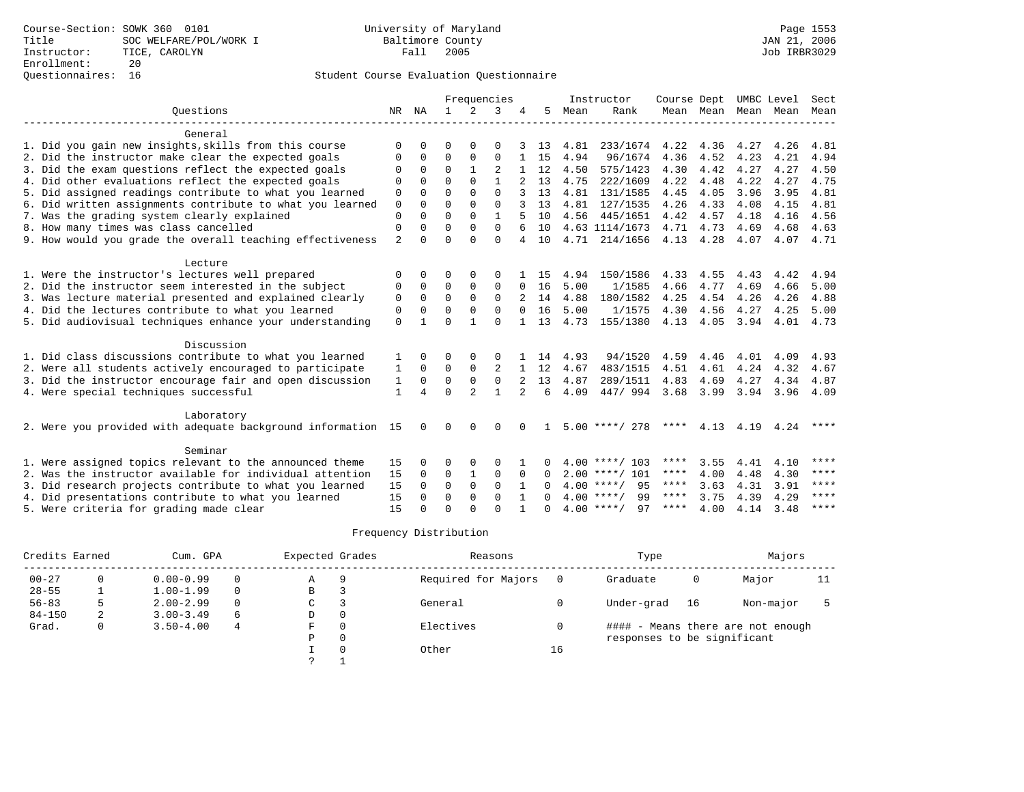|                                                              |                |              |              |                | Frequencies  |                |              |      | Instructor         | Course Dept |           |      | UMBC Level | Sect        |
|--------------------------------------------------------------|----------------|--------------|--------------|----------------|--------------|----------------|--------------|------|--------------------|-------------|-----------|------|------------|-------------|
| Ouestions                                                    | NR             | NA           | $\mathbf{1}$ | $\overline{2}$ | 3            |                | 5            | Mean | Rank               |             | Mean Mean | Mean | Mean       | Mean        |
|                                                              |                |              |              |                |              |                |              |      |                    |             |           |      |            |             |
| General                                                      |                |              |              |                |              |                |              |      |                    |             |           |      |            |             |
| 1. Did you gain new insights, skills from this course        | $\Omega$       | <sup>n</sup> | ∩            | $\cap$         | $\Omega$     |                | 13           | 4.81 | 233/1674           | 4.22        | 4.36      | 4.27 | 4.26       | 4.81        |
| 2. Did the instructor make clear the expected goals          | 0              | $\Omega$     | $\Omega$     | $\Omega$       | $\Omega$     |                | 15           | 4.94 | 96/1674            | 4.36        | 4.52      | 4.23 | 4.21       | 4.94        |
| 3. Did the exam questions reflect the expected goals         | $\Omega$       | $\Omega$     | $\Omega$     | $\mathbf{1}$   |              |                | 12           | 4.50 | 575/1423           | 4.30        | 4.42      | 4.27 | 4.27       | 4.50        |
| 4. Did other evaluations reflect the expected goals          | $\Omega$       | $\Omega$     | $\Omega$     | $\Omega$       | 1            |                | 13           | 4.75 | 222/1609           | 4.22        | 4.48      | 4.22 | 4.27       | 4.75        |
| 5. Did assigned readings contribute to what you learned      | $\mathbf 0$    | $\Omega$     | $\Omega$     | $\Omega$       | $\Omega$     |                | 13           | 4.81 | 131/1585           | 4.45        | 4.05      | 3.96 | 3.95       | 4.81        |
| 6. Did written assignments contribute to what you learned    | $\mathbf 0$    | $\Omega$     | $\Omega$     | $\Omega$       | $\Omega$     |                | 13           | 4.81 | 127/1535           | 4.26        | 4.33      | 4.08 | 4.15       | 4.81        |
| 7. Was the grading system clearly explained                  | $\mathbf 0$    | $\Omega$     | $\Omega$     | $\Omega$       | $\mathbf{1}$ | 5              | 10           | 4.56 | 445/1651           | 4.42        | 4.57      | 4.18 | 4.16       | 4.56        |
| 8. How many times was class cancelled                        | $\mathbf 0$    | 0            | $\Omega$     | $\Omega$       | $\Omega$     | 6              | 10           |      | 4.63 1114/1673     | 4.71        | 4.73      | 4.69 | 4.68       | 4.63        |
| 9. How would you grade the overall teaching effectiveness    | $\overline{2}$ | <sup>n</sup> | $\Omega$     | $\cap$         | $\Omega$     | 4              | 10           | 4.71 | 214/1656           | 4.13        | 4.28      | 4.07 | 4.07       | 4.71        |
| Lecture                                                      |                |              |              |                |              |                |              |      |                    |             |           |      |            |             |
| 1. Were the instructor's lectures well prepared              | $\Omega$       | 0            | O            | 0              | $\Omega$     |                | 15           | 4.94 | 150/1586           | 4.33        | 4.55      | 4.43 | 4.42       | 4.94        |
| 2. Did the instructor seem interested in the subject         | $\Omega$       | $\Omega$     | $\Omega$     | $\mathbf 0$    | $\Omega$     | $\Omega$       | 16           | 5.00 | 1/1585             | 4.66        | 4.77      | 4.69 | 4.66       | 5.00        |
| 3. Was lecture material presented and explained clearly      | 0              | $\Omega$     | $\Omega$     | $\Omega$       | $\Omega$     |                | 14           | 4.88 | 180/1582           | 4.25        | 4.54      | 4.26 | 4.26       | 4.88        |
| 4. Did the lectures contribute to what you learned           | $\mathbf 0$    | $\Omega$     | $\Omega$     | $\Omega$       | $\Omega$     | $\Omega$       | 16           | 5.00 | 1/1575             | 4.30        | 4.56      | 4.27 | 4.25       | 5.00        |
| 5. Did audiovisual techniques enhance your understanding     | $\mathbf 0$    |              | $\Omega$     | $\mathbf{1}$   | $\Omega$     |                | 13           | 4.73 | 155/1380           | 4.13        | 4.05      | 3.94 | 4.01       | 4.73        |
|                                                              |                |              |              |                |              |                |              |      |                    |             |           |      |            |             |
| Discussion                                                   |                |              |              |                |              |                |              |      |                    |             |           |      |            |             |
| 1. Did class discussions contribute to what you learned      | 1              | 0            | U            | $\Omega$       | $\Omega$     |                | 14           | 4.93 | 94/1520            | 4.59        | 4.46      | 4.01 | 4.09       | 4.93        |
| 2. Were all students actively encouraged to participate      | 1              | 0            | 0            | 0              | 2            |                | 12           | 4.67 | 483/1515           | 4.51        | 4.61      | 4.24 | 4.32       | 4.67        |
| 3. Did the instructor encourage fair and open discussion     | 1              | 0            | 0            | 0              | $\mathbf 0$  | 2              | 13           | 4.87 | 289/1511           | 4.83        | 4.69      | 4.27 | 4.34       | 4.87        |
| 4. Were special techniques successful                        | 1              | 4            | $\Omega$     | $\mathfrak{D}$ | $\mathbf{1}$ | $\mathfrak{D}$ | 6            | 4.09 | 447/994            | 3.68        | 3.99      | 3.94 | 3.96       | 4.09        |
| Laboratory                                                   |                |              |              |                |              |                |              |      |                    |             |           |      |            |             |
| 2. Were you provided with adequate background information 15 |                | 0            | 0            | $\Omega$       | $\Omega$     |                |              |      | $5.00$ ****/ 278   | ****        | 4.13      | 4.19 | 4.24       | $***$ *     |
|                                                              |                |              |              |                |              |                |              |      |                    |             |           |      |            |             |
| Seminar                                                      |                |              |              |                |              |                |              |      |                    |             |           |      |            |             |
| 1. Were assigned topics relevant to the announced theme      | 15             | 0            | O            | $\Omega$       | $\Omega$     |                |              |      | $4.00$ ****/ 103   | ****        | 3.55      | 4.41 | 4.10       | ****        |
| 2. Was the instructor available for individual attention     | 15             | $\Omega$     | 0            | 1              | $\mathbf 0$  | $\Omega$       | 0            |      | $2.00$ ****/ 101   | ****        | 4.00      | 4.48 | 4.30       | ****        |
| 3. Did research projects contribute to what you learned      | 15             | $\Omega$     | $\Omega$     | $\Omega$       | $\Omega$     |                | 0            |      | $4.00$ ****/<br>95 | ****        | 3.63      | 4.31 | 3.91       | ****        |
| 4. Did presentations contribute to what you learned          | 15             | 0            | $\Omega$     | $\Omega$       | $\Omega$     |                | <sup>n</sup> |      | $4.00$ ****/<br>99 | ****        | 3.75      | 4.39 | 4.29       | ****        |
| 5. Were criteria for grading made clear                      | 15             | U            | $\Omega$     | $\cap$         | $\cap$       |                | <sup>n</sup> |      | $4.00$ ****/<br>97 | ****        | 4.00      | 4.14 | 3.48       | $***$ * * * |

| Credits Earned |   | Cum. GPA      |   | Expected Grades |          | Reasons             |          | Type                        |    | Majors                            |    |
|----------------|---|---------------|---|-----------------|----------|---------------------|----------|-----------------------------|----|-----------------------------------|----|
| $00 - 27$      |   | $0.00 - 0.99$ |   | Α               | g        | Required for Majors | $\Omega$ | Graduate                    | 0  | Major                             | 11 |
| $28 - 55$      |   | $1.00 - 1.99$ |   | В               |          |                     |          |                             |    |                                   |    |
| $56 - 83$      |   | $2.00 - 2.99$ |   | C               |          | General             |          | Under-grad                  | 16 | Non-major                         |    |
| $84 - 150$     | 2 | $3.00 - 3.49$ | 6 | D               | 0        |                     |          |                             |    |                                   |    |
| Grad.          | 0 | $3.50 - 4.00$ | 4 | F               | $\Omega$ | Electives           |          |                             |    | #### - Means there are not enough |    |
|                |   |               |   | Ρ               | 0        |                     |          | responses to be significant |    |                                   |    |
|                |   |               |   |                 | $\Omega$ | Other               | 16       |                             |    |                                   |    |
|                |   |               |   | $\mathcal{P}$   |          |                     |          |                             |    |                                   |    |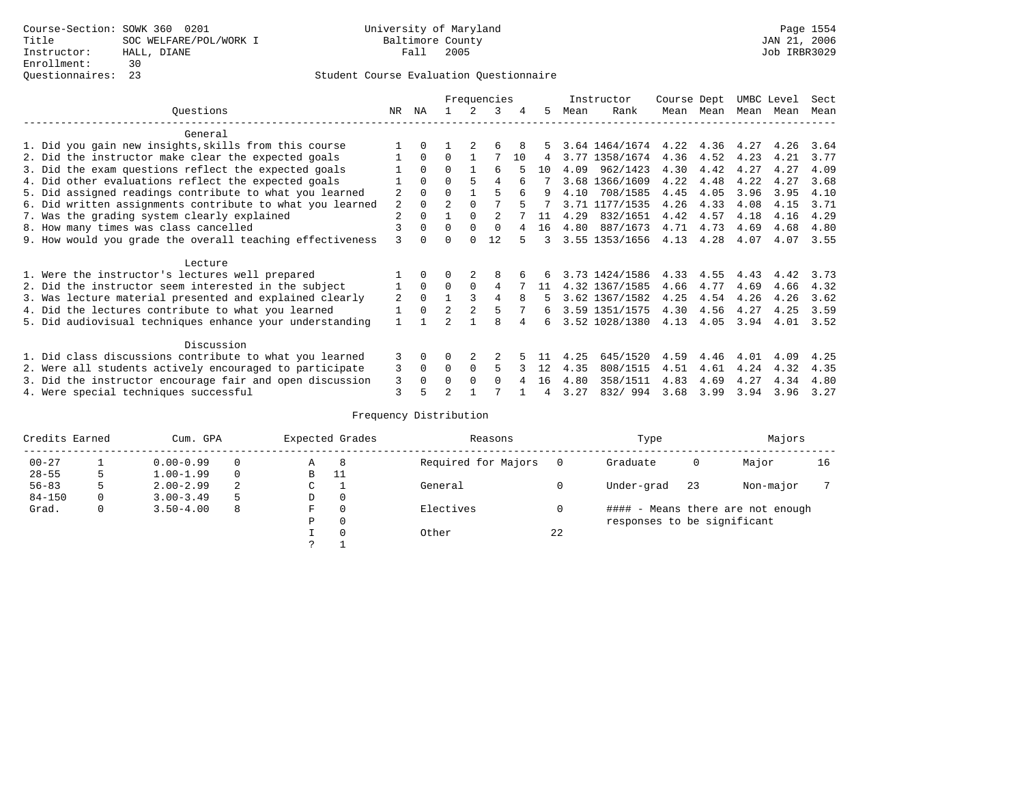|                                                           |    |          |                |                | Frequencies |    |    |      | Instructor     | Course Dept |           | UMBC Level |           | Sect |
|-----------------------------------------------------------|----|----------|----------------|----------------|-------------|----|----|------|----------------|-------------|-----------|------------|-----------|------|
| Ouestions                                                 | NR | ΝA       |                |                | २           | 4  | 5  | Mean | Rank           |             | Mean Mean |            | Mean Mean | Mean |
| General                                                   |    |          |                |                |             |    |    |      |                |             |           |            |           |      |
| 1. Did you gain new insights, skills from this course     |    | $\Omega$ |                |                | б           |    |    |      | 3.64 1464/1674 | 4.22        | 4.36      | 4.27       | 4.26      | 3.64 |
| 2. Did the instructor make clear the expected goals       |    | $\Omega$ | $\Omega$       |                |             | 10 | 4  |      | 3.77 1358/1674 | 4.36        | 4.52      | 4.23       | 4.21      | 3.77 |
| 3. Did the exam questions reflect the expected goals      |    | $\Omega$ | $\Omega$       |                | б           |    | 10 | 4.09 | 962/1423       | 4.30        | 4.42      | 4.27       | 4.27      | 4.09 |
| 4. Did other evaluations reflect the expected goals       |    | $\Omega$ | 0              | 5              | 4           |    |    |      | 3.68 1366/1609 | 4.22        | 4.48      | 4.22       | 4.27      | 3.68 |
| 5. Did assigned readings contribute to what you learned   | 2  | $\Omega$ | 0              |                | 5           |    | 9  | 4.10 | 708/1585       | 4.45        | 4.05      | 3.96       | 3.95      | 4.10 |
| 6. Did written assignments contribute to what you learned | 2  | $\Omega$ | $\overline{a}$ | $\Omega$       |             |    |    |      | 3.71 1177/1535 | 4.26        | 4.33      | 4.08       | 4.15      | 3.71 |
| 7. Was the grading system clearly explained               | 2  | $\Omega$ |                | $\Omega$       |             |    | 11 | 4.29 | 832/1651       | 4.42        | 4.57      | 4.18       | 4.16      | 4.29 |
| 8. How many times was class cancelled                     | 3  | $\Omega$ | $\Omega$       | $\Omega$       | $\Omega$    | 4  | 16 | 4.80 | 887/1673       | 4.71        | 4.73      | 4.69       | 4.68      | 4.80 |
| 9. How would you grade the overall teaching effectiveness | 3  |          | U              | <sup>0</sup>   | 12          |    | 3  |      | 3.55 1353/1656 | 4.13        | 4.28      | 4.07       | 4.07      | 3.55 |
| Lecture                                                   |    |          |                |                |             |    |    |      |                |             |           |            |           |      |
| 1. Were the instructor's lectures well prepared           |    |          |                |                | 8           |    |    |      | 3.73 1424/1586 | 4.33        | 4.55      | 4.43       | 4.42      | 3.73 |
| 2. Did the instructor seem interested in the subject      |    | $\Omega$ | $\Omega$       | $\Omega$       | 4           |    | 11 |      | 4.32 1367/1585 | 4.66        | 4.77      | 4.69       | 4.66      | 4.32 |
| 3. Was lecture material presented and explained clearly   | 2  | $\Omega$ |                |                | 4           | 8  | 5  |      | 3.62 1367/1582 | 4.25        | 4.54      | 4.26       | 4.26      | 3.62 |
| 4. Did the lectures contribute to what you learned        |    | $\Omega$ | $\overline{2}$ | $\overline{2}$ | 5           |    | 6  |      | 3.59 1351/1575 | 4.30        | 4.56      | 4.27       | 4.25      | 3.59 |
| 5. Did audiovisual techniques enhance your understanding  |    |          |                |                | R           |    | б. |      | 3.52 1028/1380 | 4.13        | 4.05      | 3.94       | 4.01      | 3.52 |
| Discussion                                                |    |          |                |                |             |    |    |      |                |             |           |            |           |      |
| 1. Did class discussions contribute to what you learned   | 3  | $\Omega$ |                |                |             |    |    | 4.25 | 645/1520       | 4.59        | 4.46      | 4.01       | 4.09      | 4.25 |
| 2. Were all students actively encouraged to participate   | 3  | $\Omega$ | $\Omega$       | $\Omega$       | 5           |    | 12 | 4.35 | 808/1515       | 4.51        | 4.61      | 4.24       | 4.32      | 4.35 |
| 3. Did the instructor encourage fair and open discussion  | 3  | $\Omega$ | U              | $\Omega$       | $\cap$      |    | 16 | 4.80 | 358/1511       | 4.83        | 4.69      | 4.27       | 4.34      | 4.80 |
| 4. Were special techniques successful                     | 3  |          |                |                |             |    | 4  | 3.27 | 832/994        | 3.68        | 3.99      | 3.94       | 3.96      | 3.27 |

| Credits Earned |   | Cum. GPA      |    |             | Expected Grades | Reasons             |          | Type                        |    | Majors                            |    |
|----------------|---|---------------|----|-------------|-----------------|---------------------|----------|-----------------------------|----|-----------------------------------|----|
| $00 - 27$      |   | $0.00 - 0.99$ |    | Α           | -8              | Required for Majors | $\Omega$ | Graduate                    | 0  | Major                             | 16 |
| $28 - 55$      | 5 | $1.00 - 1.99$ |    | B           | 11              |                     |          |                             |    |                                   |    |
| $56 - 83$      | 5 | $2.00 - 2.99$ | 2  | $\sim$<br>◡ |                 | General             |          | Under-grad                  | 23 | Non-major                         |    |
| $84 - 150$     | 0 | $3.00 - 3.49$ | .5 | D           | 0               |                     |          |                             |    |                                   |    |
| Grad.          | 0 | $3.50 - 4.00$ | 8  | F           | 0               | Electives           | 0        |                             |    | #### - Means there are not enough |    |
|                |   |               |    | Ρ           | 0               |                     |          | responses to be significant |    |                                   |    |
|                |   |               |    |             | $\Omega$        | Other               | 22       |                             |    |                                   |    |
|                |   |               |    | C           |                 |                     |          |                             |    |                                   |    |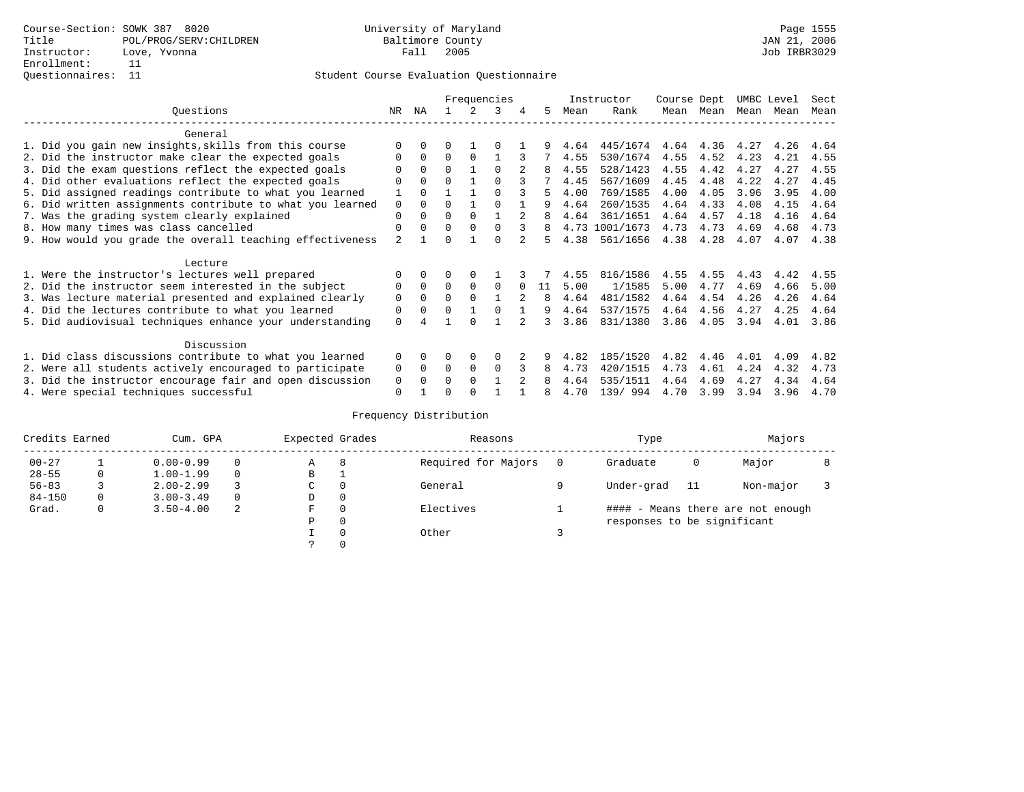|                                                           |                |          |          |             | Frequencies  |               |    |      | Instructor     | Course Dept |      | UMBC Level |      | Sect |
|-----------------------------------------------------------|----------------|----------|----------|-------------|--------------|---------------|----|------|----------------|-------------|------|------------|------|------|
| Questions                                                 | NR.            | ΝA       |          |             | 3            | 4             | 5. | Mean | Rank           | Mean        | Mean | Mean       | Mean | Mean |
| General                                                   |                |          |          |             |              |               |    |      |                |             |      |            |      |      |
| 1. Did you gain new insights, skills from this course     |                | $\Omega$ | 0        |             |              |               |    | 4.64 | 445/1674       | 4.64        | 4.36 | 4.27       | 4.26 | 4.64 |
| 2. Did the instructor make clear the expected goals       |                | $\Omega$ | $\Omega$ | $\Omega$    |              |               |    | 4.55 | 530/1674       | 4.55        | 4.52 | 4.23       | 4.21 | 4.55 |
| 3. Did the exam questions reflect the expected goals      |                | $\Omega$ | $\Omega$ |             | <sup>0</sup> |               | 8  | 4.55 | 528/1423       | 4.55        | 4.42 | 4.27       | 4.27 | 4.55 |
| 4. Did other evaluations reflect the expected goals       |                | $\Omega$ | O        |             | $\Omega$     |               |    | 4.45 | 567/1609       | 4.45        | 4.48 | 4.22       | 4.27 | 4.45 |
| 5. Did assigned readings contribute to what you learned   |                | $\Omega$ |          |             | $\cap$       |               |    | 4.00 | 769/1585       | 4.00        | 4.05 | 3.96       | 3.95 | 4.00 |
| 6. Did written assignments contribute to what you learned | 0              | $\Omega$ | U        |             |              |               | 9  | 4.64 | 260/1535       | 4.64        | 4.33 | 4.08       | 4.15 | 4.64 |
| 7. Was the grading system clearly explained               | 0              |          | U        | $\Omega$    |              |               |    | 4.64 | 361/1651       | 4.64        | 4.57 | 4.18       | 4.16 | 4.64 |
| 8. How many times was class cancelled                     | $\Omega$       | $\Omega$ | 0        | $\Omega$    | 0            |               | 8  |      | 4.73 1001/1673 | 4.73        | 4.73 | 4.69       | 4.68 | 4.73 |
| 9. How would you grade the overall teaching effectiveness | $\mathfrak{D}$ |          |          |             | U            |               |    | 4.38 | 561/1656       | 4.38        | 4.28 | 4.07       | 4.07 | 4.38 |
| Lecture                                                   |                |          |          |             |              |               |    |      |                |             |      |            |      |      |
| 1. Were the instructor's lectures well prepared           |                |          |          |             |              |               |    | 4.55 | 816/1586       | 4.55        | 4.55 | 4.43       | 4.42 | 4.55 |
| 2. Did the instructor seem interested in the subject      | 0              | $\Omega$ | $\Omega$ | $\Omega$    | 0            |               | 11 | 5.00 | 1/1585         | 5.00        | 4.77 | 4.69       | 4.66 | 5.00 |
| 3. Was lecture material presented and explained clearly   | 0              | $\Omega$ | 0        | $\Omega$    |              | $\mathcal{L}$ | 8  | 4.64 | 481/1582       | 4.64        | 4.54 | 4.26       | 4.26 | 4.64 |
| 4. Did the lectures contribute to what you learned        | 0              | 0        | $\Omega$ |             |              |               | 9  | 4.64 | 537/1575       | 4.64        | 4.56 | 4.27       | 4.25 | 4.64 |
| 5. Did audiovisual techniques enhance your understanding  | $\Omega$       |          |          | U           |              |               | २  | 3.86 | 831/1380       | 3.86        | 4.05 | 3.94       | 4.01 | 3.86 |
| Discussion                                                |                |          |          |             |              |               |    |      |                |             |      |            |      |      |
| 1. Did class discussions contribute to what you learned   | $\Omega$       | $\Omega$ | U        | $\Omega$    | O            |               |    | 4.82 | 185/1520       | 4.82        | 4.46 | 4.01       | 4.09 | 4.82 |
| 2. Were all students actively encouraged to participate   | 0              | $\Omega$ | $\Omega$ | $\mathbf 0$ | 0            |               | 8  | 4.73 | 420/1515       | 4.73        | 4.61 | 4.24       | 4.32 | 4.73 |
| 3. Did the instructor encourage fair and open discussion  | 0              |          | U        | $\Omega$    |              |               |    | 4.64 | 535/1511       | 4.64        | 4.69 | 4.27       | 4.34 | 4.64 |
| 4. Were special techniques successful                     | $\Omega$       |          |          |             |              |               | 8  | 4.70 | 139/ 994       | 4.70        | 3.99 | 3.94       | 3.96 | 4.70 |

| Credits Earned |   | Cum. GPA      |   | Expected Grades |   | Reasons             | Type                        |     | Majors                            |  |
|----------------|---|---------------|---|-----------------|---|---------------------|-----------------------------|-----|-----------------------------------|--|
| $00 - 27$      |   | $0.00 - 0.99$ |   | Α               | 8 | Required for Majors | Graduate                    | 0   | Major                             |  |
| $28 - 55$      | 0 | $1.00 - 1.99$ |   | В               |   |                     |                             |     |                                   |  |
| $56 - 83$      |   | $2.00 - 2.99$ |   | $\sim$<br>◡     | 0 | General             | Under-grad                  | -11 | Non-major                         |  |
| $84 - 150$     | 0 | $3.00 - 3.49$ |   | D               | 0 |                     |                             |     |                                   |  |
| Grad.          | 0 | $3.50 - 4.00$ | 2 | F               | 0 | Electives           |                             |     | #### - Means there are not enough |  |
|                |   |               |   | Ρ               | 0 |                     | responses to be significant |     |                                   |  |
|                |   |               |   |                 | 0 | Other               |                             |     |                                   |  |
|                |   |               |   | C.              |   |                     |                             |     |                                   |  |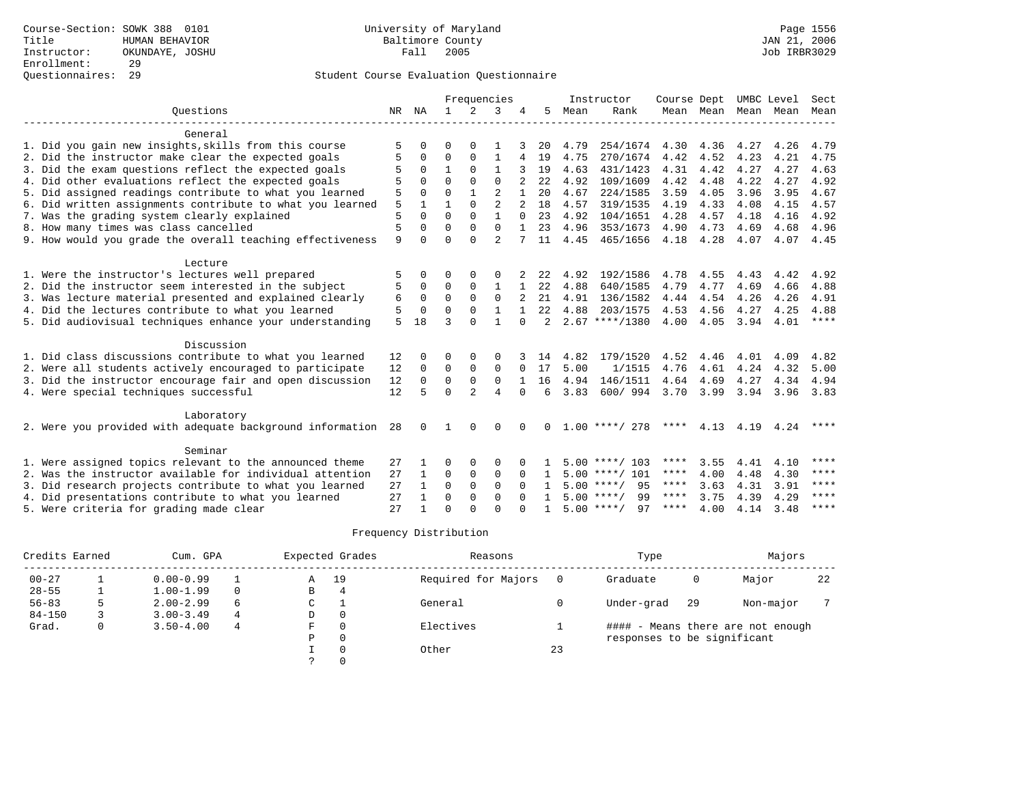|                                                              | Frequencies |             |              |                |                |          | Instructor | Course Dept |                    |      | UMBC Level          | Sect           |      |             |
|--------------------------------------------------------------|-------------|-------------|--------------|----------------|----------------|----------|------------|-------------|--------------------|------|---------------------|----------------|------|-------------|
| Ouestions                                                    |             | NR NA       | $\mathbf{1}$ | 2              | 3              |          | 5          | Mean        | Rank               |      | Mean Mean Mean Mean |                |      | Mean        |
| General                                                      |             |             |              |                |                |          |            |             |                    |      |                     |                |      |             |
| 1. Did you gain new insights, skills from this course        | 5           |             |              |                |                |          | 20         | 4.79        | 254/1674           | 4.30 | 4.36                | 4.27           | 4.26 | 4.79        |
| 2. Did the instructor make clear the expected goals          |             | $\Omega$    | $\Omega$     | $\Omega$       | 1              |          | 19         | 4.75        | 270/1674           | 4.42 | 4.52                | 4.23           | 4.21 | 4.75        |
| 3. Did the exam questions reflect the expected goals         |             | $\Omega$    | 1            | $\Omega$       | 1              |          | 19         | 4.63        | 431/1423           | 4.31 | 4.42                | 4.27           | 4.27 | 4.63        |
| 4. Did other evaluations reflect the expected goals          |             | $\Omega$    | $\Omega$     | $\Omega$       | $\Omega$       |          | 22         | 4.92        | 109/1609           | 4.42 | 4.48                | 4.22           | 4.27 | 4.92        |
| 5. Did assigned readings contribute to what you learned      | 5           | $\Omega$    | $\Omega$     |                | $\overline{a}$ |          | 20         | 4.67        | 224/1585           | 3.59 | 4.05                | 3.96           | 3.95 | 4.67        |
| 6. Did written assignments contribute to what you learned    | 5           |             | $\mathbf{1}$ | $\Omega$       | $\overline{a}$ |          | 18         | 4.57        | 319/1535           | 4.19 | 4.33                | 4.08           | 4.15 | 4.57        |
| 7. Was the grading system clearly explained                  | 5           | $\Omega$    | $\Omega$     | $\Omega$       | $\mathbf{1}$   | $\Omega$ | 23         | 4.92        | 104/1651           | 4.28 | 4.57                | 4.18           | 4.16 | 4.92        |
| 8. How many times was class cancelled                        | 5           | $\Omega$    | $\Omega$     | $\Omega$       | $\Omega$       |          | 23         | 4.96        | 353/1673           | 4.90 | 4.73                | 4.69           | 4.68 | 4.96        |
| 9. How would you grade the overall teaching effectiveness    | 9           | $\cap$      | $\Omega$     | $\Omega$       | $\overline{a}$ |          | 11         | 4.45        | 465/1656           | 4.18 | 4.28                | 4.07           | 4.07 | 4.45        |
| Lecture                                                      |             |             |              |                |                |          |            |             |                    |      |                     |                |      |             |
| 1. Were the instructor's lectures well prepared              |             | 0           | O            | 0              | 0              |          | 22         | 4.92        | 192/1586           | 4.78 | 4.55                | 4.43           | 4.42 | 4.92        |
| 2. Did the instructor seem interested in the subject         | 5           | $\Omega$    | $\Omega$     | 0              | 1              |          | 2.2        | 4.88        | 640/1585           | 4.79 | 4.77                | 4.69           | 4.66 | 4.88        |
| 3. Was lecture material presented and explained clearly      | 6           | $\Omega$    | $\Omega$     | $\Omega$       | $\Omega$       |          | 21         | 4.91        | 136/1582           | 4.44 | 4.54                | 4.26           | 4.26 | 4.91        |
| 4. Did the lectures contribute to what you learned           | 5           | $\Omega$    | $\Omega$     | $\Omega$       | $\mathbf{1}$   |          | 22         | 4.88        | 203/1575           | 4.53 | 4.56                | 4.27           | 4.25 | 4.88        |
| 5. Did audiovisual techniques enhance your understanding     | 5           | 18          | 3            |                |                |          | 2          |             | $2.67$ ****/1380   | 4.00 | 4.05                | 3.94           | 4.01 | $***$ * * * |
| Discussion                                                   |             |             |              |                |                |          |            |             |                    |      |                     |                |      |             |
| 1. Did class discussions contribute to what you learned      | 12          |             | ∩            |                | 0              |          | 14         | 4.82        | 179/1520           | 4.52 | 4.46                | 4.01           | 4.09 | 4.82        |
| 2. Were all students actively encouraged to participate      | 12          | $\mathbf 0$ | 0            | $\Omega$       | $\Omega$       | $\Omega$ | 17         | 5.00        | 1/1515             | 4.76 | 4.61                | 4.24           | 4.32 | 5.00        |
| 3. Did the instructor encourage fair and open discussion     | 12          | $\mathbf 0$ | 0            | $\Omega$       | $\Omega$       |          | 16         | 4.94        | 146/1511           | 4.64 | 4.69                | 4.27           | 4.34 | 4.94        |
| 4. Were special techniques successful                        | 12          | 5           | $\Omega$     | $\mathfrak{D}$ | 4              | $\cap$   | 6          | 3.83        | 600/994            | 3.70 | 3.99                | 3.94           | 3.96 | 3.83        |
| Laboratory                                                   |             |             |              |                |                |          |            |             |                    |      |                     |                |      |             |
| 2. Were you provided with adequate background information 28 |             | $\Omega$    |              | $\Omega$       | $\Omega$       |          | 0          |             | $1.00$ ****/ 278   | **** |                     | 4.13 4.19 4.24 |      | ****        |
|                                                              |             |             |              |                |                |          |            |             |                    |      |                     |                |      |             |
| Seminar                                                      |             |             |              |                |                |          |            |             |                    |      |                     |                |      |             |
| 1. Were assigned topics relevant to the announced theme      | 27          |             | $\Omega$     | $\Omega$       | $\Omega$       |          |            |             | $5.00$ ****/ 103   | **** | 3.55                | 4.41           | 4.10 | ****        |
| 2. Was the instructor available for individual attention     | 27          |             | 0            | $\mathbf 0$    | 0              |          |            |             | $5.00$ ****/ 101   | **** | 4.00                | 4.48           | 4.30 | ****        |
| 3. Did research projects contribute to what you learned      | 27          |             | $\mathbf 0$  | $\Omega$       | $\Omega$       |          |            |             | $5.00$ ****/<br>95 | **** | 3.63                | 4.31           | 3.91 | ****        |
| 4. Did presentations contribute to what you learned          | 27          |             | $\Omega$     | $\Omega$       | $\Omega$       |          |            |             | $5.00$ ****/<br>99 | **** | 3.75                | 4.39           | 4.29 | $***$ * * * |
| 5. Were criteria for grading made clear                      | 27          |             | $\Omega$     |                | $\cap$         |          |            |             | $5.00$ ****/<br>97 | **** | 4.00                | 4.14           | 3.48 | $* * * *$   |

| Credits Earned |   | Cum. GPA      |   | Expected Grades |          | Reasons             |    | Type                        |    | Majors                            |    |
|----------------|---|---------------|---|-----------------|----------|---------------------|----|-----------------------------|----|-----------------------------------|----|
| $00 - 27$      |   | $0.00 - 0.99$ |   | Α               | 19       | Required for Majors |    | Graduate                    | 0  | Major                             | 22 |
| $28 - 55$      |   | $1.00 - 1.99$ |   | B               | 4        |                     |    |                             |    |                                   |    |
| $56 - 83$      |   | $2.00 - 2.99$ | 6 | C.              |          | General             |    | Under-grad                  | 29 | Non-major                         |    |
| $84 - 150$     |   | $3.00 - 3.49$ | 4 | D               | 0        |                     |    |                             |    |                                   |    |
| Grad.          | 0 | $3.50 - 4.00$ | 4 | F               | $\Omega$ | Electives           |    |                             |    | #### - Means there are not enough |    |
|                |   |               |   | Ρ               | 0        |                     |    | responses to be significant |    |                                   |    |
|                |   |               |   |                 | $\Omega$ | Other               | 23 |                             |    |                                   |    |
|                |   |               |   |                 |          |                     |    |                             |    |                                   |    |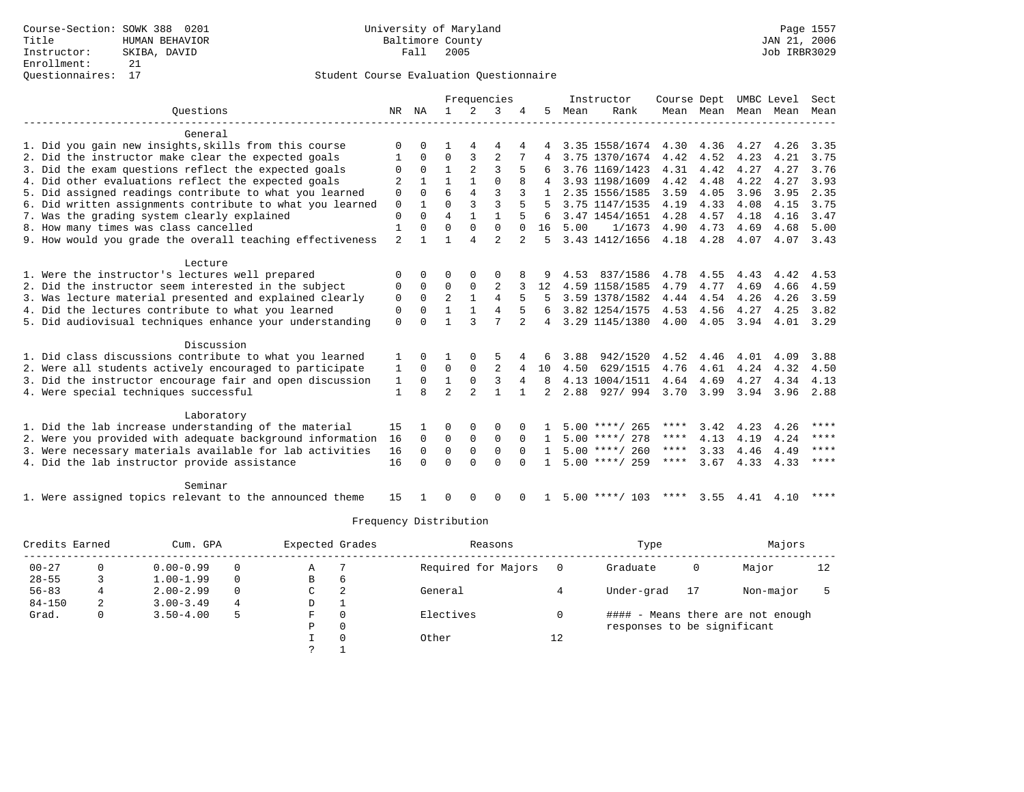|                                                                    |              |              |                |                | Frequencies    |                |                |      | Instructor       | Course Dept |      | UMBC Level          |      | Sect        |
|--------------------------------------------------------------------|--------------|--------------|----------------|----------------|----------------|----------------|----------------|------|------------------|-------------|------|---------------------|------|-------------|
| Ouestions                                                          | NR           | ΝA           | $\mathbf{1}$   | $\mathcal{L}$  | 3              |                | 5              | Mean | Rank             |             |      | Mean Mean Mean Mean |      | Mean        |
| General                                                            |              |              |                |                |                |                |                |      |                  |             |      |                     |      |             |
| 1. Did you gain new insights, skills from this course              | $\Omega$     |              |                |                |                |                |                |      | 3.35 1558/1674   | 4.30        | 4.36 | 4.27                | 4.26 | 3.35        |
| 2. Did the instructor make clear the expected goals                |              | $\Omega$     | $\Omega$       |                | $\overline{c}$ |                | 4              |      | 3.75 1370/1674   | 4.42        | 4.52 | 4.23                | 4.21 | 3.75        |
| 3. Did the exam questions reflect the expected goals               | $\Omega$     | $\Omega$     | $\mathbf{1}$   | $\mathfrak{D}$ | 3              | 5              | 6              |      | 3.76 1169/1423   | 4.31        | 4.42 | 4.27                | 4.27 | 3.76        |
| 4. Did other evaluations reflect the expected goals                |              | $\mathbf{1}$ | $\mathbf{1}$   | $\mathbf{1}$   | $\mathbf{0}$   | 8              | 4              |      | 3.93 1198/1609   | 4.42        | 4.48 | 4.22                | 4.27 | 3.93        |
| 5. Did assigned readings contribute to what you learned            | $\mathbf 0$  | $\Omega$     | 6              | $\overline{4}$ | 3              |                |                |      | 2.35 1556/1585   | 3.59        | 4.05 | 3.96                | 3.95 | 2.35        |
| 6. Did written assignments contribute to what you learned          | $\mathbf 0$  | $\mathbf{1}$ | $\Omega$       | 3              | 3              |                |                |      | 3.75 1147/1535   | 4.19        | 4.33 | 4.08                | 4.15 | 3.75        |
| 7. Was the grading system clearly explained                        | $\mathbf 0$  | $\Omega$     | $\overline{4}$ | $\mathbf{1}$   | $\mathbf{1}$   | 5              | 6              |      | 3.47 1454/1651   | 4.28        | 4.57 | 4.18                | 4.16 | 3.47        |
| 8. How many times was class cancelled                              | 1            | $\Omega$     | $\Omega$       | $\Omega$       | $\Omega$       | $\Omega$       | 16             | 5.00 | 1/1673           | 4.90        | 4.73 | 4.69                | 4.68 | 5.00        |
| 9. How would you grade the overall teaching effectiveness          | 2            | 1            | 1              | $\overline{A}$ | $\mathfrak{D}$ | $\mathfrak{D}$ | 5              |      | 3.43 1412/1656   | 4.18        | 4.28 | 4.07                | 4.07 | 3.43        |
| Lecture                                                            |              |              |                |                |                |                |                |      |                  |             |      |                     |      |             |
| 1. Were the instructor's lectures well prepared                    | O            | U            | O              | $\Omega$       | O              |                |                | 4.53 | 837/1586         | 4.78        | 4.55 | 4.43                | 4.42 | 4.53        |
| 2. Did the instructor seem interested in the subject               | 0            | $\Omega$     | $\Omega$       | 0              | $\overline{c}$ |                | 12             |      | 4.59 1158/1585   | 4.79        | 4.77 | 4.69                | 4.66 | 4.59        |
| 3. Was lecture material presented and explained clearly            | 0            | 0            | $\overline{a}$ | $\mathbf{1}$   | $\overline{4}$ | 5              |                |      | 3.59 1378/1582   | 4.44        | 4.54 | 4.26                | 4.26 | 3.59        |
| 4. Did the lectures contribute to what you learned                 | 0            | $\Omega$     | 1              | $\mathbf{1}$   | 4              | 5              |                |      | 3.82 1254/1575   | 4.53        | 4.56 | 4.27                | 4.25 | 3.82        |
| 5. Did audiovisual techniques enhance your understanding           | $\Omega$     | $\cap$       | $\mathbf{1}$   | 3              | 7              | $\overline{2}$ | 4              |      | 3.29 1145/1380   | 4.00        | 4.05 | 3.94                | 4.01 | 3.29        |
| Discussion                                                         |              |              |                |                |                |                |                |      |                  |             |      |                     |      |             |
| 1. Did class discussions contribute to what you learned            | 1            | $\Omega$     |                | $\Omega$       | 5              |                | 6              | 3.88 | 942/1520         | 4.52        | 4.46 | 4.01                | 4.09 | 3.88        |
| 2. Were all students actively encouraged to participate            | 1            | $\mathbf 0$  | 0              | $\Omega$       | $\overline{c}$ | 4              | 10             | 4.50 | 629/1515         | 4.76        | 4.61 | 4.24                | 4.32 | 4.50        |
| 3. Did the instructor encourage fair and open discussion           | $\mathbf{1}$ | $\Omega$     | $\mathbf{1}$   | $\Omega$       | 3              | 4              | 8              |      | 4.13 1004/1511   | 4.64        | 4.69 | 4.27                | 4.34 | 4.13        |
| 4. Were special techniques successful                              | $\mathbf{1}$ | 8            | $\mathfrak{D}$ | $\overline{2}$ | $\mathbf{1}$   | 1              | $\mathfrak{D}$ | 2.88 | 927/994          | 3.70        | 3.99 | 3.94                | 3.96 | 2.88        |
| Laboratory                                                         |              |              |                |                |                |                |                |      |                  |             |      |                     |      |             |
| 1. Did the lab increase understanding of the material              | 15           |              | U              | $\Omega$       | O              |                |                |      | $5.00$ ****/ 265 | ****        | 3.42 | 4.23                | 4.26 | ****        |
| 2. Were you provided with adequate background information          | 16           | $\Omega$     | $\mathbf 0$    | $\mathbf 0$    | $\Omega$       | $\Omega$       |                |      | $5.00$ ****/ 278 | ****        | 4.13 | 4.19                | 4.24 | ****        |
| 3. Were necessary materials available for lab activities           | 16           | $\Omega$     | $\mathbf 0$    | $\mathbf 0$    | $\Omega$       | $\Omega$       |                |      | $5.00$ ****/ 260 | ****        | 3.33 | 4.46                | 4.49 | $***$ * * * |
| 4. Did the lab instructor provide assistance                       | 16           | $\Omega$     | $\Omega$       | $\cap$         | $\Omega$       | $\cap$         |                |      | $5.00$ ****/ 259 | $***$ * * * | 3.67 | 4.33                | 4.33 | $* * * * *$ |
|                                                                    |              |              |                |                |                |                |                |      |                  |             |      |                     |      |             |
| Seminar<br>1. Were assigned topics relevant to the announced theme | 15           |              |                | O              | O              |                |                |      | $5.00$ ****/ 103 | ****        | 3.55 | 4.41                | 4.10 | $***$ *     |
|                                                                    |              |              |                |                |                |                |                |      |                  |             |      |                     |      |             |

| Credits Earned |   | Cum. GPA      |   | Expected Grades |          | Reasons             |    | Type                        |    | Majors                            |    |
|----------------|---|---------------|---|-----------------|----------|---------------------|----|-----------------------------|----|-----------------------------------|----|
| $00 - 27$      |   | $0.00 - 0.99$ |   | Α               |          | Required for Majors |    | Graduate                    | 0  | Major                             | 12 |
| $28 - 55$      |   | $1.00 - 1.99$ |   | B               | 6        |                     |    |                             |    |                                   |    |
| $56 - 83$      |   | $2.00 - 2.99$ |   | C               | -2       | General             |    | Under-grad                  | 17 | Non-major                         |    |
| $84 - 150$     | 2 | $3.00 - 3.49$ | 4 | D               |          |                     |    |                             |    |                                   |    |
| Grad.          | 0 | $3.50 - 4.00$ | 5 | F               | $\Omega$ | Electives           |    |                             |    | #### - Means there are not enough |    |
|                |   |               |   | Ρ               | 0        |                     |    | responses to be significant |    |                                   |    |
|                |   |               |   |                 | $\Omega$ | Other               | 12 |                             |    |                                   |    |
|                |   |               |   | C               |          |                     |    |                             |    |                                   |    |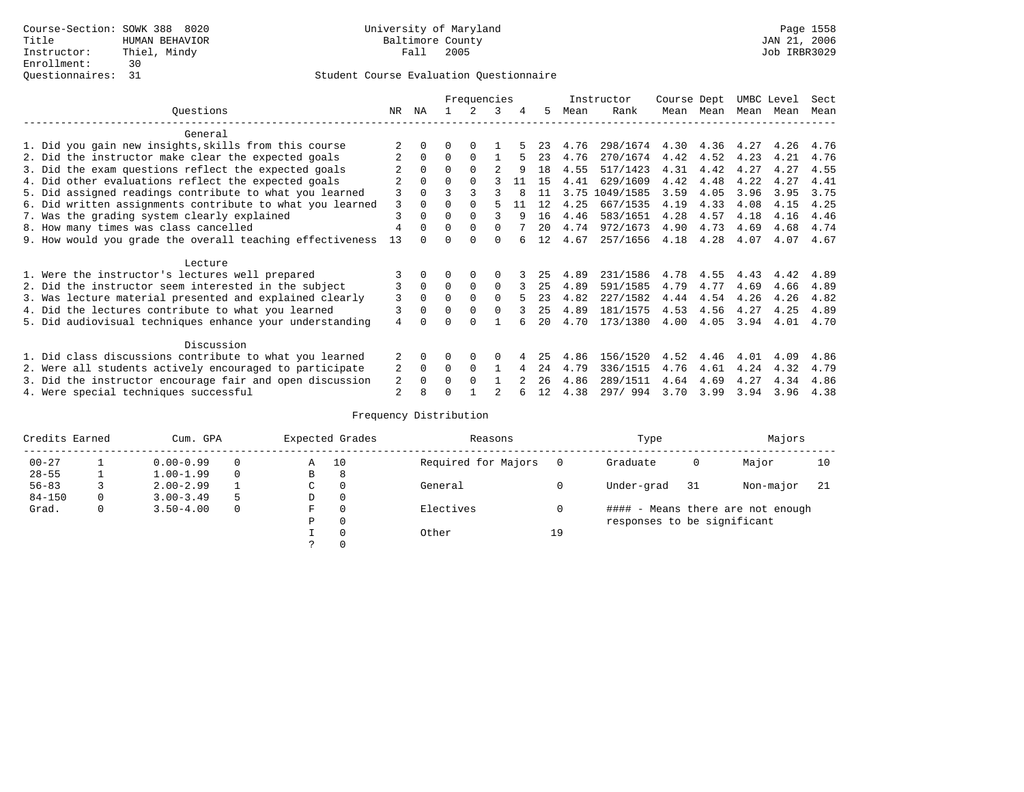|                                                           |                |          |          | Frequencies |          |    |     |      | Instructor | Course Dept |           | UMBC Level |      | Sect |
|-----------------------------------------------------------|----------------|----------|----------|-------------|----------|----|-----|------|------------|-------------|-----------|------------|------|------|
| Ouestions                                                 | NR.            | ΝA       |          |             | 3        |    | 5.  | Mean | Rank       |             | Mean Mean | Mean       | Mean | Mean |
| General                                                   |                |          |          |             |          |    |     |      |            |             |           |            |      |      |
| 1. Did you gain new insights, skills from this course     |                |          | 0        | $\Omega$    |          |    | 23  | 4.76 | 298/1674   | 4.30        | 4.36      | 4.27       | 4.26 | 4.76 |
| 2. Did the instructor make clear the expected goals       |                | $\Omega$ | $\Omega$ | $\Omega$    |          |    | 23  | 4.76 | 270/1674   | 4.42        | 4.52      | 4.23       | 4.21 | 4.76 |
| 3. Did the exam questions reflect the expected goals      |                | $\Omega$ | $\Omega$ | $\Omega$    |          | q  | 1 R | 4.55 | 517/1423   | 4.31        | 4.42      | 4.27       | 4.27 | 4.55 |
| 4. Did other evaluations reflect the expected goals       |                | $\Omega$ | $\Omega$ | $\Omega$    |          | 11 | 15  | 4.41 | 629/1609   | 4.42        | 4.48      | 4.22       | 4.27 | 4.41 |
| 5. Did assigned readings contribute to what you learned   | 3              | $\Omega$ |          |             |          | 8  | 11  | 3.75 | 1049/1585  | 3.59        | 4.05      | 3.96       | 3.95 | 3.75 |
| 6. Did written assignments contribute to what you learned | 3              | $\Omega$ | $\Omega$ | $\Omega$    |          | 11 | 12  | 4.25 | 667/1535   | 4.19        | 4.33      | 4.08       | 4.15 | 4.25 |
| 7. Was the grading system clearly explained               | 3              | $\Omega$ | $\Omega$ | $\Omega$    |          | q  | 16  | 4.46 | 583/1651   | 4.28        | 4.57      | 4.18       | 4.16 | 4.46 |
| 8. How many times was class cancelled                     | 4              | $\Omega$ | $\Omega$ | $\Omega$    | $\Omega$ |    | 20  | 4.74 | 972/1673   | 4.90        | 4.73      | 4.69       | 4.68 | 4.74 |
| 9. How would you grade the overall teaching effectiveness | 13             | $\cap$   | ∩        | ∩           | U        |    | 12  | 4.67 | 257/1656   | 4.18        | 4.28      | 4.07       | 4.07 | 4.67 |
| Lecture                                                   |                |          |          |             |          |    |     |      |            |             |           |            |      |      |
| 1. Were the instructor's lectures well prepared           |                |          |          |             |          |    | 25  | 4.89 | 231/1586   | 4.78        | 4.55      | 4.43       | 4.42 | 4.89 |
| 2. Did the instructor seem interested in the subject      | 3              | $\Omega$ | $\Omega$ | $\Omega$    | $\Omega$ |    | 25  | 4.89 | 591/1585   | 4.79        | 4.77      | 4.69       | 4.66 | 4.89 |
| 3. Was lecture material presented and explained clearly   | 3              | $\Omega$ | 0        | $\Omega$    | $\Omega$ |    | 23  | 4.82 | 227/1582   | 4.44        | 4.54      | 4.26       | 4.26 | 4.82 |
| 4. Did the lectures contribute to what you learned        | 3              | $\Omega$ | 0        | $\Omega$    | $\Omega$ |    | 25  | 4.89 | 181/1575   | 4.53        | 4.56      | 4.27       | 4.25 | 4.89 |
| 5. Did audiovisual techniques enhance your understanding  | $\overline{4}$ |          |          |             |          |    | 2.0 | 4.70 | 173/1380   | 4.00        | 4.05      | 3.94       | 4.01 | 4.70 |
| Discussion                                                |                |          |          |             |          |    |     |      |            |             |           |            |      |      |
| 1. Did class discussions contribute to what you learned   |                | 0        | 0        | $\Omega$    | $\Omega$ |    | 25  | 4.86 | 156/1520   | 4.52        | 4.46      | 4.01       | 4.09 | 4.86 |
| 2. Were all students actively encouraged to participate   | 2              | $\Omega$ | $\Omega$ | $\Omega$    |          | 4  | 24  | 4.79 | 336/1515   | 4.76        | 4.61      | 4.24       | 4.32 | 4.79 |
| 3. Did the instructor encourage fair and open discussion  | 2              | $\Omega$ | O        | $\Omega$    |          |    | 26  | 4.86 | 289/1511   | 4.64        | 4.69      | 4.27       | 4.34 | 4.86 |
| 4. Were special techniques successful                     | 2              |          |          |             |          |    | 12  | 4.38 | 297/994    | 3.70        | 3.99      | 3.94       | 3.96 | 4.38 |

| Credits Earned |   | Cum. GPA      |    |             | Expected Grades | Reasons             |          | Type                        |     | Majors                            |     |
|----------------|---|---------------|----|-------------|-----------------|---------------------|----------|-----------------------------|-----|-----------------------------------|-----|
| $00 - 27$      |   | $0.00 - 0.99$ |    | Α           | 10              | Required for Majors | $\Omega$ | Graduate                    | 0   | Major                             | 10  |
| $28 - 55$      | ᅩ | $1.00 - 1.99$ |    | В           | 8               |                     |          |                             |     |                                   |     |
| $56 - 83$      |   | $2.00 - 2.99$ |    | $\sim$<br>◡ | 0               | General             |          | Under-grad                  | -31 | Non-major                         | -21 |
| $84 - 150$     | 0 | $3.00 - 3.49$ | .5 | D           | 0               |                     |          |                             |     |                                   |     |
| Grad.          | 0 | $3.50 - 4.00$ |    | F           | 0               | Electives           | 0        |                             |     | #### - Means there are not enough |     |
|                |   |               |    | Ρ           | 0               |                     |          | responses to be significant |     |                                   |     |
|                |   |               |    |             | $\Omega$        | Other               | 19       |                             |     |                                   |     |
|                |   |               |    |             |                 |                     |          |                             |     |                                   |     |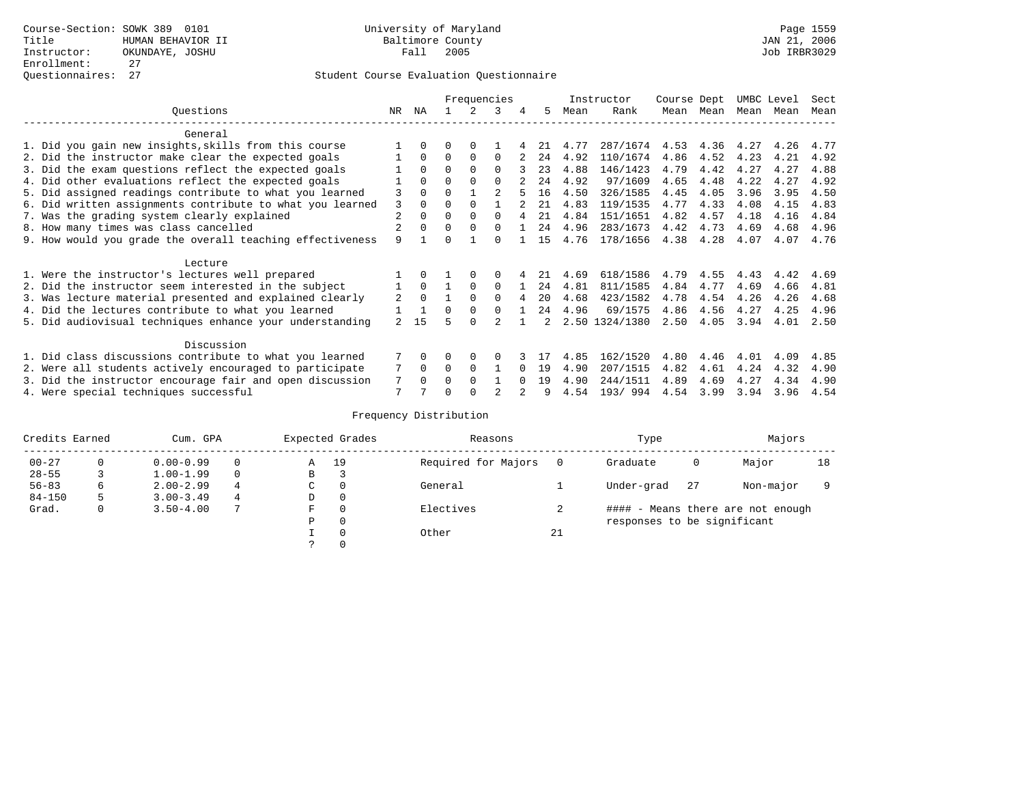|                                                           |                |              |          |          | Frequencies    |     |      | Instructor     | Course Dept |      | UMBC Level |      | Sect |
|-----------------------------------------------------------|----------------|--------------|----------|----------|----------------|-----|------|----------------|-------------|------|------------|------|------|
| Ouestions                                                 | NR.            | ΝA           |          |          | 3              | 5.  | Mean | Rank           | Mean        | Mean | Mean       | Mean | Mean |
| General                                                   |                |              |          |          |                |     |      |                |             |      |            |      |      |
| 1. Did you gain new insights, skills from this course     |                | $\Omega$     | O        | $\Omega$ |                | 21  | 4.77 | 287/1674       | 4.53        | 4.36 | 4.27       | 4.26 | 4.77 |
| 2. Did the instructor make clear the expected goals       |                | $\Omega$     | $\Omega$ | $\Omega$ | $\Omega$       | 24  | 4.92 | 110/1674       | 4.86        | 4.52 | 4.23       | 4.21 | 4.92 |
| 3. Did the exam questions reflect the expected goals      |                | $\Omega$     | $\Omega$ | $\Omega$ | $\Omega$       | 23  | 4.88 | 146/1423       | 4.79        | 4.42 | 4.27       | 4.27 | 4.88 |
| 4. Did other evaluations reflect the expected goals       |                | $\Omega$     | $\Omega$ | $\Omega$ | $\Omega$       | 24  | 4.92 | 97/1609        | 4.65        | 4.48 | 4.22       | 4.27 | 4.92 |
| 5. Did assigned readings contribute to what you learned   | 3              | $\Omega$     | $\Omega$ |          | $\mathfrak{D}$ | 16  | 4.50 | 326/1585       | 4.45        | 4.05 | 3.96       | 3.95 | 4.50 |
| 6. Did written assignments contribute to what you learned | 3              | $\Omega$     | $\Omega$ | $\Omega$ |                | 21  | 4.83 | 119/1535       | 4.77        | 4.33 | 4.08       | 4.15 | 4.83 |
| 7. Was the grading system clearly explained               | $\overline{2}$ | $\Omega$     | $\Omega$ | $\Omega$ |                | 21  | 4.84 | 151/1651       | 4.82        | 4.57 | 4.18       | 4.16 | 4.84 |
| 8. How many times was class cancelled                     |                | $\Omega$     | $\Omega$ | $\Omega$ | $\Omega$       | 2.4 | 4.96 | 283/1673       | 4.42        | 4.73 | 4.69       | 4.68 | 4.96 |
| 9. How would you grade the overall teaching effectiveness | 9              |              | U        |          | U              | 15  | 4.76 | 178/1656       | 4.38        | 4.28 | 4.07       | 4.07 | 4.76 |
| Lecture                                                   |                |              |          |          |                |     |      |                |             |      |            |      |      |
| 1. Were the instructor's lectures well prepared           |                |              |          |          |                |     | 4.69 | 618/1586       | 4.79        | 4.55 | 4.43       | 4.42 | 4.69 |
| 2. Did the instructor seem interested in the subject      |                | $\Omega$     |          | $\Omega$ | $\Omega$       | 24  | 4.81 | 811/1585       | 4.84        | 4.77 | 4.69       | 4.66 | 4.81 |
| 3. Was lecture material presented and explained clearly   | $\mathfrak{D}$ | $\Omega$     |          | $\Omega$ | $\Omega$       | 20  | 4.68 | 423/1582       | 4.78        | 4.54 | 4.26       | 4.26 | 4.68 |
| 4. Did the lectures contribute to what you learned        |                | $\mathbf{1}$ | $\Omega$ | $\Omega$ | $\cap$         | 24  | 4.96 | 69/1575        | 4.86        | 4.56 | 4.27       | 4.25 | 4.96 |
| 5. Did audiovisual techniques enhance your understanding  | $\overline{a}$ | 15           |          | $\cap$   |                |     |      | 2.50 1324/1380 | 2.50        | 4.05 | 3.94       | 4.01 | 2.50 |
|                                                           |                |              |          |          |                |     |      |                |             |      |            |      |      |
| Discussion                                                |                |              |          |          |                |     |      |                |             |      |            |      |      |
| 1. Did class discussions contribute to what you learned   |                | $\Omega$     | O        | $\Omega$ | $\Omega$       |     | 4.85 | 162/1520       | 4.80        | 4.46 | 4.01       | 4.09 | 4.85 |
| 2. Were all students actively encouraged to participate   |                | $\Omega$     | $\Omega$ | $\Omega$ |                | 19  | 4.90 | 207/1515       | 4.82        | 4.61 | 4.24       | 4.32 | 4.90 |
| 3. Did the instructor encourage fair and open discussion  | 7              | $\Omega$     | O        | $\Omega$ |                | 19  | 4.90 | 244/1511       | 4.89        | 4.69 | 4.27       | 4.34 | 4.90 |
| 4. Were special techniques successful                     | 7              |              |          |          |                |     | 4.54 | 193/994        | 4.54        | 3.99 | 3.94       | 3.96 | 4.54 |

| Credits Earned |          | Cum. GPA      |   |             | Expected Grades | Reasons             |          | Type                        |     | Majors                            |    |
|----------------|----------|---------------|---|-------------|-----------------|---------------------|----------|-----------------------------|-----|-----------------------------------|----|
| $00 - 27$      | $\Omega$ | $0.00 - 0.99$ |   | Α           | 19              | Required for Majors | $\Omega$ | Graduate                    | 0   | Major                             | 18 |
| $28 - 55$      | 3        | $1.00 - 1.99$ |   | В           | 3               |                     |          |                             |     |                                   |    |
| $56 - 83$      | 6        | $2.00 - 2.99$ | 4 | $\sim$<br>◡ | 0               | General             |          | Under-grad                  | -27 | Non-major                         |    |
| $84 - 150$     | 5        | $3.00 - 3.49$ | 4 | D           | 0               |                     |          |                             |     |                                   |    |
| Grad.          | 0        | $3.50 - 4.00$ |   | F           | 0               | Electives           |          |                             |     | #### - Means there are not enough |    |
|                |          |               |   | Ρ           | 0               |                     |          | responses to be significant |     |                                   |    |
|                |          |               |   |             | $\Omega$        | Other               | 21       |                             |     |                                   |    |
|                |          |               |   |             |                 |                     |          |                             |     |                                   |    |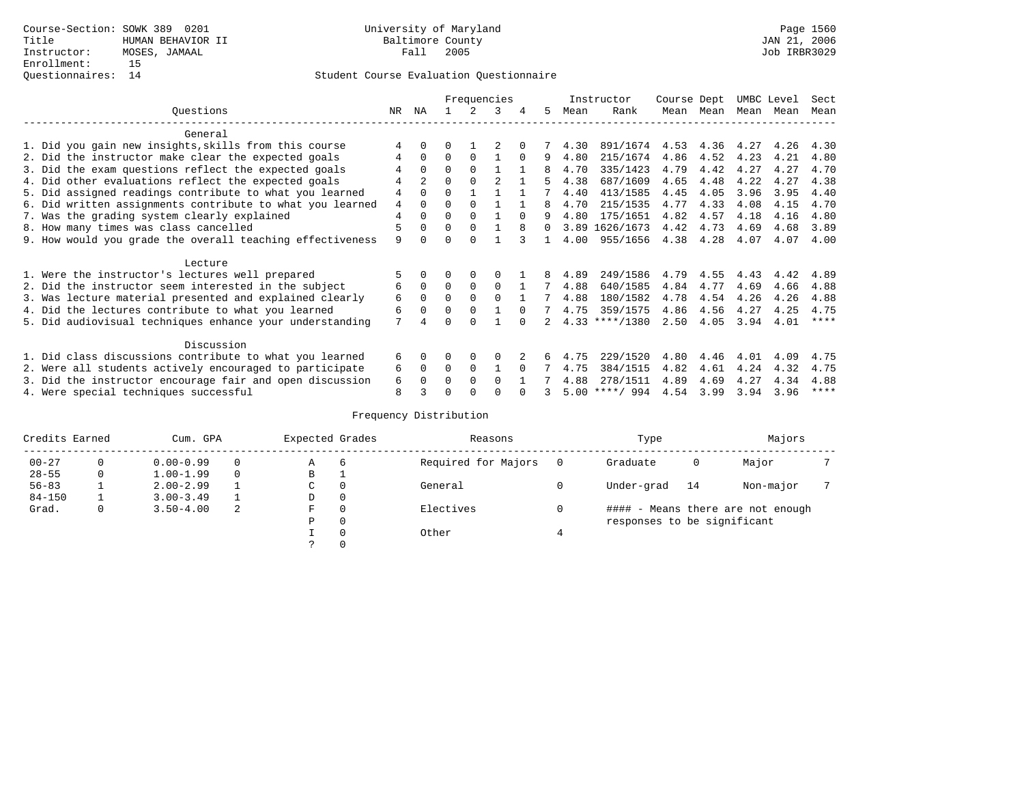|                                                           |                |                |          |          | Frequencies |          |          |      | Instructor       | Course Dept |      | UMBC Level |      | Sect        |
|-----------------------------------------------------------|----------------|----------------|----------|----------|-------------|----------|----------|------|------------------|-------------|------|------------|------|-------------|
| Ouestions                                                 | NR.            | ΝA             |          |          | 3           | 4        | 5.       | Mean | Rank             | Mean        | Mean | Mean       | Mean | Mean        |
| General                                                   |                |                |          |          |             |          |          |      |                  |             |      |            |      |             |
| 1. Did you gain new insights, skills from this course     | 4              | $\Omega$       | O        |          |             |          |          | 4.30 | 891/1674         | 4.53        | 4.36 | 4.27       | 4.26 | 4.30        |
| 2. Did the instructor make clear the expected goals       | 4              | $\Omega$       | $\Omega$ | $\Omega$ |             | $\Omega$ | 9        | 4.80 | 215/1674         | 4.86        | 4.52 | 4.23       | 4.21 | 4.80        |
| 3. Did the exam questions reflect the expected goals      |                | $\Omega$       | $\Omega$ | $\Omega$ |             |          | 8        | 4.70 | 335/1423         | 4.79        | 4.42 | 4.27       | 4.27 | 4.70        |
| 4. Did other evaluations reflect the expected goals       | 4              | $\mathfrak{D}$ | $\Omega$ | $\Omega$ |             |          |          | 4.38 | 687/1609         | 4.65        | 4.48 | 4.22       | 4.27 | 4.38        |
| 5. Did assigned readings contribute to what you learned   | $\overline{4}$ | $\Omega$       | 0        |          |             |          |          | 4.40 | 413/1585         | 4.45        | 4.05 | 3.96       | 3.95 | 4.40        |
| 6. Did written assignments contribute to what you learned | 4              | $\Omega$       | $\Omega$ | $\Omega$ |             |          | 8        | 4.70 | 215/1535         | 4.77        | 4.33 | 4.08       | 4.15 | 4.70        |
| 7. Was the grading system clearly explained               | 4              | $\Omega$       | $\Omega$ | $\Omega$ |             | $\Omega$ | 9        | 4.80 | 175/1651         | 4.82        | 4.57 | 4.18       | 4.16 | 4.80        |
| 8. How many times was class cancelled                     | 5              | $\Omega$       | $\Omega$ | $\Omega$ |             | 8        | $\Omega$ |      | 3.89 1626/1673   | 4.42        | 4.73 | 4.69       | 4.68 | 3.89        |
| 9. How would you grade the overall teaching effectiveness | 9              | <sup>n</sup>   | U        | ∩        |             |          |          | 4.00 | 955/1656         | 4.38        | 4.28 | 4.07       | 4.07 | 4.00        |
| Lecture                                                   |                |                |          |          |             |          |          |      |                  |             |      |            |      |             |
| 1. Were the instructor's lectures well prepared           |                |                |          |          |             |          |          | 4.89 | 249/1586         | 4.79        | 4.55 | 4.43       | 4.42 | 4.89        |
| 2. Did the instructor seem interested in the subject      | 6              | $\Omega$       | $\Omega$ | $\Omega$ | $\Omega$    |          | 7        | 4.88 | 640/1585         | 4.84        | 4.77 | 4.69       | 4.66 | 4.88        |
| 3. Was lecture material presented and explained clearly   | 6              | $\Omega$       | $\Omega$ | $\Omega$ | $\Omega$    |          |          | 4.88 | 180/1582         | 4.78        | 4.54 | 4.26       | 4.26 | 4.88        |
| 4. Did the lectures contribute to what you learned        | 6              | $\Omega$       | $\Omega$ | $\Omega$ |             | $\cap$   |          | 4.75 | 359/1575         | 4.86        | 4.56 | 4.27       | 4.25 | 4.75        |
| 5. Did audiovisual techniques enhance your understanding  | 7              |                |          |          |             |          |          |      | $4.33$ ****/1380 | 2.50        | 4.05 | 3.94       | 4.01 | $***$ *     |
|                                                           |                |                |          |          |             |          |          |      |                  |             |      |            |      |             |
| Discussion                                                |                |                |          |          |             |          |          |      |                  |             |      |            |      |             |
| 1. Did class discussions contribute to what you learned   | 6              | $\Omega$       | U        | $\Omega$ | $\Omega$    |          |          | 4.75 | 229/1520         | 4.80        | 4.46 | 4.01       | 4.09 | 4.75        |
| 2. Were all students actively encouraged to participate   | 6              | $\Omega$       | $\Omega$ | $\Omega$ |             |          |          | 4.75 | 384/1515         | 4.82        | 4.61 | 4.24       | 4.32 | 4.75        |
| 3. Did the instructor encourage fair and open discussion  | 6              | $\Omega$       | 0        | $\Omega$ | $\Omega$    |          |          | 4.88 | 278/1511         | 4.89        | 4.69 | 4.27       | 4.34 | 4.88        |
| 4. Were special techniques successful                     | 8              |                |          |          |             |          |          |      | $5.00$ ****/ 994 | 4.54        | 3.99 | 3.94       | 3.96 | $***$ * * * |

| Credits Earned |          | Cum. GPA      |   | Expected Grades |          | Reasons             |          | Type                        |    | Majors                            |  |
|----------------|----------|---------------|---|-----------------|----------|---------------------|----------|-----------------------------|----|-----------------------------------|--|
| $00 - 27$      | $\Omega$ | $0.00 - 0.99$ |   | А               | 6        | Required for Majors | $\Omega$ | Graduate                    | 0  | Major                             |  |
| $28 - 55$      | 0        | $1.00 - 1.99$ |   | В               |          |                     |          |                             |    |                                   |  |
| $56 - 83$      |          | $2.00 - 2.99$ |   | $\sim$<br>◡     | 0        | General             |          | Under-grad                  | 14 | Non-major                         |  |
| $84 - 150$     |          | $3.00 - 3.49$ |   | D               | 0        |                     |          |                             |    |                                   |  |
| Grad.          | 0        | $3.50 - 4.00$ | 2 | F               | 0        | Electives           | 0        |                             |    | #### - Means there are not enough |  |
|                |          |               |   | Ρ               | 0        |                     |          | responses to be significant |    |                                   |  |
|                |          |               |   |                 | $\Omega$ | Other               |          |                             |    |                                   |  |
|                |          |               |   |                 |          |                     |          |                             |    |                                   |  |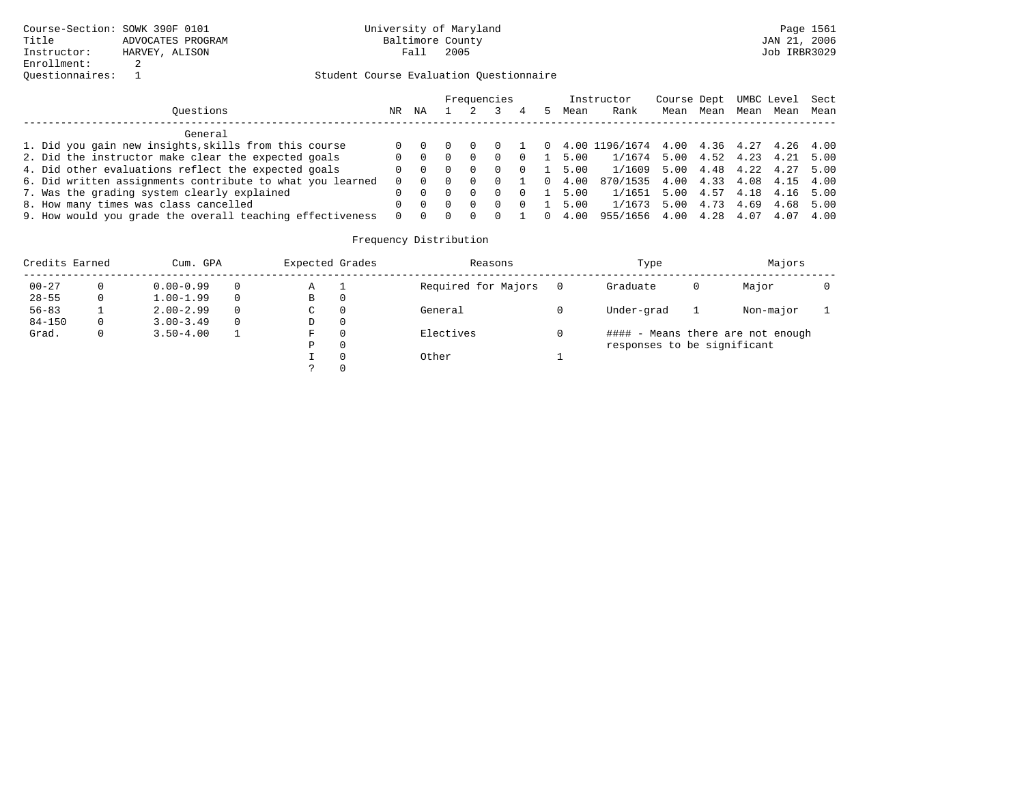|                                                           |          |    |          |          | Frequencies |          |   |      | Instructor                                  | Course Dept UMBC Level Sect |      |           |           |      |
|-----------------------------------------------------------|----------|----|----------|----------|-------------|----------|---|------|---------------------------------------------|-----------------------------|------|-----------|-----------|------|
| Ouestions                                                 | NR.      | ΝA |          |          |             |          |   | Mean | Rank                                        | Mean                        | Mean | Mean      | Mean      | Mean |
| General                                                   |          |    |          |          |             |          |   |      |                                             |                             |      |           |           |      |
| 1. Did you gain new insights, skills from this course     |          |    |          |          | $\Omega$    |          |   |      | $0$ 4.00 1196/1674 4.00 4.36 4.27 4.26 4.00 |                             |      |           |           |      |
| 2. Did the instructor make clear the expected goals       |          |    | $\Omega$ | $\Omega$ | $\Omega$    | $\Omega$ |   | 5.00 | $1/1674$ 5.00 4.52 4.23 4.21 5.00           |                             |      |           |           |      |
| 4. Did other evaluations reflect the expected goals       |          |    |          | $\Omega$ | $\Omega$    | $\Omega$ |   | 5.00 | 1/1609 5.00 4.48 4.22 4.27 5.00             |                             |      |           |           |      |
| 6. Did written assignments contribute to what you learned | $\Omega$ |    |          |          |             |          |   | 4.00 | 870/1535 4.00 4.33 4.08 4.15                |                             |      |           |           | 4.00 |
| 7. Was the grading system clearly explained               |          |    |          | $\Omega$ | $\Omega$    | $\Omega$ |   | 5.00 | 1/1651 5.00 4.57 4.18                       |                             |      |           | 4.16 5.00 |      |
| 8. How many times was class cancelled                     |          |    |          |          | $\Omega$    | $\Omega$ |   | 5.00 | 1/1673 5.00                                 |                             |      | 4.73 4.69 | 4.68      | 5.00 |
| 9. How would you grade the overall teaching effectiveness | $\Omega$ |    |          | $\Omega$ | $\Omega$    |          | 0 | 4.00 | 955/1656 4.00                               |                             | 4.28 | 4.07      | 4.07 4.00 |      |

| Credits Earned |              | Cum. GPA      |          | Expected Grades |          | Reasons             | Type                        |   | Majors                            |  |
|----------------|--------------|---------------|----------|-----------------|----------|---------------------|-----------------------------|---|-----------------------------------|--|
| $00 - 27$      |              | $0.00 - 0.99$ |          | Α               |          | Required for Majors | Graduate                    | 0 | Major                             |  |
| $28 - 55$      |              | $1.00 - 1.99$ |          | В               | 0        |                     |                             |   |                                   |  |
| $56 - 83$      |              | $2.00 - 2.99$ | $\Omega$ | C.              | $\Omega$ | General             | Under-grad                  |   | Non-major                         |  |
| $84 - 150$     | $\Omega$     | $3.00 - 3.49$ | $\Omega$ | D               | 0        |                     |                             |   |                                   |  |
| Grad.          | $\mathbf{0}$ | $3.50 - 4.00$ |          | F               | $\Omega$ | Electives           |                             |   | #### - Means there are not enough |  |
|                |              |               |          | Ρ               | 0        |                     | responses to be significant |   |                                   |  |
|                |              |               |          |                 | $\Omega$ | Other               |                             |   |                                   |  |
|                |              |               |          |                 | $\Omega$ |                     |                             |   |                                   |  |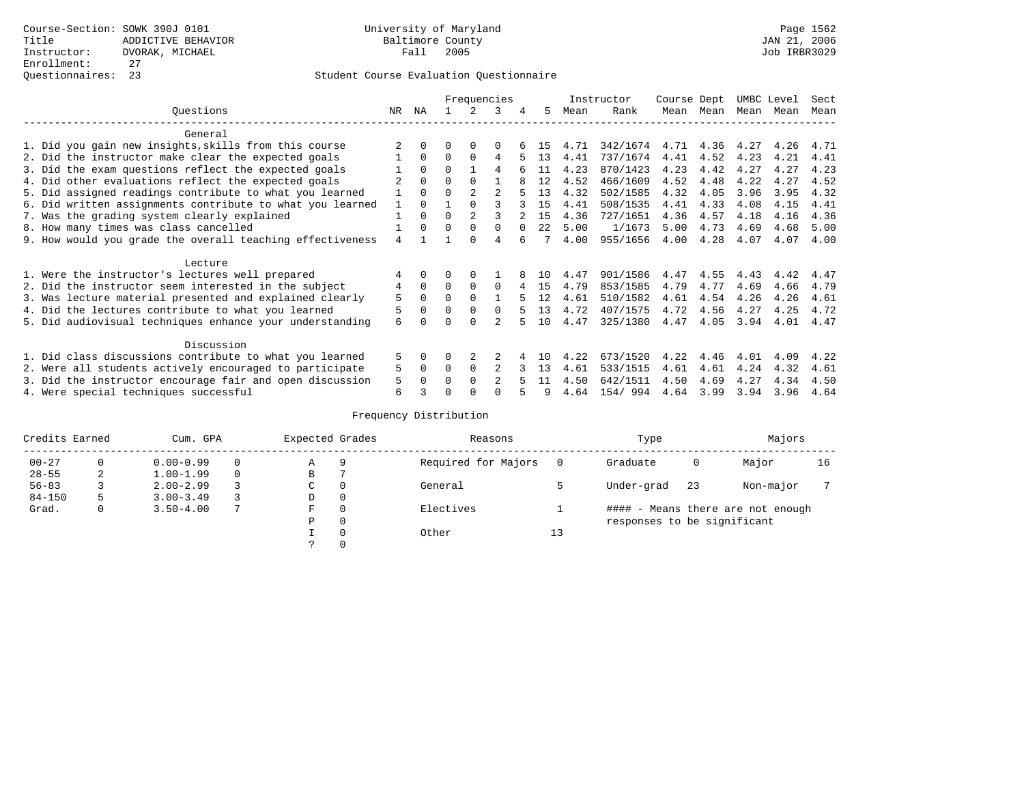|                                                           |              |          |          |                | Frequencies    |          |      |      | Instructor | Course Dept |           | UMBC Level |      | Sect |
|-----------------------------------------------------------|--------------|----------|----------|----------------|----------------|----------|------|------|------------|-------------|-----------|------------|------|------|
| Ouestions                                                 | NR.          | ΝA       |          |                | 3              | 4        | 5.   | Mean | Rank       |             | Mean Mean | Mean       | Mean | Mean |
| General                                                   |              |          |          |                |                |          |      |      |            |             |           |            |      |      |
| 1. Did you gain new insights, skills from this course     |              |          | O        | $\Omega$       | $\Omega$       |          | 15   | 4.71 | 342/1674   |             | 4.71 4.36 | 4.27       | 4.26 | 4.71 |
| 2. Did the instructor make clear the expected goals       |              | $\Omega$ | $\Omega$ | $\Omega$       | 4              |          | 13   | 4.41 | 737/1674   | 4.41        | 4.52      | 4.23       | 4.21 | 4.41 |
| 3. Did the exam questions reflect the expected goals      |              | $\Omega$ | $\Omega$ |                | 4              |          | 11   | 4.23 | 870/1423   | 4.23        | 4.42      | 4.27       | 4.27 | 4.23 |
| 4. Did other evaluations reflect the expected goals       |              | $\Omega$ | $\Omega$ | $\Omega$       |                |          | 12   | 4.52 | 466/1609   | 4.52        | 4.48      | 4.22       | 4.27 | 4.52 |
| 5. Did assigned readings contribute to what you learned   |              | $\Omega$ | $\Omega$ | $\mathfrak{D}$ | $\mathfrak{D}$ |          | 13   | 4.32 | 502/1585   | 4.32        | 4.05      | 3.96       | 3.95 | 4.32 |
| 6. Did written assignments contribute to what you learned | $\mathbf{1}$ | $\Omega$ |          |                |                |          | 15   | 4.41 | 508/1535   | 4.41        | 4.33      | 4.08       | 4.15 | 4.41 |
| 7. Was the grading system clearly explained               |              | $\Omega$ | $\Omega$ |                |                |          | 15   | 4.36 | 727/1651   | 4.36        | 4.57      | 4.18       | 4.16 | 4.36 |
| 8. How many times was class cancelled                     |              | $\Omega$ | $\Omega$ | $\Omega$       | $\Omega$       | $\Omega$ | 22.2 | 5.00 | 1/1673     | 5.00        | 4.73      | 4.69       | 4.68 | 5.00 |
| 9. How would you grade the overall teaching effectiveness | 4            |          |          | ∩              | 4              |          |      | 4.00 | 955/1656   | 4.00        | 4.28      | 4.07       | 4.07 | 4.00 |
| Lecture                                                   |              |          |          |                |                |          |      |      |            |             |           |            |      |      |
| 1. Were the instructor's lectures well prepared           |              |          |          | $\Omega$       |                |          | 1 N  | 4.47 | 901/1586   | 4.47        | 4.55      | 4.43       | 4.42 | 4.47 |
| 2. Did the instructor seem interested in the subject      | 4            | $\Omega$ | $\Omega$ | $\Omega$       | $\Omega$       |          | 15   | 4.79 | 853/1585   | 4.79        | 4.77      | 4.69       | 4.66 | 4.79 |
| 3. Was lecture material presented and explained clearly   | 5            | $\Omega$ | 0        | $\Omega$       |                |          | 12   | 4.61 | 510/1582   | 4.61        | 4.54      | 4.26       | 4.26 | 4.61 |
| 4. Did the lectures contribute to what you learned        | 5            | $\Omega$ | $\Omega$ | $\Omega$       | $\Omega$       |          | 13   | 4.72 | 407/1575   | 4.72        | 4.56      | 4.27       | 4.25 | 4.72 |
| 5. Did audiovisual techniques enhance your understanding  | 6            |          |          | ∩              |                |          | 10   | 4.47 | 325/1380   | 4.47        | 4.05      | 3.94       | 4.01 | 4.47 |
| Discussion                                                |              |          |          |                |                |          |      |      |            |             |           |            |      |      |
| 1. Did class discussions contribute to what you learned   | 5            | $\Omega$ | U        |                |                |          | 1 N  | 4.22 | 673/1520   | 4.22        | 4.46      | 4.01       | 4.09 | 4.22 |
| 2. Were all students actively encouraged to participate   | 5            | $\Omega$ | $\Omega$ | $\Omega$       |                |          | 13   | 4.61 | 533/1515   | 4.61        | 4.61      | 4.24       | 4.32 | 4.61 |
| 3. Did the instructor encourage fair and open discussion  | 5            | $\Omega$ | O        |                |                |          | 11   | 4.50 | 642/1511   | 4.50        | 4.69      | 4.27       | 4.34 | 4.50 |
| 4. Were special techniques successful                     | 6            |          |          |                |                |          |      | 4.64 | 154/ 994   | 4.64        | 3.99      | 3.94       | 3.96 | 4.64 |

| Credits Earned |   | Cum. GPA      | Expected Grades |          | Reasons             |    | Type                        |    | Majors                            |    |
|----------------|---|---------------|-----------------|----------|---------------------|----|-----------------------------|----|-----------------------------------|----|
| $00 - 27$      | 0 | $0.00 - 0.99$ | Α               | 9        | Required for Majors |    | Graduate                    | 0  | Major                             | 16 |
| $28 - 55$      | 2 | $1.00 - 1.99$ | В               |          |                     |    |                             |    |                                   |    |
| $56 - 83$      |   | $2.00 - 2.99$ | $\sim$<br>◡     | $\Omega$ | General             |    | Under-grad                  | 23 | Non-major                         |    |
| $84 - 150$     | 5 | $3.00 - 3.49$ | D               | 0        |                     |    |                             |    |                                   |    |
| Grad.          | 0 | $3.50 - 4.00$ | F               | 0        | Electives           |    |                             |    | #### - Means there are not enough |    |
|                |   |               | Ρ               | 0        |                     |    | responses to be significant |    |                                   |    |
|                |   |               |                 | 0        | Other               | 13 |                             |    |                                   |    |
|                |   |               | $\mathcal{L}$   |          |                     |    |                             |    |                                   |    |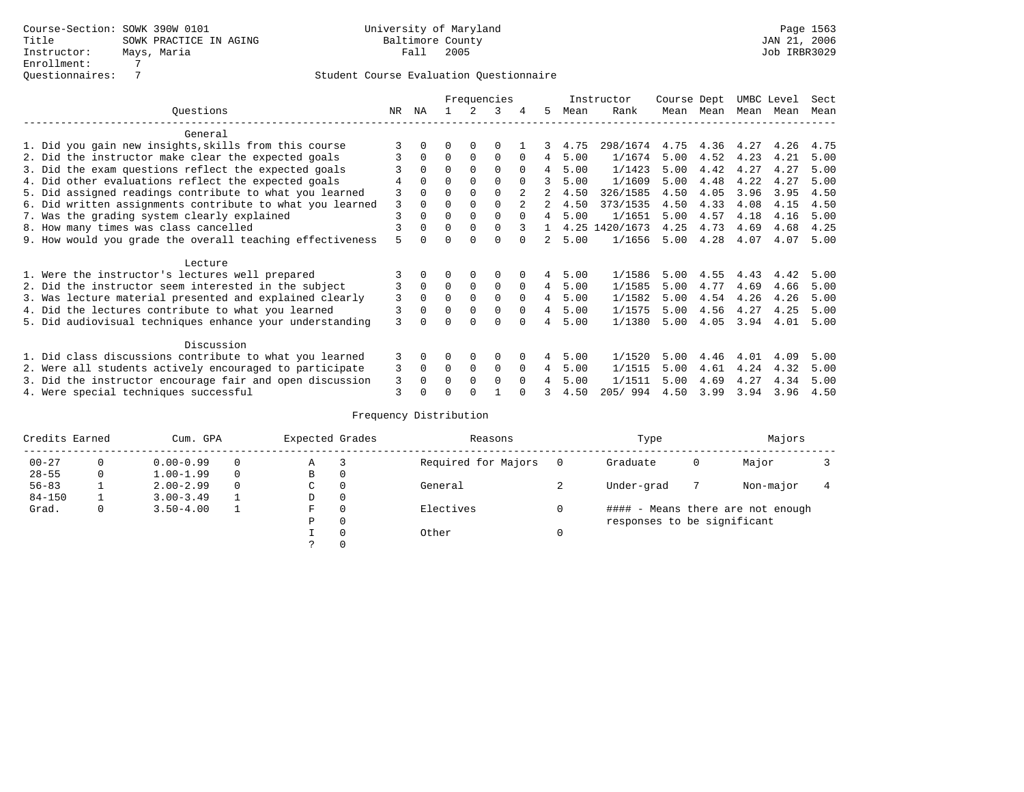|                                                           |    |          |          |             | Frequencies |          |   |      | Instructor     | Course Dept |      | UMBC Level |      | Sect |
|-----------------------------------------------------------|----|----------|----------|-------------|-------------|----------|---|------|----------------|-------------|------|------------|------|------|
| Ouestions                                                 | NR | ΝA       |          |             |             | 4        | 5 | Mean | Rank           | Mean        | Mean | Mean       | Mean | Mean |
| General                                                   |    |          |          |             |             |          |   |      |                |             |      |            |      |      |
| 1. Did you gain new insights, skills from this course     |    |          |          |             |             |          |   | 4.75 | 298/1674       | 4.75        | 4.36 | 4.27       | 4.26 | 4.75 |
| 2. Did the instructor make clear the expected goals       |    | $\Omega$ | $\Omega$ | $\Omega$    | $\Omega$    |          | 4 | 5.00 | 1/1674         | 5.00        | 4.52 | 4.23       | 4.21 | 5.00 |
| 3. Did the exam questions reflect the expected goals      |    | $\Omega$ | $\Omega$ | $\Omega$    | $\Omega$    | $\Omega$ | 4 | 5.00 | 1/1423         | 5.00        | 4.42 | 4.27       | 4.27 | 5.00 |
| 4. Did other evaluations reflect the expected goals       |    | $\Omega$ | $\Omega$ | $\Omega$    | $\Omega$    | $\Omega$ | 3 | 5.00 | 1/1609         | 5.00        | 4.48 | 4.22       | 4.27 | 5.00 |
| 5. Did assigned readings contribute to what you learned   | 3  |          |          |             | $\Omega$    |          |   | 4.50 | 326/1585       | 4.50        | 4.05 | 3.96       | 3.95 | 4.50 |
| 6. Did written assignments contribute to what you learned | 3  | $\Omega$ | O        |             |             |          |   | 4.50 | 373/1535       | 4.50        | 4.33 | 4.08       | 4.15 | 4.50 |
| 7. Was the grading system clearly explained               | 3  | $\Omega$ | O        | $\Omega$    | $\Omega$    |          | 4 | 5.00 | 1/1651         | 5.00        | 4.57 | 4.18       | 4.16 | 5.00 |
| 8. How many times was class cancelled                     |    | $\Omega$ | $\Omega$ | $\Omega$    | $\Omega$    | 3        |   |      | 4.25 1420/1673 | 4.25        | 4.73 | 4.69       | 4.68 | 4.25 |
| 9. How would you grade the overall teaching effectiveness | 5  |          |          |             | U           |          |   | 5.00 | 1/1656         | 5.00        | 4.28 | 4.07       | 4.07 | 5.00 |
| Lecture                                                   |    |          |          |             |             |          |   |      |                |             |      |            |      |      |
| 1. Were the instructor's lectures well prepared           |    |          |          |             |             |          |   | 5.00 | 1/1586         | 5.00        | 4.55 | 4.43       | 4.42 | 5.00 |
| 2. Did the instructor seem interested in the subject      |    | $\Omega$ | $\Omega$ | $\mathbf 0$ | $\mathbf 0$ | $\Omega$ | 4 | 5.00 | 1/1585         | 5.00        | 4.77 | 4.69       | 4.66 | 5.00 |
| 3. Was lecture material presented and explained clearly   | 3  | $\Omega$ | O        | $\Omega$    | $\Omega$    | $\Omega$ | 4 | 5.00 | 1/1582         | 5.00        | 4.54 | 4.26       | 4.26 | 5.00 |
| 4. Did the lectures contribute to what you learned        |    | $\Omega$ | $\Omega$ | $\Omega$    | $\mathbf 0$ | $\Omega$ | 4 | 5.00 | 1/1575         | 5.00        | 4.56 | 4.27       | 4.25 | 5.00 |
| 5. Did audiovisual techniques enhance your understanding  | 3  |          |          |             | $\cap$      | $\cap$   | 4 | 5.00 | 1/1380         | 5.00        | 4.05 | 3.94       | 4.01 | 5.00 |
| Discussion                                                |    |          |          |             |             |          |   |      |                |             |      |            |      |      |
| 1. Did class discussions contribute to what you learned   | 3  | 0        | 0        | $\Omega$    | $\Omega$    |          | 4 | 5.00 | 1/1520         | 5.00        | 4.46 | 4.01       | 4.09 | 5.00 |
| 2. Were all students actively encouraged to participate   | 3  | $\Omega$ | $\Omega$ | $\Omega$    | $\Omega$    | $\Omega$ | 4 | 5.00 | 1/1515         | 5.00        | 4.61 | 4.24       | 4.32 | 5.00 |
| 3. Did the instructor encourage fair and open discussion  | 3  |          | O        | $\Omega$    | $\Omega$    | $\Omega$ |   | 5.00 | 1/1511         | 5.00        | 4.69 | 4.27       | 4.34 | 5.00 |
| 4. Were special techniques successful                     | 3  |          |          |             |             |          |   | 4.50 | 205/994        | 4.50        | 3.99 | 3.94       | 3.96 | 4.50 |

| Credits Earned |          | Cum. GPA      | Expected Grades |          | Reasons             |   | Type                        |   | Majors                            |  |
|----------------|----------|---------------|-----------------|----------|---------------------|---|-----------------------------|---|-----------------------------------|--|
| $00 - 27$      | $\Omega$ | $0.00 - 0.99$ | Α               |          | Required for Majors | 0 | Graduate                    | 0 | Major                             |  |
| $28 - 55$      | 0        | $1.00 - 1.99$ | В               | 0        |                     |   |                             |   |                                   |  |
| $56 - 83$      |          | $2.00 - 2.99$ | $\sim$<br>◡     | 0        | General             |   | Under-grad                  |   | Non-major                         |  |
| $84 - 150$     |          | $3.00 - 3.49$ | D               | 0        |                     |   |                             |   |                                   |  |
| Grad.          | 0        | $3.50 - 4.00$ | F               | 0        | Electives           | 0 |                             |   | #### - Means there are not enough |  |
|                |          |               | Ρ               | 0        |                     |   | responses to be significant |   |                                   |  |
|                |          |               |                 | $\Omega$ | Other               |   |                             |   |                                   |  |
|                |          |               |                 |          |                     |   |                             |   |                                   |  |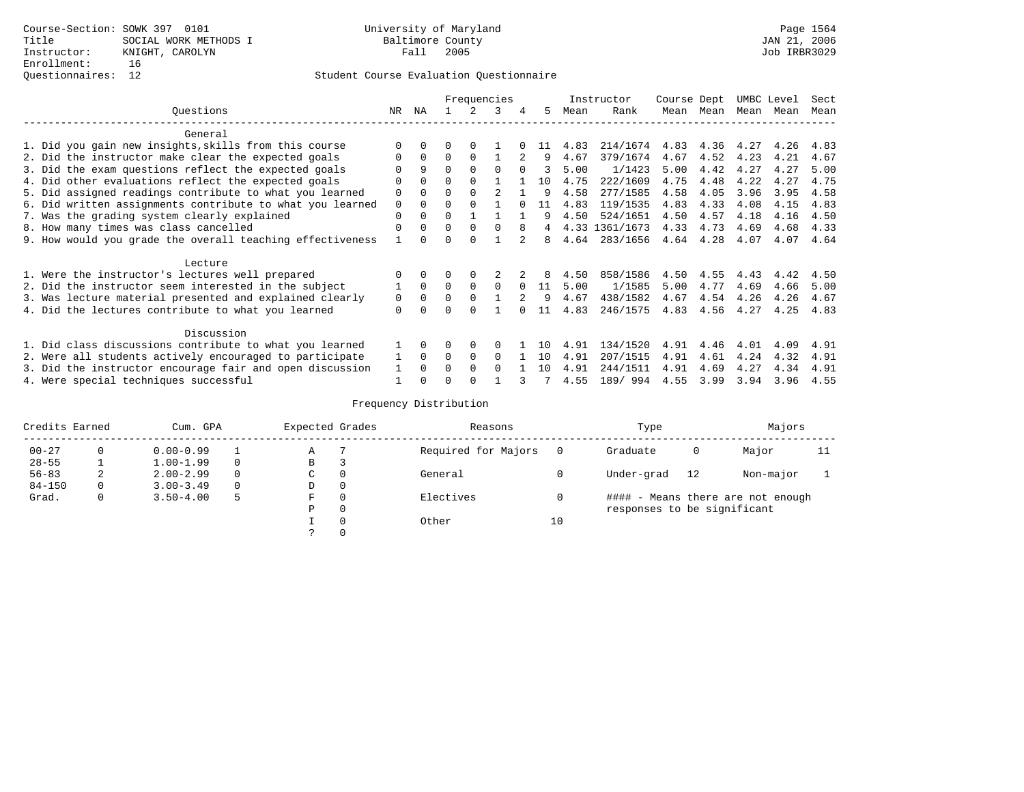|                                                           |              |          |              |          | Frequencies |          |     |      | Instructor | Course Dept |      | UMBC Level |      | Sect |
|-----------------------------------------------------------|--------------|----------|--------------|----------|-------------|----------|-----|------|------------|-------------|------|------------|------|------|
| Ouestions                                                 | NR.          | ΝA       |              |          | ર           | 4        | 5.  | Mean | Rank       | Mean        | Mean | Mean       | Mean | Mean |
| General                                                   |              |          |              |          |             |          |     |      |            |             |      |            |      |      |
| 1. Did you gain new insights, skills from this course     |              |          |              | $\Omega$ |             |          |     | 4.83 | 214/1674   | 4.83        | 4.36 | 4.27       | 4.26 | 4.83 |
| 2. Did the instructor make clear the expected goals       | $\Omega$     | $\Omega$ | $\Omega$     | $\Omega$ |             |          | 9   | 4.67 | 379/1674   | 4.67        | 4.52 | 4.23       | 4.21 | 4.67 |
| 3. Did the exam questions reflect the expected goals      | U            | 9        | $\Omega$     | $\Omega$ | $\Omega$    | $\cap$   | ર   | 5.00 | 1/1423     | 5.00        | 4.42 | 4.27       | 4.27 | 5.00 |
| 4. Did other evaluations reflect the expected goals       | U            | $\Omega$ |              | $\Omega$ |             |          | 1 O | 4.75 | 222/1609   | 4.75        | 4.48 | 4.22       | 4.27 | 4.75 |
| 5. Did assigned readings contribute to what you learned   | $\Omega$     | $\Omega$ | $\cap$       | $\cap$   |             |          | q   | 4.58 | 277/1585   | 4.58        | 4.05 | 3.96       | 3.95 | 4.58 |
| 6. Did written assignments contribute to what you learned | $\mathbf 0$  | $\Omega$ | U            |          |             |          | 11  | 4.83 | 119/1535   | 4.83        | 4.33 | 4.08       | 4.15 | 4.83 |
| 7. Was the grading system clearly explained               | $\Omega$     | $\Omega$ | $\Omega$     |          |             |          | q   | 4.50 | 524/1651   | 4.50        | 4.57 | 4.18       | 4.16 | 4.50 |
| 8. How many times was class cancelled                     | $\Omega$     | $\cap$   | 0            | $\Omega$ | $\cap$      | 8        |     | 4.33 | 1361/1673  | 4.33        | 4.73 | 4.69       | 4.68 | 4.33 |
| 9. How would you grade the overall teaching effectiveness |              | $\cap$   | 0            | $\Omega$ |             |          | 8   | 4.64 | 283/1656   | 4.64        | 4.28 | 4.07       | 4.07 | 4.64 |
| Lecture                                                   |              |          |              |          |             |          |     |      |            |             |      |            |      |      |
| 1. Were the instructor's lectures well prepared           |              | $\Omega$ | 0            | $\Omega$ |             |          | 8   | 4.50 | 858/1586   | 4.50        | 4.55 | 4.43       | 4.42 | 4.50 |
| 2. Did the instructor seem interested in the subject      |              | $\Omega$ | $\Omega$     | $\Omega$ | $\Omega$    | $\Omega$ | 11  | 5.00 | 1/1585     | 5.00        | 4.77 | 4.69       | 4.66 | 5.00 |
| 3. Was lecture material presented and explained clearly   | 0            | $\Omega$ | 0            | $\Omega$ |             |          | 9   | 4.67 | 438/1582   | 4.67        | 4.54 | 4.26       | 4.26 | 4.67 |
| 4. Did the lectures contribute to what you learned        | $\Omega$     |          | <sup>n</sup> | $\cap$   |             |          | 11  | 4.83 | 246/1575   | 4.83        | 4.56 | 4.27       | 4.25 | 4.83 |
| Discussion                                                |              |          |              |          |             |          |     |      |            |             |      |            |      |      |
| 1. Did class discussions contribute to what you learned   |              | $\Omega$ | 0            | $\Omega$ | $\Omega$    |          | 10  | 4.91 | 134/1520   | 4.91        | 4.46 | 4.01       | 4.09 | 4.91 |
| 2. Were all students actively encouraged to participate   | $\mathbf{1}$ | $\Omega$ | $\Omega$     | $\Omega$ | $\Omega$    |          | 10  | 4.91 | 207/1515   | 4.91        | 4.61 | 4.24       | 4.32 | 4.91 |
| 3. Did the instructor encourage fair and open discussion  | $\mathbf{1}$ | $\cap$   | 0            | $\Omega$ | $\Omega$    |          | 10  | 4.91 | 244/1511   | 4.91        | 4.69 | 4.27       | 4.34 | 4.91 |
| 4. Were special techniques successful                     |              |          | ∩            | $\cap$   |             |          |     | 4.55 | 189/ 994   | 4.55        | 3.99 | 3.94       | 3.96 | 4.55 |

| Credits Earned |   | Cum. GPA      |   | Expected Grades |          | Reasons             |    | Type                        |    | Majors                            |    |
|----------------|---|---------------|---|-----------------|----------|---------------------|----|-----------------------------|----|-----------------------------------|----|
| $00 - 27$      | 0 | $0.00 - 0.99$ |   | Α               |          | Required for Majors |    | Graduate                    | 0  | Major                             | 11 |
| $28 - 55$      |   | $1.00 - 1.99$ |   | В               |          |                     |    |                             |    |                                   |    |
| $56 - 83$      | 2 | $2.00 - 2.99$ |   | C               | $\Omega$ | General             |    | Under-grad                  | 12 | Non-major                         |    |
| $84 - 150$     | 0 | $3.00 - 3.49$ |   | D               | 0        |                     |    |                             |    |                                   |    |
| Grad.          | 0 | $3.50 - 4.00$ | 5 | F               | $\Omega$ | Electives           |    |                             |    | #### - Means there are not enough |    |
|                |   |               |   | Ρ               | 0        |                     |    | responses to be significant |    |                                   |    |
|                |   |               |   |                 | $\Omega$ | Other               | 10 |                             |    |                                   |    |
|                |   |               |   |                 |          |                     |    |                             |    |                                   |    |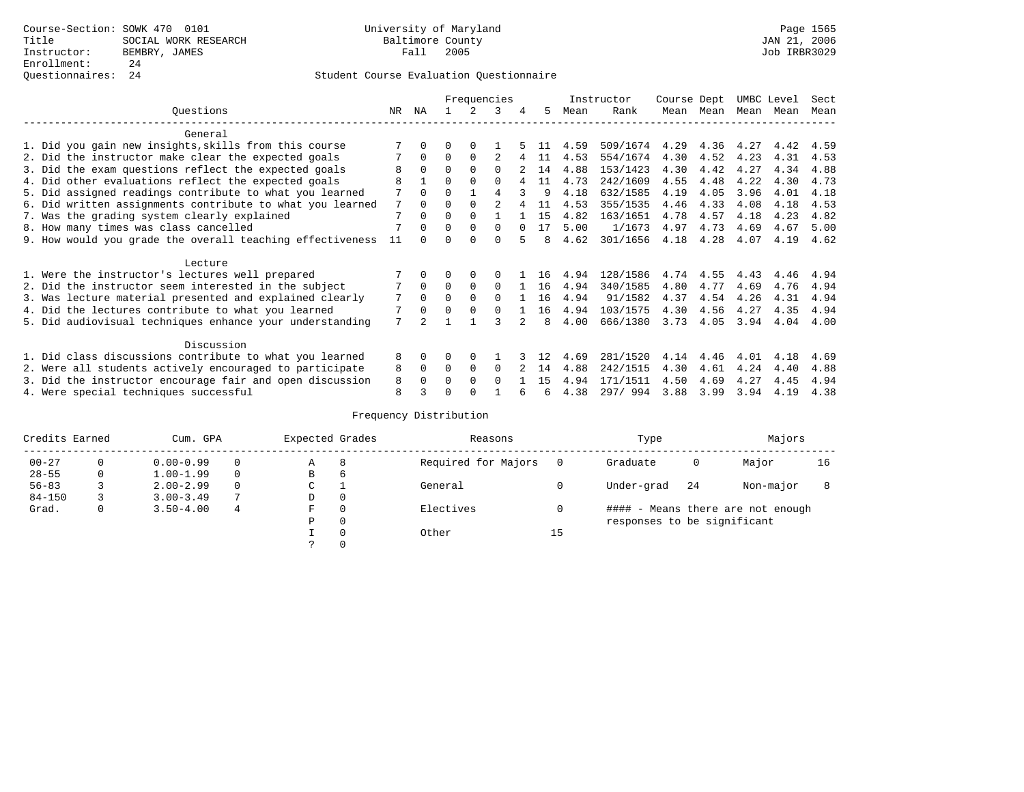### Questionnaires: 24 Student Course Evaluation Questionnaire

|                                                           |     |             |          |              | Frequencies |   |    |      | Instructor | Course Dept |      | UMBC Level |      | Sect |
|-----------------------------------------------------------|-----|-------------|----------|--------------|-------------|---|----|------|------------|-------------|------|------------|------|------|
| Ouestions                                                 | NR. | ΝA          |          |              | 3           | 4 | 5  | Mean | Rank       | Mean        | Mean | Mean       | Mean | Mean |
| General                                                   |     |             |          |              |             |   |    |      |            |             |      |            |      |      |
| 1. Did you gain new insights, skills from this course     |     |             |          | $\Omega$     |             |   |    | 4.59 | 509/1674   | 4.29        | 4.36 | 4.27       | 4.42 | 4.59 |
| 2. Did the instructor make clear the expected goals       |     | $\Omega$    | $\Omega$ | $\Omega$     |             |   | 11 | 4.53 | 554/1674   | 4.30        | 4.52 | 4.23       | 4.31 | 4.53 |
| 3. Did the exam questions reflect the expected goals      |     | $\Omega$    | $\Omega$ | $\Omega$     | $\Omega$    |   | 14 | 4.88 | 153/1423   | 4.30        | 4.42 | 4.27       | 4.34 | 4.88 |
| 4. Did other evaluations reflect the expected goals       |     |             | 0        | $\Omega$     | 0           |   | 11 | 4.73 | 242/1609   | 4.55        | 4.48 | 4.22       | 4.30 | 4.73 |
| 5. Did assigned readings contribute to what you learned   |     | 0           |          |              |             |   | 9  | 4.18 | 632/1585   | 4.19        | 4.05 | 3.96       | 4.01 | 4.18 |
| 6. Did written assignments contribute to what you learned | 7   | 0           | U        | $\Omega$     |             |   | 11 | 4.53 | 355/1535   | 4.46        | 4.33 | 4.08       | 4.18 | 4.53 |
| 7. Was the grading system clearly explained               | 7   |             |          | $\Omega$     |             |   | 15 | 4.82 | 163/1651   | 4.78        | 4.57 | 4.18       | 4.23 | 4.82 |
| 8. How many times was class cancelled                     |     | 0           | 0        | $\Omega$     | $\Omega$    |   | 17 | 5.00 | 1/1673     | 4.97        | 4.73 | 4.69       | 4.67 | 5.00 |
| 9. How would you grade the overall teaching effectiveness | 11  |             |          |              | U           |   | 8  | 4.62 | 301/1656   | 4.18        | 4.28 | 4.07       | 4.19 | 4.62 |
|                                                           |     |             |          |              |             |   |    |      |            |             |      |            |      |      |
| Lecture                                                   |     |             |          |              |             |   |    |      |            |             |      |            |      |      |
| 1. Were the instructor's lectures well prepared           |     |             |          |              |             |   | 16 | 4.94 | 128/1586   | 4.74        | 4.55 | 4.43       | 4.46 | 4.94 |
| 2. Did the instructor seem interested in the subject      |     | $\mathbf 0$ | $\Omega$ | $\Omega$     | $\Omega$    |   | 16 | 4.94 | 340/1585   | 4.80        | 4.77 | 4.69       | 4.76 | 4.94 |
| 3. Was lecture material presented and explained clearly   | 7   | $\Omega$    | 0        | $\Omega$     | $\Omega$    |   | 16 | 4.94 | 91/1582    | 4.37        | 4.54 | 4.26       | 4.31 | 4.94 |
| 4. Did the lectures contribute to what you learned        |     | 0           | U        |              | 0           |   | 16 | 4.94 | 103/1575   | 4.30        | 4.56 | 4.27       | 4.35 | 4.94 |
| 5. Did audiovisual techniques enhance your understanding  | 7   |             |          |              |             |   | 8  | 4.00 | 666/1380   | 3.73        | 4.05 | 3.94       | 4.04 | 4.00 |
|                                                           |     |             |          |              |             |   |    |      |            |             |      |            |      |      |
| Discussion                                                |     |             |          |              |             |   |    |      |            |             |      |            |      |      |
| 1. Did class discussions contribute to what you learned   | 8   | 0           | U        | <sup>0</sup> |             |   |    | 4.69 | 281/1520   | 4.14        | 4.46 | 4.01       | 4.18 | 4.69 |
| 2. Were all students actively encouraged to participate   | 8   | $\Omega$    | 0        | $\Omega$     | $\Omega$    |   | 14 | 4.88 | 242/1515   | 4.30        | 4.61 | 4.24       | 4.40 | 4.88 |
| 3. Did the instructor encourage fair and open discussion  | 8   |             |          | $\Omega$     | 0           |   | 15 | 4.94 | 171/1511   | 4.50        | 4.69 | 4.27       | 4.45 | 4.94 |
| 4. Were special techniques successful                     | 8   |             |          |              |             |   | F  | 4.38 | 297/994    | 3.88        | 3.99 | 3.94       | 4.19 | 4.38 |

| Credits Earned |          | Cum. GPA      |   | Expected Grades |          | Reasons             |          | Type                        |     | Majors                            |    |
|----------------|----------|---------------|---|-----------------|----------|---------------------|----------|-----------------------------|-----|-----------------------------------|----|
| $00 - 27$      | $\Omega$ | $0.00 - 0.99$ |   | А               | 8        | Required for Majors | $\Omega$ | Graduate                    | 0   | Major                             | 16 |
| $28 - 55$      | 0        | $1.00 - 1.99$ |   | В               | 6        |                     |          |                             |     |                                   |    |
| $56 - 83$      |          | $2.00 - 2.99$ |   | $\sim$<br>◡     |          | General             |          | Under-grad                  | -24 | Non-major                         |    |
| $84 - 150$     |          | $3.00 - 3.49$ | 7 | D               | 0        |                     |          |                             |     |                                   |    |
| Grad.          | 0        | $3.50 - 4.00$ | 4 | F               | 0        | Electives           | 0        |                             |     | #### - Means there are not enough |    |
|                |          |               |   | Ρ               | 0        |                     |          | responses to be significant |     |                                   |    |
|                |          |               |   |                 | $\Omega$ | Other               | 15       |                             |     |                                   |    |
|                |          |               |   |                 |          |                     |          |                             |     |                                   |    |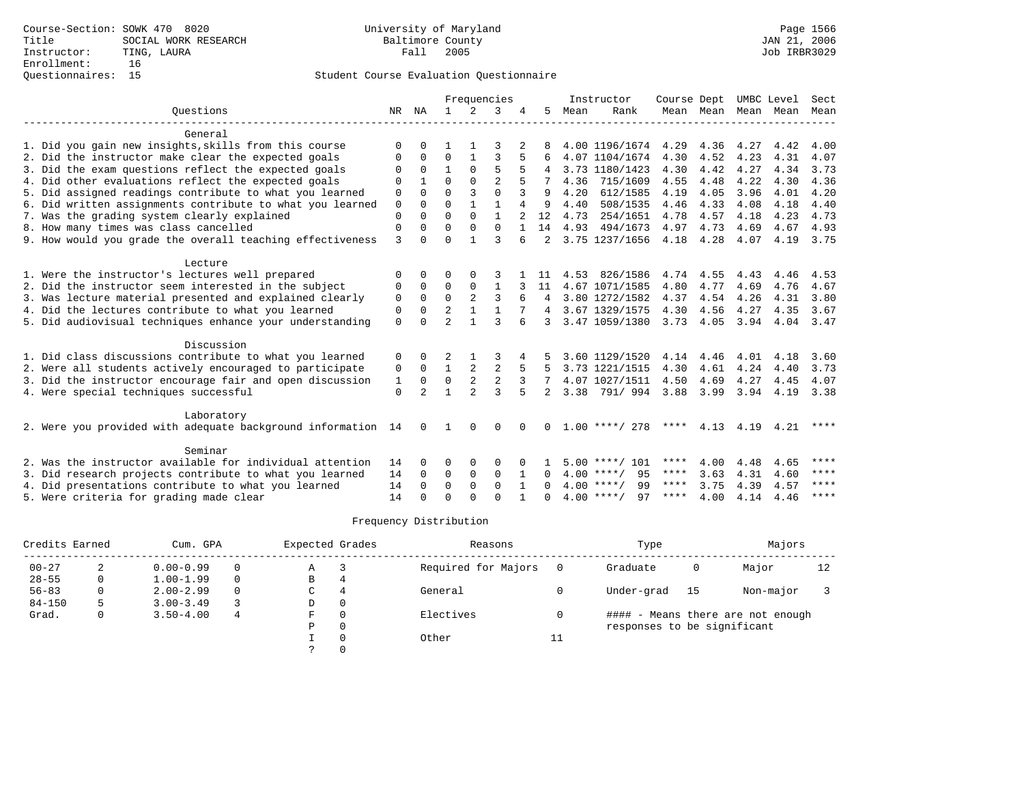|                                                              |                      |                      |                      |                          | Frequencies                  |        |                |      | Instructor           | Course Dept |                |      | UMBC Level | Sect |
|--------------------------------------------------------------|----------------------|----------------------|----------------------|--------------------------|------------------------------|--------|----------------|------|----------------------|-------------|----------------|------|------------|------|
| Ouestions                                                    |                      | NR NA                | 1.                   | 2                        | 3                            |        | 5              | Mean | Rank                 |             | Mean Mean Mean |      | Mean       | Mean |
| General                                                      |                      |                      |                      |                          |                              |        |                |      |                      |             |                |      |            |      |
|                                                              |                      |                      |                      |                          |                              |        |                |      |                      |             |                |      |            |      |
| 1. Did you gain new insights, skills from this course        | $\Omega$             |                      | $\Omega$             |                          | ζ                            |        |                |      | 4.00 1196/1674       | 4.29        | 4.36           | 4.27 | 4.42       | 4.00 |
| 2. Did the instructor make clear the expected goals          | $\Omega$<br>$\Omega$ | $\Omega$<br>$\Omega$ | $\mathbf{1}$         | $\Omega$                 | 5                            | 5<br>5 |                |      | 4.07 1104/1674       | 4.30        | 4.52           | 4.23 | 4.31       | 4.07 |
| 3. Did the exam questions reflect the expected goals         |                      |                      |                      |                          |                              |        | 4              |      | 3.73 1180/1423       | 4.30        | 4.42           | 4.27 | 4.34       | 3.73 |
| 4. Did other evaluations reflect the expected goals          | $\Omega$             |                      | $\Omega$             | $\Omega$                 | $\overline{2}$               |        |                | 4.36 | 715/1609             | 4.55        | 4.48           | 4.22 | 4.30       | 4.36 |
| 5. Did assigned readings contribute to what you learned      | 0                    | $\Omega$             | $\Omega$             | 3                        | $\Omega$                     | 3      | 9              | 4.20 | 612/1585             | 4.19        | 4.05           | 3.96 | 4.01       | 4.20 |
| 6. Did written assignments contribute to what you learned    | $\mathbf 0$          | $\Omega$<br>$\Omega$ | $\Omega$<br>$\Omega$ | $\mathbf{1}$<br>$\Omega$ | $\mathbf{1}$<br>$\mathbf{1}$ | 4      | 9              | 4.40 | 508/1535<br>254/1651 | 4.46        | 4.33           | 4.08 | 4.18       | 4.40 |
| 7. Was the grading system clearly explained                  | $\Omega$             | $\Omega$             | $\Omega$             | $\Omega$                 | $\Omega$                     |        | 12             | 4.73 |                      | 4.78        | 4.57           | 4.18 | 4.23       | 4.73 |
| 8. How many times was class cancelled                        | $\mathbf{0}$         | $\Omega$             | $\Omega$             |                          | ζ                            | 6      | 14             | 4.93 | 494/1673             | 4.97        | 4.73           | 4.69 | 4.67       | 4.93 |
| 9. How would you grade the overall teaching effectiveness    | 3                    |                      |                      |                          |                              |        | $\overline{2}$ |      | 3.75 1237/1656       | 4.18        | 4.28           | 4.07 | 4.19       | 3.75 |
| Lecture                                                      |                      |                      |                      |                          |                              |        |                |      |                      |             |                |      |            |      |
| 1. Were the instructor's lectures well prepared              | $\Omega$             | 0                    | O                    | $\Omega$                 | 3                            |        |                | 4.53 | 826/1586             | 4.74        | 4.55           | 4.43 | 4.46       | 4.53 |
| 2. Did the instructor seem interested in the subject         | 0                    | $\Omega$             | 0                    | 0                        | 1                            |        | 11             |      | 4.67 1071/1585       | 4.80        | 4.77           | 4.69 | 4.76       | 4.67 |
| 3. Was lecture material presented and explained clearly      | 0                    | $\Omega$             | $\Omega$             | $\overline{a}$           | 3                            |        | 4              |      | 3.80 1272/1582       | 4.37        | 4.54           | 4.26 | 4.31       | 3.80 |
| 4. Did the lectures contribute to what you learned           | $\Omega$             | $\Omega$             | $\overline{a}$       | $\mathbf{1}$             | $\mathbf{1}$                 |        |                |      | 3.67 1329/1575       | 4.30        | 4.56           | 4.27 | 4.35       | 3.67 |
| 5. Did audiovisual techniques enhance your understanding     | $\Omega$             | $\cap$               | $\overline{a}$       | $\mathbf{1}$             | 3                            | 6      | 3              |      | 3.47 1059/1380       | 3.73 4.05   |                | 3.94 | 4.04       | 3.47 |
|                                                              |                      |                      |                      |                          |                              |        |                |      |                      |             |                |      |            |      |
| Discussion                                                   |                      |                      |                      |                          |                              |        |                |      |                      |             |                |      |            |      |
| 1. Did class discussions contribute to what you learned      | 0                    | 0                    | $\mathfrak{D}$       |                          |                              |        |                |      | 3.60 1129/1520       | 4.14        | 4.46           | 4.01 | 4.18       | 3.60 |
| 2. Were all students actively encouraged to participate      | 0                    | 0                    | $\mathbf{1}$         | $\overline{c}$           | 2                            |        |                |      | 3.73 1221/1515       | 4.30        | 4.61           | 4.24 | 4.40       | 3.73 |
| 3. Did the instructor encourage fair and open discussion     | 1                    | 0                    | $\mathbf 0$          | 2                        | $\overline{2}$               |        |                |      | 4.07 1027/1511       | 4.50        | 4.69           | 4.27 | 4.45       | 4.07 |
| 4. Were special techniques successful                        | $\Omega$             | $\mathfrak{D}$       |                      | $\overline{a}$           | $\mathbf{3}$                 | 5      | 2              | 3.38 | 791/ 994             | 3.88        | 3.99           | 3.94 | 4.19       | 3.38 |
| Laboratory                                                   |                      |                      |                      |                          |                              |        |                |      |                      |             |                |      |            |      |
| 2. Were you provided with adequate background information 14 |                      | $\Omega$             |                      | 0                        | ∩                            |        | 0              |      | $1.00$ ****/ 278     | ****        | 4.13           | 4.19 | 4.21       | **** |
|                                                              |                      |                      |                      |                          |                              |        |                |      |                      |             |                |      |            |      |
| Seminar                                                      |                      |                      |                      |                          |                              |        |                |      |                      |             |                |      |            |      |
| 2. Was the instructor available for individual attention     | 14                   | <sup>0</sup>         | O                    | $\Omega$                 | $\mathbf 0$                  |        |                |      | $5.00$ ****/ 101     | ****        | 4.00           | 4.48 | 4.65       | **** |
| 3. Did research projects contribute to what you learned      | 14                   | $\Omega$             | 0                    | $\mathbf 0$              | $\mathbf 0$                  |        | <sup>0</sup>   |      | 95<br>$4.00$ ****/   | ****        | 3.63           | 4.31 | 4.60       | **** |
| 4. Did presentations contribute to what you learned          | 14                   | $\Omega$             | $\Omega$             | $\Omega$                 | $\Omega$                     |        | <sup>n</sup>   |      | 99<br>$4.00$ ****/   | ****        | 3.75           | 4.39 | 4.57       | **** |
| 5. Were criteria for grading made clear                      | 14                   | <sup>n</sup>         | $\cap$               | $\cap$                   | $\Omega$                     |        |                |      | $4.00$ ****/<br>97   | ****        | 4.00           | 4.14 | 4.46       | **** |

| Credits Earned |   |               | Expected Grades<br>Cum. GPA |   |          | Reasons             |    | Type                        | Majors |                                   |    |
|----------------|---|---------------|-----------------------------|---|----------|---------------------|----|-----------------------------|--------|-----------------------------------|----|
| $00 - 27$      |   | $0.00 - 0.99$ | $\Omega$                    | А |          | Required for Majors |    | Graduate                    | 0      | Major                             | 12 |
| $28 - 55$      | 0 | $1.00 - 1.99$ | $\Omega$                    | в | 4        |                     |    |                             |        |                                   |    |
| $56 - 83$      |   | $2.00 - 2.99$ | $\Omega$                    | С | 4        | General             |    | Under-grad                  | 15     | Non-major                         |    |
| $84 - 150$     |   | $3.00 - 3.49$ |                             | D | 0        |                     |    |                             |        |                                   |    |
| Grad.          | 0 | $3.50 - 4.00$ | 4                           | F | $\Omega$ | Electives           |    |                             |        | #### - Means there are not enough |    |
|                |   |               |                             | P | 0        |                     |    | responses to be significant |        |                                   |    |
|                |   |               |                             |   | $\Omega$ | Other               | 11 |                             |        |                                   |    |
|                |   |               |                             |   | 0        |                     |    |                             |        |                                   |    |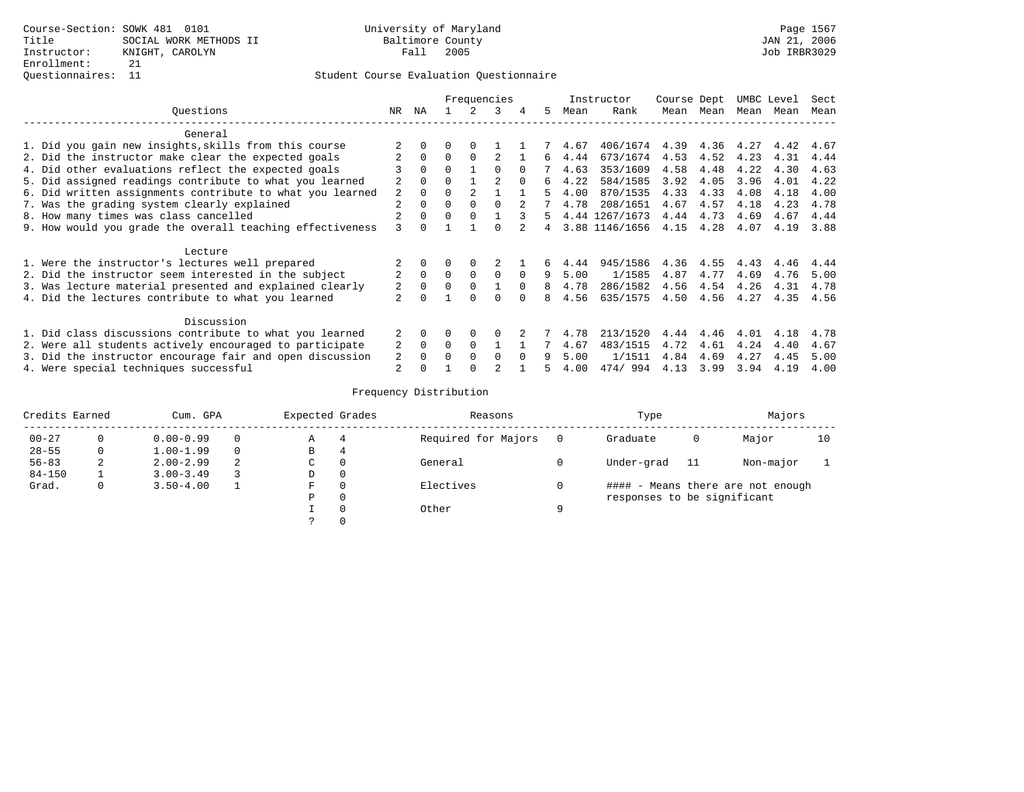|                                                           |                |          | Frequencies |          |          |          |    | Instructor | Course Dept    |      | UMBC Level |      | Sect |      |
|-----------------------------------------------------------|----------------|----------|-------------|----------|----------|----------|----|------------|----------------|------|------------|------|------|------|
| Ouestions                                                 | NR.            | ΝA       |             |          |          | 4        | 5  | Mean       | Rank           | Mean | Mean       | Mean | Mean | Mean |
| General                                                   |                |          |             |          |          |          |    |            |                |      |            |      |      |      |
| 1. Did you gain new insights, skills from this course     |                |          |             |          |          |          |    | 4.67       | 406/1674       | 4.39 | 4.36       | 4.27 | 4.42 | 4.67 |
| 2. Did the instructor make clear the expected goals       | 2              | $\Omega$ | $\Omega$    | $\Omega$ | 2        |          | б. | 4.44       | 673/1674       | 4.53 | 4.52       | 4.23 | 4.31 | 4.44 |
| 4. Did other evaluations reflect the expected goals       |                | $\Omega$ | $\Omega$    |          |          | $\Omega$ |    | 4.63       | 353/1609       | 4.58 | 4.48       | 4.22 | 4.30 | 4.63 |
| 5. Did assigned readings contribute to what you learned   | 2              | $\Omega$ | $\Omega$    |          |          | $\Omega$ | б. | 4.22       | 584/1585       | 3.92 | 4.05       | 3.96 | 4.01 | 4.22 |
| 6. Did written assignments contribute to what you learned | 2              | 0        | 0           |          |          |          |    | 4.00       | 870/1535       | 4.33 | 4.33       | 4.08 | 4.18 | 4.00 |
| 7. Was the grading system clearly explained               | 2              | $\Omega$ | $\Omega$    | $\Omega$ | $\cap$   |          |    | 4.78       | 208/1651       | 4.67 | 4.57       | 4.18 | 4.23 | 4.78 |
| 8. How many times was class cancelled                     | 2              | 0        | U           | $\Omega$ |          |          |    |            | 4.44 1267/1673 | 4.44 | 4.73       | 4.69 | 4.67 | 4.44 |
| 9. How would you grade the overall teaching effectiveness | ς              |          |             |          |          |          | 4  |            | 3.88 1146/1656 | 4.15 | 4.28       | 4.07 | 4.19 | 3.88 |
| Lecture                                                   |                |          |             |          |          |          |    |            |                |      |            |      |      |      |
| 1. Were the instructor's lectures well prepared           |                |          |             |          |          |          |    | 4.44       | 945/1586       | 4.36 | 4.55       | 4.43 | 4.46 | 4.44 |
| 2. Did the instructor seem interested in the subject      | 2              | $\Omega$ | $\Omega$    | $\Omega$ | $\Omega$ | $\Omega$ | 9  | 5.00       | 1/1585         | 4.87 | 4.77       | 4.69 | 4.76 | 5.00 |
| 3. Was lecture material presented and explained clearly   | 2              | $\Omega$ | $\Omega$    | $\Omega$ |          | $\Omega$ | 8  | 4.78       | 286/1582       | 4.56 | 4.54       | 4.26 | 4.31 | 4.78 |
| 4. Did the lectures contribute to what you learned        | 2              |          |             |          |          |          |    | 4.56       | 635/1575       | 4.50 | 4.56       | 4.27 | 4.35 | 4.56 |
| Discussion                                                |                |          |             |          |          |          |    |            |                |      |            |      |      |      |
| 1. Did class discussions contribute to what you learned   |                | $\Omega$ | 0           | $\Omega$ | $\Omega$ |          |    | 4.78       | 213/1520       | 4.44 | 4.46       | 4.01 | 4.18 | 4.78 |
| 2. Were all students actively encouraged to participate   |                | $\Omega$ | 0           | $\Omega$ |          |          |    | 4.67       | 483/1515       | 4.72 | 4.61       | 4.24 | 4.40 | 4.67 |
| 3. Did the instructor encourage fair and open discussion  |                | $\Omega$ | $\Omega$    | $\Omega$ | $\Omega$ |          | q  | 5.00       | 1/1511         | 4.84 | 4.69       | 4.27 | 4.45 | 5.00 |
| 4. Were special techniques successful                     | $\mathfrak{D}$ |          |             |          |          |          |    | 4.00       | 474/994        | 4.13 | 3.99       | 3.94 | 4.19 | 4.00 |

| Credits Earned<br>Cum. GPA |   |               | Expected Grades |   | Reasons  |                     | Type | Majors                      |    |                                   |    |
|----------------------------|---|---------------|-----------------|---|----------|---------------------|------|-----------------------------|----|-----------------------------------|----|
| $00 - 27$                  |   | $0.00 - 0.99$ | $\Omega$        | Α | 4        | Required for Majors |      | Graduate                    | 0  | Major                             | 10 |
| $28 - 55$                  |   | $1.00 - 1.99$ | $\Omega$        | В | 4        |                     |      |                             |    |                                   |    |
| $56 - 83$                  | ∠ | $2.00 - 2.99$ | 2               | C | 0        | General             |      | Under-grad                  | 11 | Non-major                         |    |
| $84 - 150$                 |   | $3.00 - 3.49$ |                 | D | $\Omega$ |                     |      |                             |    |                                   |    |
| Grad.                      |   | $3.50 - 4.00$ |                 | F | C        | Electives           |      |                             |    | #### - Means there are not enough |    |
|                            |   |               |                 | Ρ | $\Omega$ |                     |      | responses to be significant |    |                                   |    |
|                            |   |               |                 |   | $\Omega$ | Other               | Q    |                             |    |                                   |    |
|                            |   |               |                 |   | $\Omega$ |                     |      |                             |    |                                   |    |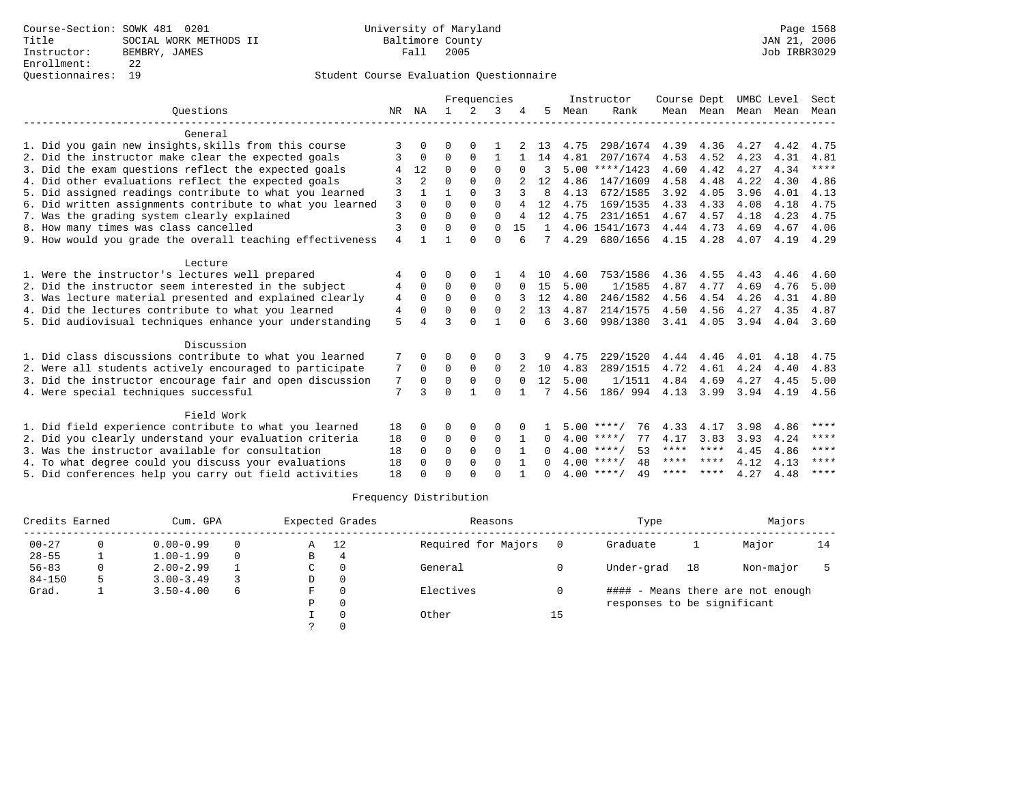|                                                           |                |          | Frequencies  |          |          |          |              |      | Instructor         | Course Dept |           | UMBC Level |      | Sect      |
|-----------------------------------------------------------|----------------|----------|--------------|----------|----------|----------|--------------|------|--------------------|-------------|-----------|------------|------|-----------|
| Ouestions                                                 | NR             | ΝA       | $\mathbf{1}$ | $2^{1}$  | 3        |          | 5.           | Mean | Rank               |             | Mean Mean | Mean       | Mean | Mean      |
| General                                                   |                |          |              |          |          |          |              |      |                    |             |           |            |      |           |
| 1. Did you gain new insights, skills from this course     | 3              |          | $\Omega$     |          |          |          | 13           | 4.75 | 298/1674           | 4.39        | 4.36      | 4.27       | 4.42 | 4.75      |
| 2. Did the instructor make clear the expected goals       | 3              | $\Omega$ | $\Omega$     | 0        | 1        |          | 14           | 4.81 | 207/1674           | 4.53        | 4.52      | 4.23       | 4.31 | 4.81      |
| 3. Did the exam questions reflect the expected goals      |                | 12       | $\Omega$     | $\Omega$ | $\Omega$ |          |              |      | $5.00$ ****/1423   | 4.60        | 4.42      | 4.27       | 4.34 | $***$     |
| 4. Did other evaluations reflect the expected goals       | २              | 2        | $\Omega$     | $\Omega$ | $\Omega$ |          | 12           | 4.86 | 147/1609           | 4.58        | 4.48      | 4.22       | 4.30 | 4.86      |
| 5. Did assigned readings contribute to what you learned   | 3              |          |              | $\Omega$ | 3        | 3        | R            | 4.13 | 672/1585           | 3.92        | 4.05      | 3.96       | 4.01 | 4.13      |
| 6. Did written assignments contribute to what you learned | $\overline{3}$ | $\Omega$ | $\Omega$     | $\Omega$ | $\Omega$ | 4        | 12           | 4.75 | 169/1535           | 4.33        | 4.33      | 4.08       | 4.18 | 4.75      |
| 7. Was the grading system clearly explained               | $\overline{3}$ | $\Omega$ | $\Omega$     | $\Omega$ | $\Omega$ | 4        | 12           | 4.75 | 231/1651           | 4.67        | 4.57      | 4.18       | 4.23 | 4.75      |
| 8. How many times was class cancelled                     | $\overline{3}$ |          | $\Omega$     | $\Omega$ | $\Omega$ | 15       | $\mathbf{1}$ |      | 4.06 1541/1673     | 4.44        | 4.73      | 4.69       | 4.67 | 4.06      |
| 9. How would you grade the overall teaching effectiveness | 4              |          |              | $\cap$   | $\cap$   | 6        | 7            | 4.29 | 680/1656           | 4.15        | 4.28      | 4.07       | 4.19 | 4.29      |
| Lecture                                                   |                |          |              |          |          |          |              |      |                    |             |           |            |      |           |
| 1. Were the instructor's lectures well prepared           |                | 0        | ∩            |          |          |          | 10           | 4.60 | 753/1586           | 4.36        | 4.55      | 4.43       | 4.46 | 4.60      |
| 2. Did the instructor seem interested in the subject      | 4              | $\Omega$ | $\Omega$     | $\Omega$ | 0        | $\Omega$ | 15           | 5.00 | 1/1585             | 4.87        | 4.77      | 4.69       | 4.76 | 5.00      |
| 3. Was lecture material presented and explained clearly   | 4              | $\Omega$ | $\Omega$     | $\Omega$ | $\Omega$ |          | 12           | 4.80 | 246/1582           | 4.56        | 4.54      | 4.26       | 4.31 | 4.80      |
| 4. Did the lectures contribute to what you learned        | 4              | $\Omega$ | $\Omega$     | $\Omega$ | $\Omega$ |          | 13           | 4.87 | 214/1575           | 4.50        | 4.56      | 4.27       | 4.35 | 4.87      |
| 5. Did audiovisual techniques enhance your understanding  | 5              |          | 3            | $\cap$   |          | $\Omega$ | 6            | 3.60 | 998/1380           | 3.41        | 4.05      | 3.94       | 4.04 | 3.60      |
| Discussion                                                |                |          |              |          |          |          |              |      |                    |             |           |            |      |           |
| 1. Did class discussions contribute to what you learned   |                |          | $\Omega$     | $\Omega$ | $\Omega$ |          | 9            | 4.75 | 229/1520           | 4.44        | 4.46      | 4.01       | 4.18 | 4.75      |
| 2. Were all students actively encouraged to participate   | 7              | $\Omega$ | $\Omega$     | $\Omega$ | $\Omega$ |          | 10           | 4.83 | 289/1515           | 4.72        | 4.61      | 4.24       | 4.40 | 4.83      |
| 3. Did the instructor encourage fair and open discussion  | 7              | $\Omega$ | $\Omega$     | $\Omega$ | $\Omega$ | $\Omega$ | 12           | 5.00 | 1/1511             | 4.84        | 4.69      | 4.27       | 4.45 | 5.00      |
| 4. Were special techniques successful                     | 7              | 3        | $\Omega$     |          | $\Omega$ |          | 7            | 4.56 | 186/ 994           | 4.13 3.99   |           | 3.94       | 4.19 | 4.56      |
| Field Work                                                |                |          |              |          |          |          |              |      |                    |             |           |            |      |           |
| 1. Did field experience contribute to what you learned    | 18             |          | ∩            | 0        | O        |          |              |      | $5.00$ ****/<br>76 | 4.33        | 4.17      | 3.98       | 4.86 | ****      |
| 2. Did you clearly understand your evaluation criteria    | 18             | $\Omega$ | 0            | $\Omega$ | $\Omega$ |          | $\Omega$     |      | $4.00$ ****/<br>77 | 4.17        | 3.83      | 3.93       | 4.24 | ****      |
| 3. Was the instructor available for consultation          | 18             | $\Omega$ | $\Omega$     | $\Omega$ | $\Omega$ |          | $\Omega$     |      | $4.00$ ****/<br>53 | ****        | * * * *   | 4.45       | 4.86 | ****      |
| 4. To what degree could you discuss your evaluations      | 18             | $\Omega$ | $\Omega$     | $\Omega$ | $\Omega$ |          |              |      | $4.00$ ****/<br>48 | ****        | ****      | 4.12       | 4.13 | $* * * *$ |
| 5. Did conferences help you carry out field activities    | 18             |          | $\Omega$     |          | $\cap$   |          |              |      | $4.00$ ****/<br>49 | ****        | ****      | 4.27       | 4.48 | ****      |

| Credits Earned | Cum. GPA | Expected Grades |          |   | Reasons |                     | Type |                             | Majors |                                   |    |
|----------------|----------|-----------------|----------|---|---------|---------------------|------|-----------------------------|--------|-----------------------------------|----|
| $00 - 27$      |          | $0.00 - 0.99$   | $\Omega$ | Α | -12     | Required for Majors |      | Graduate                    |        | Major                             | 14 |
| $28 - 55$      |          | $1.00 - 1.99$   | $\Omega$ | В |         |                     |      |                             |        |                                   |    |
| $56 - 83$      | 0        | $2.00 - 2.99$   |          | C |         | General             |      | Under-grad                  | 18     | Non-major                         |    |
| $84 - 150$     |          | $3.00 - 3.49$   |          | D |         |                     |      |                             |        |                                   |    |
| Grad.          |          | $3.50 - 4.00$   | 6        | F |         | Electives           |      |                             |        | #### - Means there are not enough |    |
|                |          |                 |          | P |         |                     |      | responses to be significant |        |                                   |    |
|                |          |                 |          |   |         | Other               | 15   |                             |        |                                   |    |
|                |          |                 |          |   |         |                     |      |                             |        |                                   |    |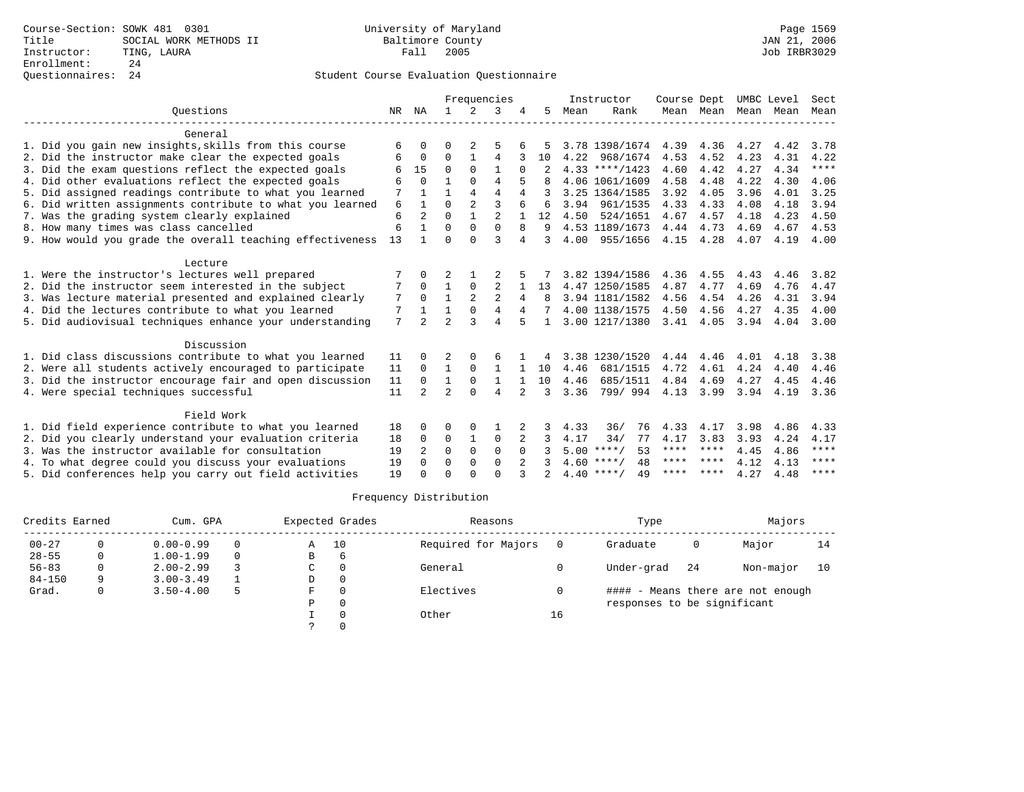|                                                           |    |                | Frequencies    |              |                |                |    |      | Instructor         | Course Dept |      | UMBC Level          |      | Sect    |
|-----------------------------------------------------------|----|----------------|----------------|--------------|----------------|----------------|----|------|--------------------|-------------|------|---------------------|------|---------|
| Ouestions                                                 | NR | ΝA             |                | 2            | 3              |                | 5  | Mean | Rank               |             |      | Mean Mean Mean Mean |      | Mean    |
| General                                                   |    |                |                |              |                |                |    |      |                    |             |      |                     |      |         |
| 1. Did you gain new insights, skills from this course     | 6  |                |                |              |                |                |    |      | 3.78 1398/1674     | 4.39        | 4.36 | 4.27                | 4.42 | 3.78    |
| 2. Did the instructor make clear the expected goals       | 6  | $\Omega$       | $\Omega$       |              | $\overline{4}$ |                | 10 | 4.22 | 968/1674           | 4.53        | 4.52 | 4.23                | 4.31 | 4.22    |
| 3. Did the exam questions reflect the expected goals      |    | 15             | $\Omega$       | $\Omega$     |                |                |    |      | $4.33$ ****/1423   | 4.60        | 4.42 | 4.27                | 4.34 | $***$   |
| 4. Did other evaluations reflect the expected goals       |    | $\cap$         |                | $\cap$       | 4              |                |    |      | 4.06 1061/1609     | 4.58        | 4.48 | 4.22                | 4.30 | 4.06    |
| 5. Did assigned readings contribute to what you learned   |    |                |                | 4            | 4              | 4              |    |      | 3.25 1364/1585     | 3.92        | 4.05 | 3.96                | 4.01 | 3.25    |
| 6. Did written assignments contribute to what you learned | 6  |                | $\Omega$       | 2            | 3              |                | 6  | 3.94 | 961/1535           | 4.33        | 4.33 | 4.08                | 4.18 | 3.94    |
| 7. Was the grading system clearly explained               | 6  | $\overline{2}$ | $\Omega$       | $\mathbf{1}$ | $\overline{a}$ |                | 12 | 4.50 | 524/1651           | 4.67        | 4.57 | 4.18                | 4.23 | 4.50    |
| 8. How many times was class cancelled                     | 6  |                | $\Omega$       | $\Omega$     | $\Omega$       | 8              | 9  |      | 4.53 1189/1673     | 4.44        | 4.73 | 4.69                | 4.67 | 4.53    |
| 9. How would you grade the overall teaching effectiveness | 13 |                | $\Omega$       | $\cap$       | $\mathbf{3}$   | 4              | 3  | 4.00 | 955/1656           | 4.15        | 4.28 | 4.07                | 4.19 | 4.00    |
| Lecture                                                   |    |                |                |              |                |                |    |      |                    |             |      |                     |      |         |
| 1. Were the instructor's lectures well prepared           |    |                | 2              |              |                |                |    |      | 3.82 1394/1586     | 4.36        | 4.55 | 4.43                | 4.46 | 3.82    |
| 2. Did the instructor seem interested in the subject      |    | $\Omega$       | 1              | $\Omega$     | 2              |                | 13 |      | 4.47 1250/1585     | 4.87        | 4.77 | 4.69                | 4.76 | 4.47    |
| 3. Was lecture material presented and explained clearly   | 7  | $\Omega$       |                | 2            | $\overline{2}$ | $\overline{4}$ | 8  |      | 3.94 1181/1582     | 4.56        | 4.54 | 4.26                | 4.31 | 3.94    |
| 4. Did the lectures contribute to what you learned        | 7  |                |                | $\Omega$     | $\overline{4}$ | 4              |    |      | 4.00 1138/1575     | 4.50        | 4.56 | 4.27                | 4.35 | 4.00    |
| 5. Did audiovisual techniques enhance your understanding  | 7  | $\overline{2}$ | $\mathfrak{D}$ |              |                | 5              |    |      | 3.00 1217/1380     | 3.41        | 4.05 | 3.94                | 4.04 | 3.00    |
| Discussion                                                |    |                |                |              |                |                |    |      |                    |             |      |                     |      |         |
| 1. Did class discussions contribute to what you learned   | 11 |                |                |              | 6              |                |    |      | 3.38 1230/1520     | 4.44        | 4.46 | 4.01                | 4.18 | 3.38    |
| 2. Were all students actively encouraged to participate   | 11 | $\Omega$       |                | $\Omega$     |                |                | 10 | 4.46 | 681/1515           | 4.72        | 4.61 | 4.24                | 4.40 | 4.46    |
| 3. Did the instructor encourage fair and open discussion  | 11 | $\Omega$       | 1              | 0            | 1              |                | 10 | 4.46 | 685/1511           | 4.84        | 4.69 | 4.27                | 4.45 | 4.46    |
| 4. Were special techniques successful                     | 11 | 2              | $\overline{a}$ | $\Omega$     | 4              | 2              | 3  | 3.36 | 799/994            | 4.13 3.99   |      | 3.94                | 4.19 | 3.36    |
| Field Work                                                |    |                |                |              |                |                |    |      |                    |             |      |                     |      |         |
| 1. Did field experience contribute to what you learned    | 18 |                | $\Omega$       | 0            |                |                |    | 4.33 | 36/<br>76          | 4.33        | 4.17 | 3.98                | 4.86 | 4.33    |
| 2. Did you clearly understand your evaluation criteria    | 18 | $\mathbf 0$    | 0              |              | 0              | 2              |    | 4.17 | 34/<br>77          | 4.17        | 3.83 | 3.93                | 4.24 | 4.17    |
| 3. Was the instructor available for consultation          | 19 | 2              | $\Omega$       | $\Omega$     | $\Omega$       | $\Omega$       |    |      | $5.00$ ****/<br>53 | ****        | **** | 4.45                | 4.86 | ****    |
| 4. To what degree could you discuss your evaluations      | 19 | $\Omega$       | $\Omega$       | $\Omega$     | $\Omega$       |                |    |      | $4.60$ ****/<br>48 | ****        | **** | 4.12                | 4.13 | ****    |
| 5. Did conferences help you carry out field activities    | 19 |                | $\cap$         | $\cap$       | $\cap$         |                |    |      | $4.40***/$<br>49   | ****        | **** | 4.27                | 4.48 | $***$ * |

| Credits Earned |   | Cum. GPA      |   | Expected Grades | Reasons        |                     | Type | Majors                      |     |                                   |    |
|----------------|---|---------------|---|-----------------|----------------|---------------------|------|-----------------------------|-----|-----------------------------------|----|
| $00 - 27$      |   | $0.00 - 0.99$ |   | A               | 10             | Required for Majors |      | Graduate                    | 0   | Major                             | 14 |
| $28 - 55$      | 0 | $1.00 - 1.99$ |   | B               | $\overline{6}$ |                     |      |                             |     |                                   |    |
| $56 - 83$      |   | $2.00 - 2.99$ |   | C               | 0              | General             |      | Under-grad                  | -24 | Non-major                         | 10 |
| $84 - 150$     | a | $3.00 - 3.49$ |   | D               | 0              |                     |      |                             |     |                                   |    |
| Grad.          | 0 | $3.50 - 4.00$ | 5 | F               | $\Omega$       | Electives           |      |                             |     | #### - Means there are not enough |    |
|                |   |               |   | Ρ               | 0              |                     |      | responses to be significant |     |                                   |    |
|                |   |               |   |                 | $\Omega$       | Other               | 16   |                             |     |                                   |    |
|                |   |               |   |                 |                |                     |      |                             |     |                                   |    |